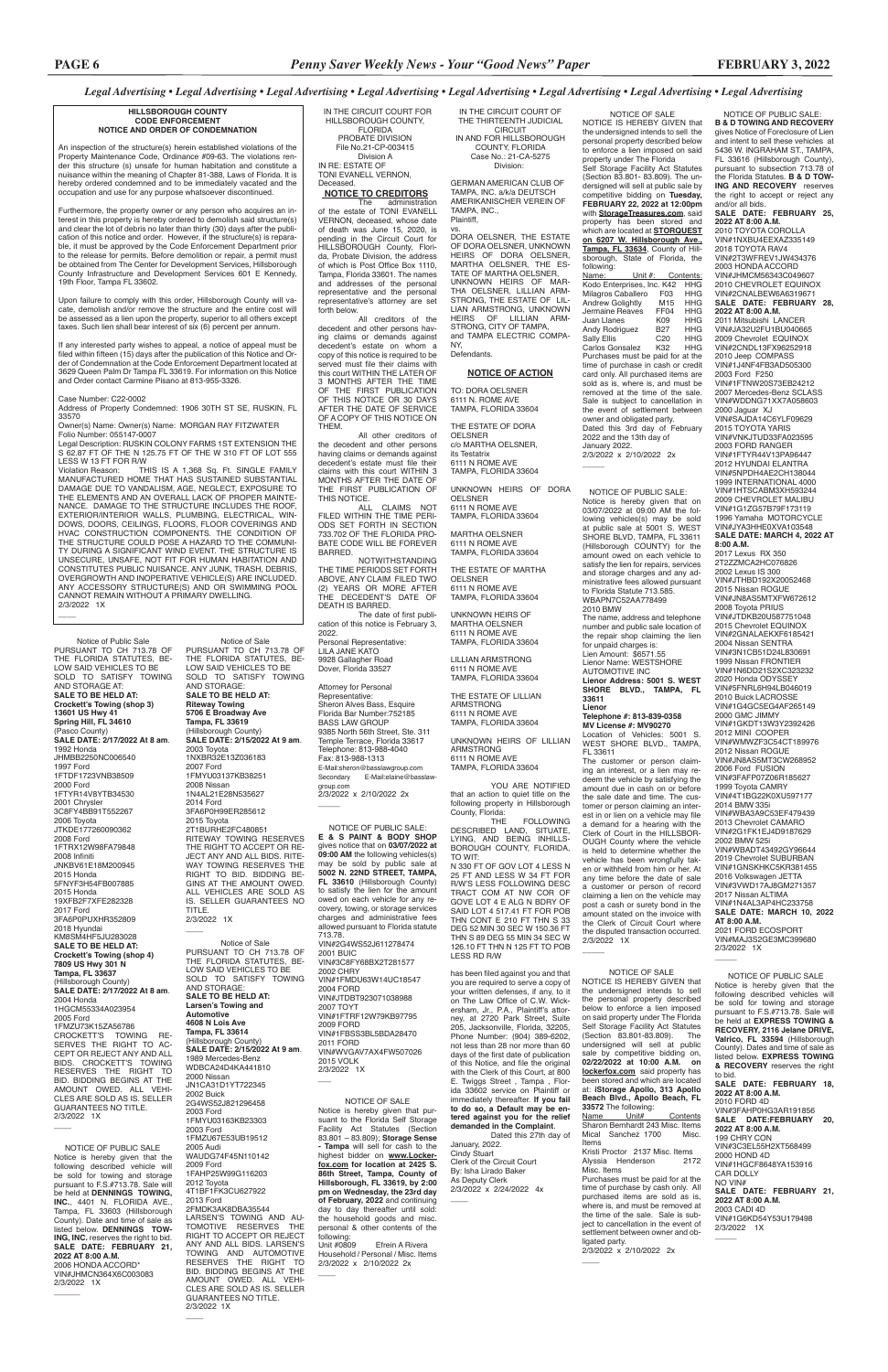NOTICE OF PUBLIC SALE: **B & D TOWING AND RECOVERY**  gives Notice of Foreclosure of Lien

### **SALE DATE: MARCH 10, 2022 AT 8:00 A.M.** 2021 FORD ECOSPORT VIN#MAJ3S2GE3MC399680 2/3/2022 1X  $\overline{\phantom{a}}$

and intent to sell these vehicles at 5436 W. INGRAHAM ST., TAMPA, FL 33616 (Hillsborough County), pursuant to subsection 713.78 of the Florida Statutes. **B & D TOW-ING AND RECOVERY** reserves the right to accept or reject any and/or all bids. **SALE DATE: FEBRUARY 25, 2022 AT 8:00 A.M.** 2010 TOYOTA COROLLA VIN#1NXBU4EEXAZ335149 2018 TOYOTA RAV4 VIN#2T3WFREV1JW434376 2003 HONDA ACCORD VIN#JHMCM56343C049607 2010 CHEVROLET EQUINOX VIN#2CNALBEW6A6319671 **SALE DATE: FEBRUARY 28, 2022 AT 8:00 A.M.** 2011 Mitsubishi LANCER VIN#JA32U2FU1BU040665 2009 Chevrolet EQUINOX VIN#2CNDL13FX96252918 2010 Jeep COMPASS VIN#1J4NF4FB3AD505300 2003 Ford F250 VIN#1FTNW20S73EB24212 2007 Mercedes-Benz SCLASS VIN#WDDNG71XX7A058603 2000 Jaguar XJ VIN#SAJDA14C6YLF09629 2015 TOYOTA YARIS VIN#VNKJTUD33FA023595 2003 FORD RANGER VIN#1FTYR44V13PA96447 2012 HYUNDAI ELANTRA VIN#5NPDH4AE2CH138044 1999 INTERNATIONAL 4000 VIN#1HTSCABM3XH593244 2009 CHEVROLET MALIBU VIN#1G1ZG57B79F173119 1996 Yamaha MOTORCYCLE VIN#JYA3HHE0XVA103548 **SALE DATE: MARCH 4, 2022 AT 8:00 A.M.** 2017 Lexus RX 350 2T2ZZMCA2HC076826 2002 Lexus IS 300 VIN#JTHBD192X20052468 2015 Nissan ROGUE VIN#JN8AS5MTXFW672612 2008 Toyota PRIUS VIN#JTDKB20U587751048 2015 Chevrolet EQUINOX VIN#2GNALAEKXF6185421 2004 Nissan SENTRA VIN#3N1CB51D24L830691 1999 Nissan FRONTIER VIN#1N6DD21S2XC323232 2020 Honda ODYSSEY VIN#5FNRL6H94LB046019 2010 Buick LACROSSE VIN#1G4GC5EG4AF265149 2000 GMC JIMMY VIN#1GKDT13W3Y2392426 2012 MINI COOPER VIN#WMWZF3C54CT189976 2012 Nissan ROGUE VIN#JN8AS5MT3CW268952 2006 Ford FUSION VIN#3FAFP07Z06R185627 1999 Toyota CAMRY VIN#4T1BG22K0XU597177 2014 BMW 335i VIN#WBA3A9C53EF479439 2013 Chevrolet CAMARO VIN#2G1FK1EJ4D9187629 2002 BMW 525i VIN#WBADT43492GY96644 2019 Chevrolet SUBURBAN VIN#1GNSKHKC5KR381455 2016 Volkswagen JETTA VIN#3VWD17AJ8GM271357 2017 Nissan ALTIMA VIN#1N4AL3AP4HC233758

### *Legal Advertising • Legal Advertising • Legal Advertising • Legal Advertising • Legal Advertising • Legal Advertising • Legal Advertising • Legal Advertising*

 NOTICE OF PUBLIC SALE Notice is hereby given that the following described vehicles will be sold for towing and storage pursuant to F.S.#713.78. Sale will be held at **EXPRESS TOWING & RECOVERY, 2116 Jelane DRIVE, Valrico, FL 33594** (Hillsborough County). Dates and time of sale as listed below. **EXPRESS TOWING & RECOVERY** reserves the right to bid. **SALE DATE: FEBRUARY 18, 2022 AT 8:00 A.M.** 2010 FORD 4D VIN#3FAHP0HG3AR191856 **SALE DATE:FEBRUARY 20, 2022 AT 8:00 A.M.** 199 CHRY CON VIN#3C3EL55H2XT568499 2000 HOND 4D VIN#1HGCF8648YA153916 CAR DOLLY NO VIN# **SALE DATE: FEBRUARY 21, 2022 AT 8:00 A.M.** 2003 CADI 4D VIN#1G6KD54Y53U179498 2/3/2022 1X

 $\overline{\phantom{a}}$ 

NOTICE OF SALE NOTICE IS HEREBY GIVEN that the undersigned intends to sell the personal property described below to enforce a lien imposed on said property under The Florida Self Storage Facility Act Statutes (Section 83.801- 83.809). The undersigned will sell at public sale by competitive bidding on **Tuesday, FEBRUARY 22, 2022 at 12:00pm**  with **StorageTreasures.com**, said property has been stored and which are located at **STORQUEST on 6207 W. Hillsborough Ave., Tampa, FL 33634**, County of Hillsborough, State of Florida, the following:<br>Name: Unit #: Contents:<br>ises\_Inc\_K42\_HHG Kodo Enterprises, Inc. K42 HHG Milagros Caballero F03 HHG **Andrew Golightly M15 HHG**<br>Jermaine Reaves FF04 HHG Jermaine Reaves FF04 HHG Juan Llanes K09 HHG<br>Andy Rodriguez B27 HHG Andy Rodriguez B27 HHG<br>Sally Filis C20 HHG Sally Ellis C20 HHG<br>Carlos Gonsalez K32 HHG Carlos Gonsalez Purchases must be paid for at the time of purchase in cash or credit card only. All purchased items are sold as is, where is, and must be removed at the time of the sale. Sale is subject to cancellation in the event of settlement between owner and obligated party. Dated this 3rd day of February 2022 and the 13th day of

January 2022.

 $\overline{\phantom{a}}$ 

2/3/2022 x 2/10/2022 2x

IN THE CIRCUIT COURT OF THE THIRTEENTH JUDICIAL **CIRCUIT** IN AND FOR HILLSBOROUGH COUNTY, FLORIDA Case No.: 21-CA-5275 Division:

GERMAN AMERICAN CLUB OF TAMPA, INC. a/k/a DEUTSCH AMERIKANISCHER VEREIN OF TAMPA, INC.,

Plaintiff,

vs. DORA OELSNER, THE ESTATE OF DORA OELSNER, UNKNOWN HEIRS OF DORA OELSNER, MARTHA OELSNER, THE ES-TATE OF MARTHA OELSNER, UNKNOWN HEIRS OF MAR-THA OELSNER, LILLIAN ARM-STRONG, THE ESTATE OF LIL-LIAN ARMSTRONG, UNKNOWN HEIRS OF LILLIAN ARM-STRONG, CITY OF TAMPA, and TAMPA ELECTRIC COMPA-NY,

Defendants.

### **NOTICE OF ACTION**

TO: DORA OELSNER 6111 N. ROME AVE TAMPA, FLORIDA 33604

THE ESTATE OF DORA OELSNER c/o MARTHA OELSNER, its Testatrix 6111 N ROME AVE TAMPA, FLORIDA 33604

UNKNOWN HEIRS OF DORA OELSNER 6111 N ROME AVE TAMPA, FLORIDA 33604

MARTHA OELSNER 6111 N ROME AVE TAMPA, FLORIDA 33604

THE ESTATE OF MARTHA OELSNER 6111 N ROME AVE TAMPA, FLORIDA 33604

UNKNOWN HEIRS OF MARTHA OELSNER 6111 N ROME AVE TAMPA, FLORIDA 33604

LILLIAN ARMSTRONG 6111 N ROME AVE TAMPA, FLORIDA 33604

THE ESTATE OF LILLIAN ARMSTRONG 6111 N ROME AVE TAMPA, FLORIDA 33604

UNKNOWN HEIRS OF LILLIAN ARMSTRONG 6111 N ROME AVE TAMPA, FLORIDA 33604

YOU ARE NOTIFIED that an action to quiet title on the following property in Hillsborough County, Florida:

THE FOLLOWING DESCRIBED LAND, SITUATE, LYING, AND BEING INHILLS-BOROUGH COUNTY, FLORIDA, TO WIT:

N 330 FT OF GOV LOT 4 LESS N 25 FT AND LESS W 34 FT FOR R/W'S LESS FOLLOWING DESC TRACT COM AT NW COR OF GOVE LOT 4 E ALG N BDRY OF SAID LOT 4 517.41 FT FOR POB THN CONT E 210 FT THN S 33 DEG 52 MIN 30 SEC W 150.36 FT THN S 89 DEG 55 MIN 34 SEC W 126.10 FT THN N 125 FT TO POB LESS RD R/W

Legal Description: RUSKIN COLONY FARMS 1ST EXTENSION THE S 62.87 FT OF THE N 125.75 FT OF THE W 310 FT OF LOT 555 LESS W 13 FT FOR R/W<br>Violation Reason: TH

> has been filed against you and that you are required to serve a copy of your written defenses, if any, to it on The Law Office of C.W. Wickersham, Jr., P.A., Plaintiff's attorney, at 2720 Park Street, Suite 205, Jacksonville, Florida, 32205, Phone Number: (904) 389-6202, not less than 28 nor more than 60 days of the first date of publication of this Notice, and file the original with the Clerk of this Court, at 800 E. Twiggs Street , Tampa , Florida 33602 service on Plaintiff or immediately thereafter. **If you fail to do so, a Default may be entered against you for the relief demanded in the Complaint**. Dated this 27th day of January, 2022. Cindy Stuart Clerk of the Circuit Court By: Isha Lirado Baker As Deputy Clerk 2/3/2022 x 2/24/2022 4x

 $\overline{\phantom{a}}$ 

THIS IS A 1,368 Sq. Ft. SINGLE FAMILY MANUFACTURED HOME THAT HAS SUSTAINED SUBSTANTIAL DAMAGE DUE TO VANDALISM, AGE, NEGLECT, EXPOSURE TO THE ELEMENTS AND AN OVERALL LACK OF PROPER MAINTE-NANCE. DAMAGE TO THE STRUCTURE INCLUDES THE ROOF, EXTERIOR/INTERIOR WALLS, PLUMBING, ELECTRICAL, WIN-DOWS, DOORS, CEILINGS, FLOORS, FLOOR COVERINGS AND HVAC CONSTRUCTION COMPONENTS. THE CONDITION OF THE STRUCTURE COULD POSE A HAZARD TO THE COMMUNI-TY DURING A SIGNIFICANT WIND EVENT. THE STRUCTURE IS UNSECURE, UNSAFE, NOT FIT FOR HUMAN HABITATION AND CONSTITUTES PUBLIC NUISANCE. ANY JUNK, TRASH, DEBRIS, OVERGROWTH AND INOPERATIVE VEHICLE(S) ARE INCLUDED. ANY ACCESSORY STRUCTURE(S) AND OR SWIMMING POOL CANNOT REMAIN WITHOUT A PRIMARY DWELLING. 2/3/2022 1X

> 2007 TOYT VIN#1FTRF12W79KB97795 2009 FORD VIN#1FBSS3BL5BDA28470 2011 FORD VIN#WVGAV7AX4FW507026 2015 VOLK 2/3/2022 1X  $\overline{\phantom{a}}$

NOTICE OF SALE Notice is hereby given that pursuant to the Florida Self Storage Facility Act Statutes (Section 83.801 – 83.809); **Storage Sense - Tampa** will sell for cash to the highest bidder on **www.Lockerfox.com for location at 2425 S. 86th Street, Tampa, County of Hillsborough, FL 33619, by 2:00 pm on Wednesday, the 23rd day of February, 2022** and continuing day to day thereafter until sold: the household goods and misc. personal & other contents of the following:<br>Unit #0809 Efrein A Rivera

 NOTICE OF PUBLIC SALE: Notice is hereby given that on 03/07/2022 at 09:00 AM the following vehicles(s) may be sold at public sale at 5001 S. WEST SHORE BLVD, TAMPA, FL 33611 (Hillsborough COUNTY) for the amount owed on each vehicle to satisfy the lien for repairs, services and storage charges and any administrative fees allowed pursuant to Florida Statute 713.585. WBAPN7C52AA778499 2010 BMW The name, address and telephone

NOTICE IS HEREBY GIVEN that the undersigned intends to sell the personal property described below to enforce a lien in on said property under The Florida Self Storage Facility Act Statutes (Section 83.801-83.809). The undersigned will sell at public sale by competitive bidding on, **02/22/2022 at 10:00 A.M. on lockerfox.com** said property has been stored and which are located at: **iStorage Apollo, 313 Apollo Beach Blvd., Apollo Beach, FL 33572** The following: Name Unit# Contents Sharon Bernhardt 243 Misc. Items Mical Sanchez 1700 Misc.

number and public sale location of the repair shop claiming the lien for unpaid charges is: Lien Amount: \$6571.55 Lienor Name: WESTSHORE AUTOMOTIVE INC **Lienor Address: 5001 S. WEST SHORE BLVD., TAMPA, FL 33611**

#### **Lienor Telephone #: 813-839-0358 MV License #: MV90270**

Location of Vehicles: 5001 S. WEST SHORE BLVD., TAMPA, FL 33611

The customer or person claiming an interest, or a lien may redeem the vehicle by satisfying the amount due in cash on or before the sale date and time. The customer or person claiming an interest in or lien on a vehicle may file a demand for a hearing with the Clerk of Court in the HILLSBOR-OUGH County where the vehicle is held to determine whether the vehicle has been wrongfully taken or withheld from him or her. At any time before the date of sale customer or person of record claiming a lien on the vehicle may post a cash or surety bond in the amount stated on the invoice with the Clerk of Circuit Court where the disputed transaction occurred. 2/3/2022 1X

IN THE CIRCUIT COURT FOR HILLSBOROUGH COUNTY, FLORIDA PROBATE DIVISION File No.21-CP-003415 Division A IN RE: ESTATE OF TONI EVANELL VERNON, Deceased.

## **NOTICE TO CREDITORS**

The administration of the estate of TONI EVANELL VERNON, deceased, whose date of death was June 15, 2020, is pending in the Circuit Court for HILLSBOROUGH County, Florida, Probate Division, the address of which is Post Office Box 1110, Tampa, Florida 33601. The names and addresses of the personal representative and the personal representative's attorney are set forth below.

 NOTICE OF PUBLIC SALE Notice is hereby given that the following described vehicle will be sold for towing and storage pursuant to F.S.#713.78. Sale will be held at **DENNINGS TOWING, INC.**, 4401 N. FLORIDA AVE., Tampa, FL 33603 (Hillsborough County). Date and time of sale as listed below. **DENNINGS TOW-ING, INC.** reserves the right to bid. **SALE DATE: FEBRUARY 21, 2022 AT 8:00 A.M.** 2006 HONDA ACCORD\* VIN#JHMCN364X6C003083 2/3/2022 1X  $\overline{\phantom{a}}$ 

All creditors of the decedent and other persons having claims or demands against decedent's estate on whom a copy of this notice is required to be served must file their claims with this court WITHIN THE LATER OF 3 MONTHS AFTER THE TIME OF THE FIRST PUBLICATION OF THIS NOTICE OR 30 DAYS AFTER THE DATE OF SERVICE OF A COPY OF THIS NOTICE ON THEM.

All other creditors of the decedent and other persons having claims or demands against decedent's estate must file their claims with this court WITHIN 3 MONTHS AFTER THE DATE OF THE FIRST PUBLICATION OF THIS NOTICE.

ALL CLAIMS NOT FILED WITHIN THE TIME PERI-ODS SET FORTH IN SECTION 733.702 OF THE FLORIDA PRO-BATE CODE WILL BE FOREVER BARRED.

NOTWITHSTANDING THE TIME PERIODS SET FORTH ABOVE, ANY CLAIM FILED TWO (2) YEARS OR MORE AFTER THE DECEDENT'S DATE OF DEATH IS BARRED.

The date of first publication of this notice is February 3, 2022. Personal Representative:

LILA JANE KATO 9928 Gallagher Road Dover, Florida 33527

Attorney for Personal Representative: Sheron Alves Bass, Esquire Florida Bar Number:752185 BASS LAW GROUP 9385 North 56th Street, Ste. 311 Temple Terrace, Florida 33617 Telephone: 813-988-4040 Fax: 813-988-1313 E-Mail:sheron@basslawgroup.com<br>Secondary E-Mail:elaine@bass E-Mail:elaine@basslawgroup.com 2/3/2022 x 2/10/2022 2x

 $\overline{\phantom{a}}$ 

### **HILLSBOROUGH COUNTY CODE ENFORCEMENT NOTICE AND ORDER OF CONDEMNATION**

An inspection of the structure(s) herein established violations of the Property Maintenance Code, Ordinance #09-63. The violations render this structure (s) unsafe for human habitation and constitute a nuisance within the meaning of Chapter 81-388, Laws of Florida. It is hereby ordered condemned and to be immediately vacated and the occupation and use for any purpose whatsoever discontinued.

Furthermore, the property owner or any person who acquires an interest in this property is hereby ordered to demolish said structure(s) and clear the lot of debris no later than thirty (30) days after the publication of this notice and order. However, if the structure(s) is reparable, it must be approved by the Code Enforcement Department prior to the release for permits. Before demolition or repair, a permit must be obtained from The Center for Development Services, Hillsborough County Infrastructure and Development Services 601 E Kennedy, 19th Floor, Tampa FL 33602.

Upon failure to comply with this order, Hillsborough County will vacate, demolish and/or remove the structure and the entire cost will be assessed as a lien upon the property, superior to all others except taxes. Such lien shall bear interest of six (6) percent per annum.

If any interested party wishes to appeal, a notice of appeal must be filed within fifteen (15) days after the publication of this Notice and Order of Condemnation at the Code Enforcement Department located at 3629 Queen Palm Dr Tampa FL 33619. For information on this Notice and Order contact Carmine Pisano at 813-955-3326.

#### Case Number: C22-0002

 $\overline{\phantom{a}}$ 

Address of Property Condemned: 1906 30TH ST SE, RUSKIN, FL 33570

Owner(s) Name: Owner(s) Name: MORGAN RAY FITZWATER Folio Number: 055147-0007

> NOTICE OF PUBLIC SALE: **E & S PAINT & BODY SHOP** gives notice that on **03/07/2022 at 09:00 AM** the following vehicles(s) may be sold by public sale at **5002 N. 22ND STREET, TAMPA, FL 33610** (Hillsborough County) to satisfy the lien for the amount owed on each vehicle for any recovery, towing, or storage services charges and administrative fees allowed pursuant to Florida statute 713.78. VIN#2G4WS52J611278474 2001 BUIC VIN#3C8FY68BX2T281577 2002 CHRY VIN#1FMDU63W14UC18547 2004 FORD VIN#JTDBT923071038988

Household / Personal / Misc. Items 2/3/2022 x 2/10/2022 2x

 $\overline{\phantom{a}}$ 

## NOTICE OF SALE

 $\overline{\phantom{a}}$ 

Items Kristi Proctor 2137 Misc. Items Alyssia Henderson 2172 Misc. Items

Purchases must be paid for at the time of purchase by cash only. All purchased items are sold as is, .<br>where is, and must be removed at the time of the sale. Sale is subject to cancellation in the event of settlement between owner and obligated party. 2/3/2022 x 2/10/2022 2x

 $\overline{\phantom{a}}$ 

Notice of Sale PURSUANT TO CH 713.78 OF THE FLORIDA STATUTES, BE-LOW SAID VEHICLES TO BE SOLD TO SATISFY TOWING AND STORAGE: **SALE TO BE HELD AT: Riteway Towing 5706 E Broadway Ave Tampa, FL 33619** (Hillsborough County) **SALE DATE: 2/15/2022 At 9 am**. 2003 Toyota 1NXBR32E13Z036183 2007 Ford 1FMYU03137KB38251 2008 Nissan 1N4AL21E28N535627 2014 Ford 3FA6P0H99ER285612 2015 Toyota 2T1BURHE2FC480851 **RITEWAY TOWING RESERVES** THE RIGHT TO ACCEPT OR RE-JECT ANY AND ALL BIDS. RITE-

WAY TOWING RESERVES THE RIGHT TO BID. BIDDING BE-GINS AT THE AMOUNT OWED. ALL VEHICLES ARE SOLD AS IS. SELLER GUARANTEES NO TITLE. 2/3/2022 1X

 $\overline{\phantom{a}}$ 

 $\overline{\phantom{a}}$ 

Notice of Public Sale PURSUANT TO CH 713.78 OF THE FLORIDA STATUTES, BE-LOW SAID VEHICLES TO BE SOLD TO SATISFY TOWING AND STORAGE AT: **SALE TO BE HELD AT: Crockett's Towing (shop 3) 13601 US Hwy 41 Spring Hill, FL 34610** (Pasco County) **SALE DATE: 2/17/2022 At 8 am**. 1992 Honda JHMBB2250NC006540 1997 Ford 1FTDF1723VNB38509 2000 Ford 1FTYR14V8YTB34530 2001 Chrysler 3C8FY4BB91T552267 2006 Toyota JTKDE177260090362 2008 Ford 1FTRX12W98FA79848 2008 Infiniti JNKBV61E18M200945 2015 Honda 5FNYF3H54FB007885 2015 Honda 19XFB2F7XFE282328 2017 Ford 3FA6P0PUXHR352809 2018 Hyundai KM8SM4HF5 II I283028 **SALE TO BE HELD AT: Crockett's Towing (shop 4) 7809 US Hwy 301 N Tampa, FL 33637**

(Hillsborough County) **SALE DATE: 2/17/2022 At 8 am**. 2004 Honda 1HGCM55334A023954 2005 Ford 1FMZU73K15ZA56786 CROCKETT'S TOWING RE-SERVES THE RIGHT TO AC-CEPT OR REJECT ANY AND ALL BIDS. CROCKETT'S TOWING RESERVES THE RIGHT TO BID. BIDDING BEGINS AT THE AMOUNT OWED. ALL VEHI-CLES ARE SOLD AS IS. SELLER GUARANTEES NO TITLE. 2/3/2022 1X

 $\overline{\phantom{a}}$ 

Notice of Sale PURSUANT TO CH 713.78 OF THE FLORIDA STATUTES, BE-LOW SAID VEHICLES TO BE SOLD TO SATISFY TOWING AND STORAGE: **SALE TO BE HELD AT: Larsen's Towing and Automotive 4608 N Lois Ave Tampa, FL 33614** (Hillsborough County) **SALE DATE: 2/15/2022 At 9 am**. 1989 Mercedes-Benz WDBCA24D4KA441810 2000 Nissan JN1CA31D1YT722345 2002 Buick 2G4WS52J821296458 2003 Ford 1FMYU03163KB23303 2003 Ford 1FMZU67E53UB19512 2005 Audi WAUDG74F45N110142 2009 Ford 1FAHP25W99G116203 2012 Toyota 4T1BF1FK3CU627922 2013 Ford<br>2EMDK3AK8DBA35544 2FMDK3AK8DBA35544 LARSEN'S TOWING AND AU-TOMOTIVE RESERVES THE RIGHT TO ACCEPT OR REJECT ANY AND ALL BIDS. LARSEN'S TOWING AND AUTOMOTIVE RESERVES THE RIGHT TO BID. BIDDING BEGINS AT THE AMOUNT OWED. ALL VEHI-CLES ARE SOLD AS IS. SELLER GUARANTEES NO TITLE. 2/3/2022 1X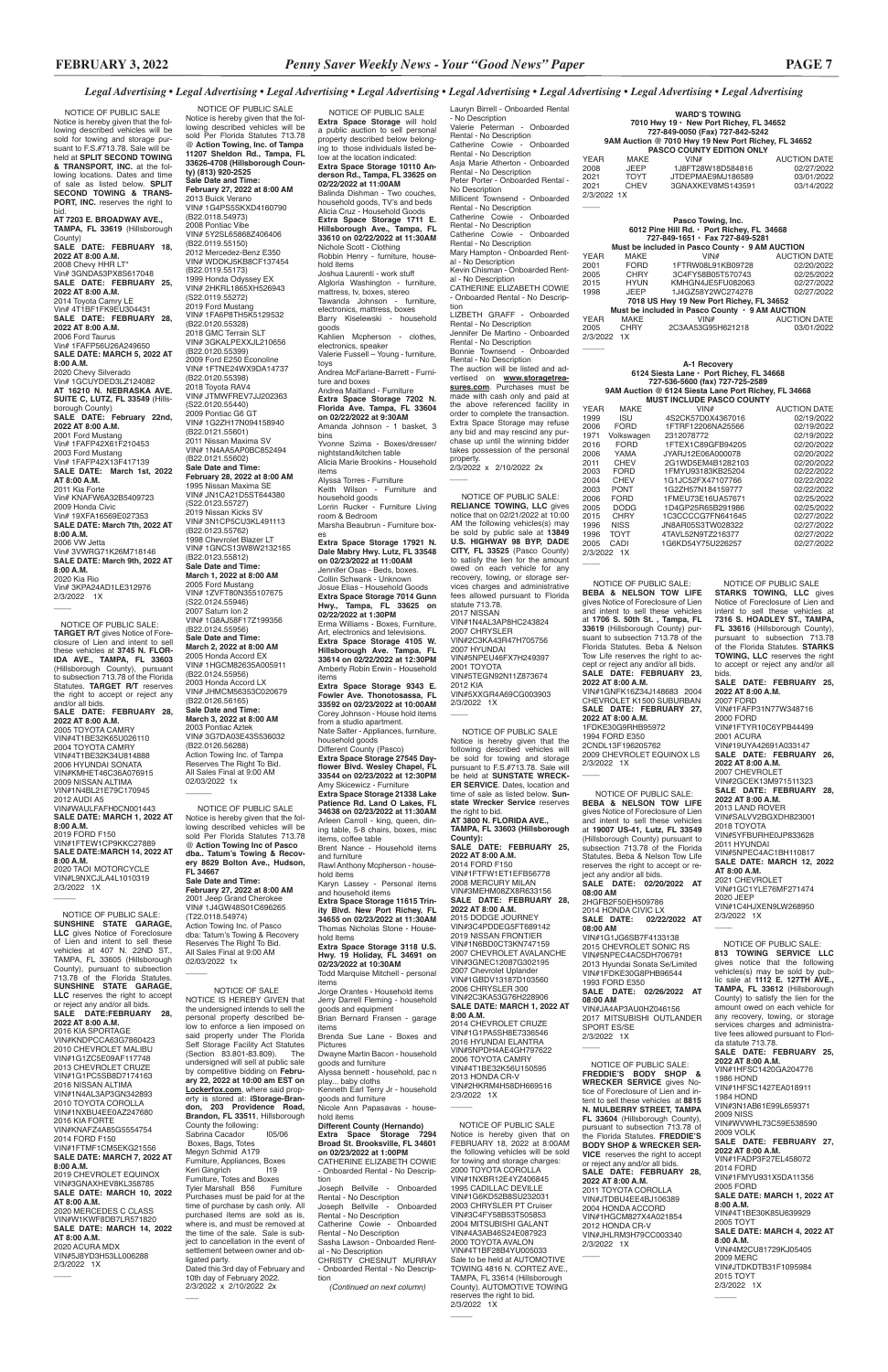| YEAR<br>MAKE<br>JEEP<br>2008<br>TOYT<br>CHEV<br>2021<br>2021<br>2/3/2022 1X                                                                                                                                                                                                                                                                                          | <b>WARD'S TOWING</b><br>7010 Hwy 19 · New Port Richey, FL 34652<br>727-849-0050 (Fax) 727-842-5242<br>9AM Auction @ 7010 Hwy 19 New Port Richey, FL 34652<br><b>PASCO COUNTY EDITION ONLY</b><br>VIN#<br>1J8FT28W18D584816<br>JTDEPMAE9MJ186589<br>3GNAXKEV8MS143591                                                                                                                                                                                                                                                | <b>AUCTION DATE</b><br>02/27/2022<br>03/01/2022<br>03/14/2022                                                                                                                                                                         |
|----------------------------------------------------------------------------------------------------------------------------------------------------------------------------------------------------------------------------------------------------------------------------------------------------------------------------------------------------------------------|---------------------------------------------------------------------------------------------------------------------------------------------------------------------------------------------------------------------------------------------------------------------------------------------------------------------------------------------------------------------------------------------------------------------------------------------------------------------------------------------------------------------|---------------------------------------------------------------------------------------------------------------------------------------------------------------------------------------------------------------------------------------|
| MAKE<br>YEAR<br>2001<br>FORD<br>2005<br>CHRY<br>2015<br><b>HYUN</b><br>JEEP<br>1998<br>MAKE<br>YEAR<br>CHRY<br>2005<br>2/3/2022 1X                                                                                                                                                                                                                                   | Pasco Towing, Inc.<br>6012 Pine Hill Rd. · Port Richey, FL 34668<br>727-849-1651 · Fax 727-849-5281<br>Must be included in Pasco County · 9 AM AUCTION<br>VIN#<br>1FTRW08L91KB09728<br>3C4FY58B05T570743<br>KMHGN4JE5FU082063<br>1J4GZ58Y2WC274278<br>7018 US Hwy 19 New Port Richey, FL 34652<br>Must be included in Pasco County · 9 AM AUCTION<br>VIN#<br>2C3AA53G95H621218                                                                                                                                      | <b>AUCTION DATE</b><br>02/20/2022<br>02/25/2022<br>02/27/2022<br>02/27/2022<br><b>AUCTION DATE</b><br>03/01/2022                                                                                                                      |
| <b>YEAR</b><br><b>MAKE</b><br>1999<br>ISU<br><b>FORD</b><br>2006<br>1971<br>Volkswagen<br>2016<br><b>FORD</b><br>YAMA<br>2006<br><b>CHEV</b><br>2011<br><b>FORD</b><br>2003<br>CHEV<br>2004<br><b>PONT</b><br>2003<br>2006<br><b>FORD</b><br>2005<br><b>DODG</b><br><b>CHRY</b><br>2015<br>1996<br><b>NISS</b><br><b>TOYT</b><br>1996<br>CADI<br>2005<br>2/3/2022 1X | A-1 Recovery<br>6124 Siesta Lane · Port Richey, FL 34668<br>727-536-5600 (fax) 727-725-2589<br>9AM Auction @ 6124 Siesta Lane Port Richey, FL 34668<br><b>MUST INCLUDE PASCO COUNTY</b><br>VIN#<br>4S2CK57D0X4367016<br>1FTRF12206NA25566<br>2312078772<br>1FTEX1C89GFB94205<br>JYARJ12E06A000078<br>2G1WD5EM4B1282103<br>1FMYU93183KB25204<br>1G1JC52FX47107766<br>1G2ZH57N184159777<br>1FMEU73E16UA57671<br>1D4GP25R65B291986<br>1C3CCCCG7FN641645<br>JN8AR05S3TW028322<br>4TAVL52N9TZ216377<br>1G6KD54Y75U226257 | <b>AUCTION DATE</b><br>02/19/2022<br>02/19/2022<br>02/19/2022<br>02/20/2022<br>02/20/2022<br>02/20/2022<br>02/22/2022<br>02/22/2022<br>02/22/2022<br>02/25/2022<br>02/25/2022<br>02/27/2022<br>02/27/2022<br>02/27/2022<br>02/27/2022 |

2000 FORD VIN#1FTYR10C6YPB44499 2001 ACURA VIN#19UYA42691A033147 **SALE DATE: FEBRUARY 26, 2022 AT 8:00 A.M.** 2007 CHEVROLET VIN#2GCEK13M971511323 **SALE DATE: FEBRUARY 28, 2022 AT 8:00 A.M.** 2013 LAND ROVER VIN#SALVV2BGXDH823001 2018 TOYOTA VIN#5YFBURHE0JP833628 2011 HYUNDAI VIN#5NPEC4AC1BH110817 **SALE DATE: MARCH 12, 2022 AT 8:00 A.M.** 2021 CHEVROLET VIN#1GC1YLE76MF271474 2020 JEEP VIN#1C4HJXEN9LW268950 2/3/2022 1X  $\overline{\phantom{a}}$ 

2001 TOYOTA VIN#5TEGN92N11Z873674 2012 KIA VIN#5XXGR4A69CG003903 2/3/2022 1X  $\overline{\phantom{a}}$ 

> 2009 CHEVROLET EQUINOX LS 2/3/2022 1X  $\overline{\phantom{a}}$

 NOTICE OF PUBLIC SALE **Extra Space Storage** will hold a public auction to sell personal property described below belonging to those individuals listed below at the location indicated: **Extra Space Storage 10110 Anderson Rd., Tampa, FL 33625 on 02/22/2022 at 11:00AM** Balinda Dishman - Two couches, household goods, TV's and beds Alicia Cruz - Household Goods **Extra Space Storage 1711 E. Hillsborough Ave., Tampa, FL 33610 on 02/22/2022 at 11:30AM** Nichole Scott - Clothing Robbin Henry - furniture, household items Joshua Laurenti - work stuff Algloria Washington - furniture, mattress, tv, boxes, stereo Tawanda Johnson - furniture, electronics, mattress, boxes Barry Kiselewski - household goods Kahlien Mcpherson - clothes, electronics, speaker Valerie Fussell – Young - furniture, toys Andrea McFarlane-Barrett - Furniture and boxes Andrea Maitland - Furniture **Extra Space Storage 7202 N. Florida Ave. Tampa, FL 33604 on 02/22/2022 at 9:30AM** Amanda Johnson - 1 basket, 3 bins Yvonne Szima - Boxes/dresser/ nightstand/kitchen table Alicia Marie Brookins - Household items Alyssa Torres - Furniture Keith Wilson - Furniture and household goods Lorrin Rucker - Furniture Living room & Bedroom Marsha Beaubrun - Furniture boxes **Extra Space Storage 17921 N. Dale Mabry Hwy. Lutz, FL 33548 on 02/23/2022 at 11:00AM** Jennifer Osas - Beds, boxes. Collin Schwank - Unknown Josue Elias - Household Goods **Extra Space Storage 7014 Gunn Hwy., Tampa, FL 33625 on 02/22/2022 at 1:30PM**  Erma Williams - Boxes, Furniture, Art, electronics and televisions. **Extra Space Storage 4105 W. Hillsborough Ave. Tampa, FL 33614 on 02/22/2022 at 12:30PM** Amberly Robin Erwin - Household items **Extra Space Storage 9343 E. Fowler Ave. Thonotosassa, FL 33592 on 02/23/2022 at 10:00AM**  Corey Johnson - House hold items from a studio apartment. Nate Salter - Appliances, furniture, household goods Different County (Pasco) **Extra Space Storage 27545 Dayflower Blvd. Wesley Chapel, FL 33544 on 02/23/2022 at 12:30PM**  Amy Skicewicz - Furniture **Extra Space Storage 21338 Lake Patience Rd. Land O Lakes, FL 34638 on 02/23/2022 at 11:30AM**  Arleen Carroll - king, queen, dining table, 5-8 chairs, boxes, misc items, coffee table Brent Nance - Household items and furniture Rawl Anthony Mcpherson - household items<br>Karyn Lassey - Personal items and household items **Extra Space Storage 11615 Trinity Blvd. New Port Richey, FL 34655 on 02/23/2022 at 11:30AM**  Thomas Nicholas Stone - Household Items **Extra Space Storage 3118 U.S.** 

Lauryn Birrell - Onboarded Rental - No Description Valerie Peterman - Onboarded Rental - No Description Catherine Cowie - Onboarded Rental - No Description Asja Marie Atherton - Onboarded Rental - No Description Peter Porter - Onboarded Rental - No Description Millicent Townsend - Onboarded Rental - No Description Catherine Cowie - Onboarded Rental - No Description Catherine Cowie - Onboarded Rental - No Description Mary Hampton - Onboarded Rental - No Description Kevin Chisman - Onboarded Rental - No Description CATHERINE ELIZABETH COWIE - Onboarded Rental - No Description LIZBETH GRAFF - Onboarded Rental - No Description Jennifer De Martino - Onboarded Rental - No Description Bonnie Townsend - Onboarded Rental - No Description The auction will be listed and advertised on **www.storagetreasures.com**. Purchases must be made with cash only and paid at the above referenced facility in order to complete the transaction. Extra Space Storage may refuse any bid and may rescind any purchase up until the winning bidder takes possession of the personal property. 2/3/2022 x 2/10/2022 2x  $\overline{\phantom{a}}$  NOTICE OF PUBLIC SALE: **RELIANCE TOWING, LLC** gives notice that on 02/21/2022 at 10:00 AM the following vehicles(s) may be sold by public sale at **13849 U.S. HIGHWAY 98 BYP, DADE CITY, FL 33525** (Pasco County) to satisfy the lien for the amount owed on each vehicle for any recovery, towing, or storage services charges and administrative fees allowed pursuant to Florida statute 713.78. 2017 NISSAN VIN#1N4AL3AP8HC243824 2007 CHRYSLER VIN#2C3KA43R47H705756 2007 HYUNDAI VIN#5NPEU46FX7H249397

@ **Action Towing Inc of Pasco dba.. Tatum's Towing & Recovery 8629 Bolton Ave., Hudson, FL 34667 Sale Date and Time: February 27, 2022 at 8:00 AM** 2001 Jeep Grand Cherokee VIN# 1J4GW48S01C696265 (T22.0118.54974) Action Towing Inc. of Pasco dba: Tatum's Towing & Recovery Reserves The Right To Bid. All Sales Final at 9:00 AM 02/03/2022 1x  $\overline{\phantom{a}}$ 

**Hwy. 19 Holiday, FL 34691 on 02/23/2022 at 10:30AM**  Todd Marquise Mitchell - personal items Jorge Orantes - Household items

Jerry Darrell Fleming - household goods and equipment

Brian Bernard Fransen - garage items Brenda Sue Lane - Boxes and Pictures Dwayne Martin Bacon - household goods and furniture Alyssa bennett - household, pac n play... baby cloths Kenneth Earl Terry Jr - household goods and furniture Nicole Ann Papasavas - house-

hold items **Different County (Hernando) Extra Space Storage 7294 Broad St. Brooksville, FL 34601 on 02/23/2022 at 1:00PM** CATHERINE ELIZABETH COWIE - Onboarded Rental - No Description Joseph Bellville - Onboarded Rental - No Description Joseph Bellville - Onboarded

Rental - No Description Catherine Cowie - Onboarded Rental - No Description Sasha Lawson - Onboarded Rental - No Description CHRISTY CHESNUT MURRAY - Onboarded Rental - No Description

*(Continued on next column)*

 NOTICE OF PUBLIC SALE Notice is hereby given that the following described vehicles will be sold for towing and storage pursuant to F.S.#713.78. Sale will be held at **SPLIT SECOND TOWING & TRANSPORT, INC.** at the following locations. Dates and time of sale as listed below. **SPLIT SECOND TOWING & TRANS-PORT, INC.** reserves the right to bid. **AT 7203 E. BROADWAY AVE., TAMPA, FL 33619** (Hillsborough County) **SALE DATE: FEBRUARY 18, 2022 AT 8:00 A.M.** 2008 Chevy HHR LT\* Vin# 3GNDA53PX8S617048 **SALE DATE: FEBRUARY 25, 2022 AT 8:00 A.M.** 2014 Toyota Camry LE Vin# 4T1BF1FK9EU304431 **SALE DATE: FEBRUARY 28, 2022 AT 8:00 A.M.** 2006 Ford Taurus Vin# 1FAFP56U26A249650 **SALE DATE: MARCH 5, 2022 AT 8:00 A.M.** 2020 Chevy Silverado Vin# 1GCUYDED3LZ124082 **AT 16210 N. NEBRASKA AVE. SUITE C, LUTZ, FL 33549** (Hillsborough County) **SALE DATE: February 22nd, 2022 AT 8:00 A.M.** 2001 Ford Mustang Vin# 1FAFP42X61F210453 2003 Ford Mustang Vin# 1FAFP42X13F417139 **SALE DATE: March 1st, 2022 AT 8:00 A.M.** 2011 Kia Forte Vin# KNAFW6A32B5409723 2009 Honda Civic Vin# 19XFA16569E027353 **SALE DATE: March 7th, 2022 AT 8:00 A.M.** 2006 VW Jetta Vin# 3VWRG71K26M718146 **SALE DATE: March 9th, 2022 AT 8:00 A.M.** 2020 Kia Rio Vin# 3KPA24AD1LE312976 2/3/2022 1X  $\overline{\phantom{a}}$ 

 NOTICE OF PUBLIC SALE **STARKS TOWING, LLC** gives Notice of Foreclosure of Lien and intent to sell these vehicles at **7316 S. HOADLEY ST., TAMPA, FL 33616** (Hillsborough County), pursuant to subsection 713.78 of the Florida Statutes. **STARKS TOWING, LLC** reserves the right to accept or reject any and/or all bids. **SALE DATE: FEBRUARY 25, 2022 AT 8:00 A.M.** 2007 FORD VIN#1FAFP31N77W348716

 NOTICE OF PUBLIC SALE: **FREDDIE'S BODY SHOP & WRECKER SERVICE** gives Notice of Foreclosure of Lien and intent to sell these vehicles at **8815 N. MULBERRY STREET, TAMPA FL 33604** (Hillsborough County), pursuant to subsection 713.78 of the Florida Statutes. **FREDDIE'S BODY SHOP & WRECKER SER-VICE** reserves the right to accept or reject any and/or all bids. **SALE DATE: FEBRUARY 28, 2022 AT 8:00 A.M.** 2011 TOYOTA COROLLA VIN#JTDBU4EE4BJ106389 2004 HONDA ACCORD VIN#1HGCM827X4A021854 2012 HONDA CR-V VIN#JHLRM3H79CC003340 2/3/2022 1X  $\overline{\phantom{a}}$ 

 NOTICE OF PUBLIC SALE: **BEBA & NELSON TOW LIFE** gives Notice of Foreclosure of Lien and intent to sell these vehicles at **1706 S. 50th St. , Tampa, FL 33619** (Hillsborough County) pursuant to subsection 713.78 of the Florida Statutes. Beba & Nelson Tow Life reserves the right to accept or reject any and/or all bids. **SALE DATE: FEBRUARY 23, 2022 AT 8:00 A.M.** VIN#1GNFK16Z34J148683 2004 CHEVROLET K1500 SUBURBAN **SALE DATE: FEBRUARY 27, 2022 AT 8:00 A.M.** 1FDKE30G9RHB95972 1994 FORD E350 2CNDL13F196205762

**SALE DATE: MARCH 1, 2022 8:00 A.M.**

 NOTICE OF PUBLIC SALE: **BEBA & NELSON TOW LIFE** gives Notice of Foreclosure of Lien and intent to sell these vehicles at **19007 US-41, Lutz, FL 33549** (Hillsborough County) pursuant to subsection 713.78 of the Florida Statutes. Beba & Nelson Tow Life reserves the right to accept or reject any and/or all bids. **SALE DATE: 02/20/2022 AT 08:00 AM** 2HGFB2F50EH509786 2014 HONDA CIVIC LX **SALE DATE: 02/22/2022 AT 08:00 AM**

VIN#1G1JG6SB7F4133138 2015 CHEVROLET SONIC RS VIN#5NPEC4AC5DH706791 2013 Hyundai Sonata Se/Limited VIN#1FDKE30G8PHB96544 1993 FORD E350 **SALE DATE: 02/26/2022 AT** 

**08:00 AM**

VIN#JA4AP3AU0HZ046156 2017 MITSUBISHI OUTLANDER SPORT ES/SE 2/3/2022 1X

 $\overline{\phantom{a}}$ 

NOTICE OF PUBLIC SALE Notice is hereby given that the following described vehicles will be sold Per Florida Statutes 713.78 @ **Action Towing, Inc. of Tampa 11207 Sheldon Rd., Tampa, FL 33626-4708 (Hillsborough County) (813) 920-2525 Sale Date and Time: February 27, 2022 at 8:00 AM** 2013 Buick Verano VIN# 1G4PS5SKXD4160790 (B22.0118.54973) 2008 Pontiac Vibe VIN# 5Y2SL65868Z406406 (B22.0119.55150) 2012 Mercedez-Benz E350 VIN# WDDKJ5KB8CF137454 (B22.0119.55173) 1999 Honda Odyssey EX VIN# 2HKRL1865XH526943 (S22.0119.55272) 2019 Ford Mustang VIN# 1FA6P8TH5K5129532 (B22.0120.55328) 2018 GMC Terrain SLT VIN# 3GKALPEXXJL210656 (B22.0120.55399) 2009 Ford E250 Econoline VIN# 1FTNE24WX9DA14737 (B22.0120.55398) 2018 Toyota RAV4 VIN# JTMWFREV7JJ202363 (S22.0120.55440) 2009 Pontiac G6 GT VIN# 1G2ZH17N094158940 (B22.0121.55601) 2011 Nissan Maxima SV VIN# 1N4AA5AP0BC852494 (B22.0121.55602) **Sale Date and Time: February 28, 2022 at 8:00 AM** 1995 Nissan Maxima SE VIN# JN1CA21D5ST644380 (S22.0123.55727) 2019 Nissan Kicks SV VIN# 3N1CP5CU3KL491113 (B22.0123.55762) 1998 Chevrolet Blazer LT VIN# 1GNCS13W8W2132165 (B22.0123.55812) **Sale Date and Time: March 1, 2022 at 8:00 AM** 2005 Ford Mustang VIN# 1ZVFT80N355107675 (S22.0124.55946) 2007 Saturn Ion 2 VIN# 1G8AJ58F17Z199356 (B22.0124.55956) **Sale Date and Time: March 2, 2022 at 8:00 AM** 2005 Honda Accord EX VIN# 1HGCM82635A005911 (B22.0124.55956) 2003 Honda Accord LX VIN# JHMCM56353C020679 (B22.0126.56165) **Sale Date and Time: March 3, 2022 at 8:00 AM** 2003 Pontiac Aztek VIN# 3G7DA03E43S536032 (B22.0126.56288) Action Towing Inc. of Tampa Reserves The Right To Bid. All Sales Final at 9:00 AM 02/03/2022 1x  $\overline{\phantom{a}}$ NOTICE OF PUBLIC SALE Notice is hereby given that the following described vehicles will be sold Per Florida Statutes 713.78

 NOTICE OF SALE NOTICE IS HEREBY GIVEN that signed intends to s personal property described below to enforce a lien imposed on said property under The Florida Self Storage Facility Act Statutes (Section 83.801-83.809). The undersigned will sell at public sale by competitive bidding on **February 22, 2022 at 10:00 am EST on Lockerfox.com**, where said property is stored at: **iStorage-Bran-don, 203 Providence Road, Brandon, FL 33511**, Hillsborough County the following: Sabrina Cacador I05/06 Boxes, Bags, Totes Megyn Schmid A179 Furniture, Appliances, Boxes Keri Gingrich Furniture, Totes and Boxes Tyler Marshall B56 Furniture Purchases must be paid for at the time of purchase by cash only. All purchased items are sold as is, .<br>where is, and must be removed at the time of the sale. Sale is subject to cancellation in the event of .<br>settlement between owner and obligated party. Dated this 3rd day of February and 10th day of February 2022. 2/3/2022 x 2/10/2022 2x

 NOTICE OF PUBLIC SALE: **813 TOWING SERVICE LLC**  gives notice that the following vehicles(s) may be sold by pub-lic sale at **1112 E. 127TH AVE., TAMPA, FL 33612** (Hillsborough County) to satisfy the lien for the amount owed on each vehicle for any recovery, towing, or storage services charges and administrative fees allowed pursuant to Florida statute 713.78. **SALE DATE: FEBRUARY 25, 2022 AT 8:00 A.M.** VIN#1HFSC1420GA204776 1986 HOND VIN#1HFSC1427EA018911 1984 HOND VIN#3N1AB61E99L659371 2009 NISS VIN#WVWHL73C59E538590 2009 VOLK **SALE DATE: FEBRUARY 27, 2022 AT 8:00 A.M.** VIN#1FADP3F27EL458072 2014 FORD VIN#1FMYU931X5DA11356 2005 FORD **SALE DATE: MARCH 1, 2022 AT 8:00 A.M.** VIN#4T1BE30K85U639929 2005 TOYT **SALE DATE: MARCH 4, 2022 AT 8:00 A.M.** VIN#4M2CU81729KJ05405 2009 MERC VIN#JTDKDTB31F1095984 2015 TOYT 2/3/2022 1X

 $\overline{\phantom{a}}$ 

 NOTICE OF PUBLIC SALE: **TARGET R/T** gives Notice of Fore-closure of Lien and intent to sell these vehicles at **3745 N. FLOR-IDA AVE., TAMPA, FL 33603**  (Hillsborough County), pursuant to subsection 713.78 of the Florida Statutes. **TARGET R/T** reserves the right to accept or reject any and/or all bids. **SALE DATE: FEBRUARY 28, 2022 AT 8:00 A.M.** 2005 TOYOTA CAMRY VIN#4T1BE32K65U026110 2004 TOYOTA CAMRY VIN#4T1BE32K34U814888 2006 HYUNDAI SONATA VIN#KMHET46C36A076915 2009 NISSAN ALTIMA VIN#1N4BL21E79C170945 2012 AUDI A5 VIN#WAULFAFH0CN001443 **SALE DATE: MARCH 1, 2022 AT 8:00 A.M.** 2019 FORD F150 VIN#1FTEW1CP9KKC27889 **SALE DATE:MARCH 14, 2022 AT 8:00 A.M.** 2020 TAOI MOTORCYCLE VIN#L9NXCJLA4L1010319 2/3/2022 1X

NOTICE OF PUBLIC SALE Notice is hereby given that the following described vehicles will be sold for towing and storage pursuant to F.S.#713.78. Sale will be held at **SUNSTATE WRECK-ER SERVICE**. Dates, location and time of sale as listed below. **Sunstate Wrecker Service** reserves the right to bid. **AT 3800 N. FLORIDA AVE., TAMPA, FL 33603 (Hillsborough County): SALE DATE: FEBRUARY 25, 2022 AT 8:00 A.M.** 2014 FORD F150 VIN#1FTFW1ET1EFB56778 2008 MERCURY MILAN VIN#3MEHM08ZX8R633156 **SALE DATE: FEBRUARY 28, 2022 AT 8:00 A.M.** 2015 DODGE JOURNEY VIN#3C4PDDEG5FT689142 2019 NISSAN FRONTIER VIN#1N6BD0CT3KN747159 2007 CHEVROLET AVALANCHE VIN#3GNEC12087G302195 2007 Chevrolet Uplander VIN#1GBDV13187D103560 2006 CHRYSLER 300 VIN#2C3KA53G76H228906

2014 CHEVROLET CRUZE VIN#1G1PA5SH8E7336546 2016 HYUNDAI ELANTRA VIN#5NPDH4AE4GH797622 2006 TOYOTA CAMRY VIN#4T1BE32K56U150595 2013 HONDA CR-V VIN#2HKRM4H58DH669516 2/3/2022 1X

 $\overline{\phantom{a}}$ 

 $\overline{\phantom{a}}$ 

 NOTICE OF PUBLIC SALE: **SUNSHINE STATE GARAGE, LLC** gives Notice of Foreclosure of Lien and intent to sell these vehicles at 407 N. 22ND ST., TAMPA, FL 33605 (Hillsborough County), pursuant to subsection 713.78 of the Florida Statutes. **SUNSHINE STATE GARAGE, LLC** reserves the right to accept

 $\overline{\phantom{a}}$ 

## or reject any and/or all bids. **SALE DATE:FEBRUARY 28, 2022 AT 8:00 A.M.**

2016 KIA SPORTAGE VIN#KNDPCCA63G7860423 2010 CHEVROLET MALIBU VIN#1G1ZC5E09AF117748 2013 CHEVROLET CRUZE VIN#1G1PC5SB8D7174163 2016 NISSAN ALTIMA VIN#1N4AL3AP3GN342893 2010 TOYOTA COROLLA VIN#1NXBU4EE0AZ247680 2016 KIA FORTE VIN#KNAFZ4A85G5554754 2014 FORD F150 VIN#1FTMF1CM5EKG21556 **SALE DATE: MARCH 7, 2022 AT 8:00 A.M.**

2019 CHEVROLET EQUINOX VIN#3GNAXHEV8KL358785 **SALE DATE: MARCH 10, 2022 AT 8:00 A.M.** 2020 MERCEDES C CLASS

VIN#W1KWF8DB7LR571820 **SALE DATE: MARCH 14, 2022 AT 8:00 A.M.** 2020 ACURA MDX VIN#5J8YD3H53LL006288 2/3/2022 1X

 $\overline{\phantom{a}}$ 

 $\overline{\phantom{a}}$ 

 NOTICE OF PUBLIC SALE Notice is hereby given that on FEBRUARY 18, 2022 at 8:00AM the following vehicles will be sold for towing and storage charges: 2000 TOYOTA COROLLA VIN#1NXBR12E4YZ406845 1995 CADILLAC DEVILLE VIN#1G6KD52B8SU232031 2003 CHRYSLER PT Cruiser VIN#3C4FY58B53T505853 2004 MITSUBISHI GALANT VIN#4A3AB46S24E087923 2000 TOYOTA AVALON VIN#4T1BF28B4YU005033 Sale to be held at AUTOMOTIVE TOWING 4816 N. CORTEZ AVE., TAMPA, FL 33614 (Hillsborough County). AUTOMOTIVE TOWING reserves the right to bid. 2/3/2022 1X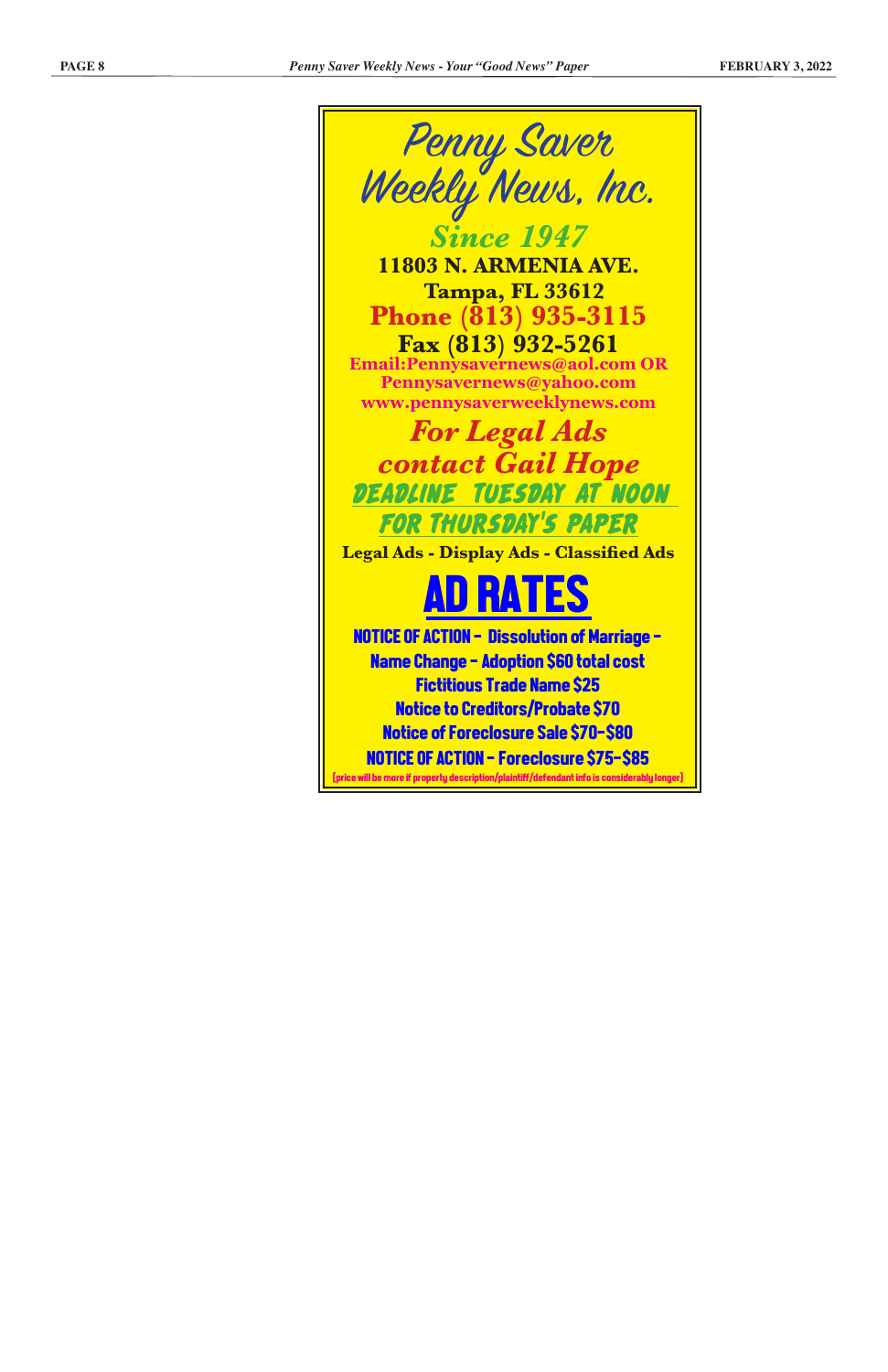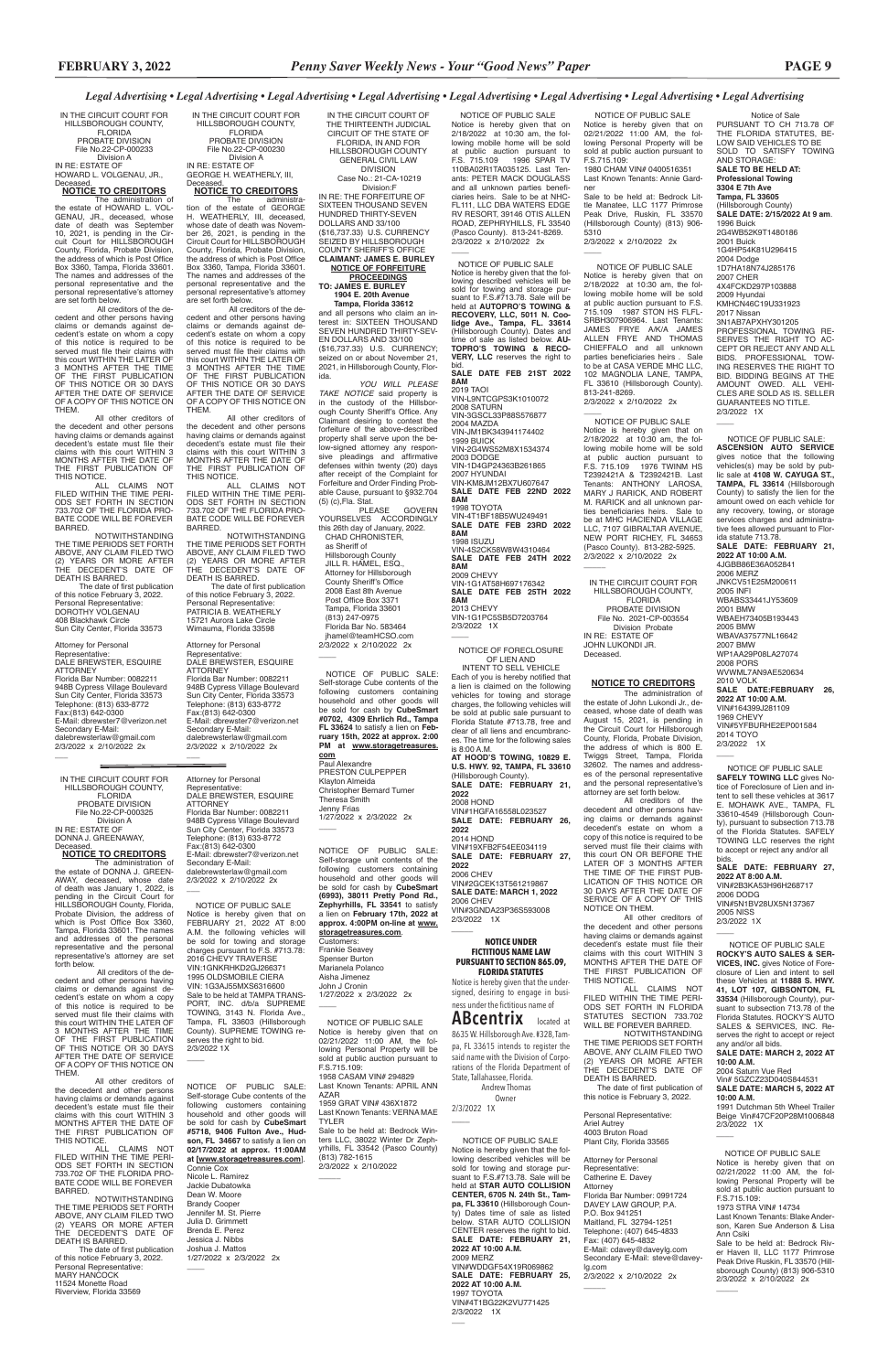Notice of Sale

PURSUANT TO CH 713.78 OF THE FLORIDA STATUTES, BE-LOW SAID VEHICLES TO BE SOLD TO SATISFY TOWING AND STORAGE: **SALE TO BE HELD AT: Professional Towing 3304 E 7th Ave Tampa, FL 33605** (Hillsborough County) **SALE DATE: 2/15/2022 At 9 am**. 1996 Buick 2G4WB52K9T1480186 2001 Buick 1G4HP54K81U296415 2004 Dodge 1D7HA18N74J285176 2007 CHER 4X4FCKD297P103888 2009 Hyundai KMHCN46C19U331923 2017 Nissan 3N1AB7APXHY301205 PROFESSIONAL TOWING RE-SERVES THE RIGHT TO AC-CEPT OR REJECT ANY AND ALL BIDS. PROFESSIONAL TOW-ING RESERVES THE RIGHT TO BID. BIDDING BEGINS AT THE AMOUNT OWED. ALL VEHI-CLES ARE SOLD AS IS. SELLER GUARANTEES NO TITLE. 2/3/2022 1X

 $\overline{\phantom{a}}$ 

 NOTICE OF PUBLIC SALE: **ASCENSION AUTO SERVICE** gives notice that the following vehicles(s) may be sold by pub-lic sale at **4108 W. CAYUGA ST., TAMPA, FL 33614** (Hillsborough County) to satisfy the lien for the amount owed on each vehicle for any recovery, towing, or storage services charges and administrative fees allowed pursuant to Florida statute 713.78. **SALE DATE: FEBRUARY 21, 2022 AT 10:00 A.M.** 4JGBB86E36A052841 2006 MERZ JNKCV51E25M200611 2005 INFI WBABS33441JY53609 2001 BMW WBAEH73405B193443 2005 BMW WBAVA37577NL16642 2007 BMW WP1AA29P08LA27074 2008 PORS WVWML7AN9AE520634 2010 VOLK **SALE DATE:FEBRUARY 26, 2022 AT 10:00 A.M.** VIN#164399J281109 1969 CHEVY VIN#5YFBURHE2EP001584 2014 TOYO 2/3/2022 1X  $\overline{\phantom{a}}$ 

### *Legal Advertising • Legal Advertising • Legal Advertising • Legal Advertising • Legal Advertising • Legal Advertising • Legal Advertising • Legal Advertising*

 $\overline{\phantom{a}}$ 

2/3/2022 1X  $\overline{\phantom{a}}$ 

 $\overline{\phantom{a}}$ 

 $\overline{\phantom{a}}$ 

 NOTICE OF PUBLIC SALE **SAFELY TOWING LLC** gives Notice of Foreclosure of Lien and intent to sell these vehicles at 3617 E. MOHAWK AVE., TAMPA, FL 33610-4549 (Hillsborough County), pursuant to subsection 713.78 of the Florida Statutes. SAFELY TOWING LLC reserves the right to accept or reject any and/or all bids.

 NOTICE OF PUBLIC SALE Notice is hereby given that on 2/18/2022 at 10:30 am, the following mobile home will be sold at public auction pursuant to F.S. 715.109 1976 TWINM HS T2392421A & T2392421B. Last Tenants: ANTHONY LAROSA, MARY J RARICK, AND ROBERT M. RARICK and all unknown parties beneficiaries heirs. Sale to be at MHC HACIENDA VILLAGE LLC, 7107 GIBRALTAR AVENUE, NEW PORT RICHEY, FL 34653 (Pasco County). 813-282-5925. 2/3/2022 x 2/10/2022 2x  $\overline{\phantom{a}}$ 

> **SALE DATE: FEBRUARY 27, 2022 AT 8:00 A.M.** VIN#2B3KA53H96H268717 2006 DODG VIN#5N1BV28UX5N137367 2005 NISS

 NOTICE OF PUBLIC SALE **ROCKY'S AUTO SALES & SER-VICES, INC.** gives Notice of Foreclosure of Lien and intent to sell these Vehicles at **11888 S. HWY. 41, LOT 107, GIBSONTON, FL 33534** (Hillsborough County), pursubsectio Florida Statutes. ROCKY'S AUTO SALES & SERVICES, INC. Reserves the right to accept or reject any and/or all bids. **SALE DATE: MARCH 2, 2022 AT 10:00 A.M.** 2004 Saturn Vue Red Vin# 5GZCZ23D040S844531 **SALE DATE: MARCH 5, 2022 AT 10:00 A.M.**

Paul Alexandre PRESTON CULPEPPER Klayton Almeida Christopher Bernard Turner Theresa Smith Jenny Frias 1/27/2022 x 2/3/2022 2x  $\overline{\phantom{a}}$ 

> 1991 Dutchman 5th Wheel Trailer Beige Vin#47CF20P28M1006848 2/3/2022 1X

Nicole L. Ramirez Jackie Dubatowka Dean W. Moore Brandy Cooper Jennifer M. St. Pierre Julia D. Grimmett Brenda E. Perez Jessica J. Nibbs Joshua J. Mattos 1/27/2022 x 2/3/2022 2x  $\overline{\phantom{a}}$ 

 $\overline{\phantom{a}}$ 

 NOTICE OF PUBLIC SALE Notice is hereby given that on 02/21/2022 11:00 AM, the following Personal Property will be sold at public auction pursuant to F.S.715.109: 1973 STRA VIN# 14734 Last Known Tenants: Blake Anderson, Karen Sue Anderson & Lisa Ann Csiki Sale to be held at: Bedrock River Haven II, LLC 1177 Primrose Peak Drive Ruskin, FL 33570 (Hill-

Last Known Tenants: VERNA MAE TYLER

> sborough County) (813) 906-5310 2/3/2022 x 2/10/2022 2x

 NOTICE OF PUBLIC SALE Notice is hereby given that on 02/21/2022 11:00 AM, the following Personal Property will be sold at public auction pursuant to F.S.715.109: 1980 CHAM VIN# 0400516351 Last Known Tenants: Annie Gardner

Sale to be held at: Bedrock Little Manatee, LLC 1177 Primrose Peak Drive, Ruskin, FL 33570 (Hillsborough County) (813) 906- 5310 2/3/2022 x 2/10/2022 2x

 $\overline{\phantom{a}}$ 

 $\overline{\phantom{a}}$ 

 NOTICE OF PUBLIC SALE Notice is hereby given that on 2/18/2022 at 10:30 am, the following mobile home will be sold at public auction pursuant to F.S. 715.109 1987 STON HS FLFL-SRBH307906964. Last Tenants: JAMES FRYE A/K/A JAMES ALLEN FRYE AND THOMAS CHIEFFALO and all unknown parties beneficiaries heirs . Sale to be at CASA VERDE MHC LLC, 102 MAGNOLIA LANE, TAMPA, FL 33610 (Hillsborough County). 813-241-8269. 2/3/2022 x 2/10/2022 2x

 $\overline{\phantom{a}}$ NOTICE OF FORECLOSURE

2/3/2022 1X  $\overline{\phantom{a}}$ 

 NOTICE OF PUBLIC SALE: Self-storage Cube contents of the following customers containing household and other goods will be sold for cash by **CubeSmart #0702, 4309 Ehrlich Rd., Tampa FL 33624** to satisfy a lien on **Feb-ruary 15th, 2022 at approx. 2:00 PM at www.storagetreasures. com**

NOTICE OF PUBLIC SALE: Self-storage unit contents of the following customers containing household and other goods will be sold for cash by **CubeSmart (6993), 38011 Pretty Pond Rd., Zephyrhills, FL 33541** to satisfy a lien on **February 17th, 2022 at approx. 4:00PM on-line at www. storagetreasures.com**. Customers: Frankie Seavey Spenser Burton Marianela Polanco Aisha Jimenez John J Cronin 1/27/2022 x 2/3/2022 2x

NOTICE OF PUBLIC SALE: Self-storage Cube contents of the following customers containing household and other goods will be sold for cash by **CubeSmart #5718, 9406 Fulton Ave., Hudson, FL 34667** to satisfy a lien on **02/17/2022 at approx. 11:00AM at [www.storagetreasures.com**].

 as Sheriff of Hillsborough County JILL R. HAMEL, ESQ., Attorney for Hillsborough County Sheriff's Office 2008 East 8th Avenue Post Office Box 3371 Tampa, Florida 33601 (813) 247-0975 Florida Bar No. 583464 jhamel@teamHCSO.com 2/3/2022 x 2/10/2022 2x  $\overline{\phantom{a}}$ 

#### Connie Cox

 NOTICE OF PUBLIC SALE Notice is hereby given that on 02/21/2022 11:00 AM, the following Personal Property will be sold at public auction pursuant to F.S.715.109:

 $\overline{\phantom{a}}$ 

 $\overline{\phantom{a}}$ 

The administra-<br>tion of the estate of GEORGE<br>H. WEATHERLY, III, deceased, whose date of death was Novem-ber 26, 2021, is pending in the Circuit Court for HILLSBOROUGH County, Florida, Probate Division, the address of which is Post Office Box 3360, Tampa, Florida 33601. The names and addresses of the personal representative and the personal representative's attorney are set forth below.

 All creditors of the de-cedent and other persons having claims or demands against decedent's estate on whom a copy of this notice is required to be<br>served must file their claims with served must file their claims with<br>this court WITHIN THE LATER OF<br>3 MONTHS AFTER THE TIME<br>OF THIS NOTICE OR 30 DAYS AFTER THE DATE OF SERVICE OF A COPY OF THIS NOTICE ON **THEM** 

> 1958 CASAM VIN# 294829 Last Known Tenants: APRIL ANN AZAR 1959 GRAT VIN# 436X1872

All other creditors of the decedent and other persons<br>having claims or demands against having claims or demands against<br>decedent's estate must file their<br>claims with this court WITHIN 3<br>MONTHS AFTER THE DATE OF<br>THE FIRST PUBLICATION OF

> Sale to be held at: Bedrock Winters LLC, 38022 Winter Dr Zephyrhills, FL 33542 (Pasco County) (813) 782-1615 2/3/2022 x 2/10/2022

 NOTICE OF PUBLIC SALE Notice is hereby given that on 2/18/2022 at 10:30 am, the following mobile home will be sold at public auction pursuant to F.S. 715.109 1996 SPAR TV 110BA02R1TA035125. Last Tenants: PETER MACK DOUGLASS and all unknown parties beneficiaries heirs. Sale to be at NHC-FL111, LLC DBA WATERS EDGE RV RESORT, 39146 OTIS ALLEN ROAD, ZEPHRYHILLS, FL 33540 (Pasco County). 813-241-8269. 2/3/2022 x 2/10/2022 2x

Attorney for Personal<br>Representative: Representative: DALE BREWSTER, ESQUIRE ATTORNEY Florida Bar Number: 0082211 948B Cypress Village Boulevard Sun City Center, Florida 33573 Telephone: (813) 633-8772 Fax:(813) 642-0300 E-Mail: dbrewster7@verizon.net Secondary E-Mail: dalebrewsterlaw@gmail.com 2/3/2022 x 2/10/2022 2x

 $\overline{\phantom{a}}$ 

 $\overline{\phantom{a}}$ 

IN THE CIRCUIT COURT FOR HILLSBOROUGH COUNTY, FLORIDA PROBATE DIVISION File No.22-CP-000233 Division A IN RE: ESTATE OF HOWARD L. VOLGENAU, JR., **Deceased** 

# NOTICE OF PUBLIC SALE Notice is hereby given that the following described vehicles will be sold for towing and storage pur-suant to F.S.#713.78. Sale will be held at **AUTOPRO'S TOWING & RECOVERY, LLC, 5011 N. Coo-lidge Ave., Tampa, FL. 33614** (Hillsborough County). Dates and time of sale as listed below. **AU-TOPRO'S TOWING & RECO-VERY, LLC** reserves the right to

The administration of<br>-the estate of HOWARD L. VOL<br>GENAU, JR., deceased, whose date of death was September 10, 2021, is pending in the Cir-cuit Court for HILLSBOROUGH County, Florida, Probate Division, the address of which is Post Office Box 3360, Tampa, Florida 33601. The names and addresses of the personal representative and the personal representative's attorney are set forth below.

> bid. **SALE DATE FEB 21ST 2022 8AM**

of this notice February 3, 2022. Personal Representative: DOROTHY VOLGENAU 408 Blackhawk Circle Sun City Center, Florida 33573

2019 TAOI VIN-L9NTCGPS3K1010072 2008 SATURN VIN-3GSCL33P88S576877 2004 MAZDA VIN-JM1BK343941174402 1999 BUICK VIN-2G4WS52M8X1534374 2003 DODGE VIN-1D4GP24363B261865 2007 HYUNDAI VIN-KM8JM12BX7U607647 **SALE DATE FEB 22ND 2022 8AM** 1998 TOYOTA VIN-4T1BF18B5WU249491 **SALE DATE FEB 23RD 2022 8AM** 1998 ISUZU VIN-4S2CK58W8W4310464 **SALE DATE FEB 24TH 2022 8AM** 2009 CHEVY VIN-1G1AT58H697176342 **SALE DATE FEB 25TH 2022 8AM** 2013 CHEVY VIN-1G1PC5SB5D7203764 2/3/2022 1X

 All creditors of the decedent and other persons having claims or demands against decedent's estate on whom a copy<br>of this notice is required to be of this notice is required

OF LIEN AND INTENT TO SELL VEHICLE Each of you is hereby notified that a lien is claimed on the following vehicles for towing and storage charges, the following vehicles will be sold at public sale pursuant to Florida Statute #713.78, free and clear of all liens and encumbrances. The time for the following sales<br>is 8:00 A.M. is 8:00 A.M. **AT HOOD'S TOWING, 10829 E. U.S. HWY. 92, TAMPA, FL 33610** (Hillsborough County). **SALE DATE: FEBRUARY 21, 2022** 2008 HOND VIN#1HGFA16558L023527 **SALE DATE: FEBRUARY 26, 2022** 2014 HOND VIN#19XFB2F54EE034119 **SALE DATE: FEBRUARY 27, 2022** 2006 CHEV VIN#2GCEK13T561219867 **SALE DATE: MARCH 1, 2022** 2006 CHEV VIN#3GNDA23P36S593008

served must file their claims with this court WITHIN THE LATER OF 3 MONTHS AFTER THE TIME OF THE FIRST PUBLICATION OF THIS NOTICE OR 30 DAYS AFTER THE DATE OF SERVICE OF A COPY OF THIS NOTICE ON THEM.

ALL CLAIMS NOT<br>-FILED WITHIN THE TIME PERI ODS SET FORTH IN SECTION 733.702 OF THE FLORIDA PRO-BATE CODE WILL BE FOREVER BARRED.

 The date of first publication of this notice February 3, 2022. Personal Representative: MARY HANCOCK 11524 Monette Road Riverview, Florida 33569

### **NOTICE UNDER FICTITIOUS NAME LAW PURSUANT TO SECTION 865.09, FLORIDA STATUTES**

Notice is hereby given that the undersigned, desiring to engage in business under the fictitious name of

**ABcentrix** located at 8635 W. Hillsborough Ave. #328, Tam-

pa, FL 33615 intends to register the said name with the Division of Corporations of the Florida Department of State, Tallahassee, Florida. Andrew Thomas

 Owner 2/3/2022 1X

\_\_\_\_

 $\overline{\phantom{a}}$ 

All other creditors of the decedent and other persons having claims or demands against decedent's estate must file their claims with this court WITHIN 3 MONTHS AFTER THE DATE OF THE FIRST PUBLICATION OF THIS NOTICE.

UE.<br>ALL CLAIMS NOT FILED WITHIN THE TIME PERI-<br>ODS SET FORTH IN FLORIDA ODS SET FORTH IN FLORIDA

 NOTICE OF PUBLIC SALE Notice is hereby given that the following described vehicles will be sold for towing and storage pursuant to F.S.#713.78. Sale will be held at **STAR AUTO COLLISION CENTER, 6705 N. 24th St., Tampa, FL 33610** (Hillsborough County) Dates time of sale as listed below. STAR AUTO COLLISION CENTER reserves the right to bid. **SALE DATE: FEBRUARY 21, 2022 AT 10:00 A.M.** 2009 MERZ VIN#WDDGF54X19R069862 **SALE DATE: FEBRUARY 25, 2022 AT 10:00 A.M.** 1997 TOYOTA VIN#4T1BG22K2VU771425 2/3/2022 1X

 NOTICE OF PUBLIC SALE Notice is hereby given that on FEBRUARY 21, 2022 AT 8:00 A.M. the following vehicles will be sold for towing and storage charges pursuant to F.S. #713.78: 2016 CHEVY TRAVERSE VIN:1GNKRHKD2GJ266371<br>1995 OLDSMOBILE CIERA 1995 OLDSMOBILE CIERA VIN: 1G3AJ55MXS6316600 Sale to be held at TAMPA TRANS-PORT, INC. d/b/a SUPREME TOWING, 3143 N. Florida Ave., Tampa, FL 33603 (Hillsborough County). SUPREME TOWING reserves the right to bid. 2/3/2022 1X

IN THE CIRCUIT COURT OF THE THIRTEENTH JUDICIAL CIRCUIT OF THE STATE OF FLORIDA, IN AND FOR HILLSBOROUGH COUNTY GENERAL CIVIL LAW DIVISION Case No.: 21-CA-10219

 Division:F IN RE: THE FORFEITURE OF SIXTEEN THOUSAND SEVEN HUNDRED THIRTY-SEVEN DOLLARS AND 33/100 (\$16,737.33) U.S. CURRENCY SEIZED BY HILLSBOROUGH COUNTY SHERIFF'S OFFICE **CLAIMANT: JAMES E. BURLEY**

### **NOTICE OF FORFEITURE PROCEEDINGS TO: JAMES E. BURLEY**

 **1904 E. 20th Avenue Tampa, Florida 33612**

and all persons who claim an interest in: SIXTEEN THOUSAND SEVEN HUNDRED THIRTY-SEV-EN DOLLARS AND 33/100 (\$16,737.33) U.S. CURRENCY; seized on or about November 21, 2021, in Hillsborough County, Florida.

*YOU WILL PLEASE TAKE NOTICE* said property is in the custody of the Hillsborough County Sheriff's Office. Any Claimant desiring to contest the forfeiture of the above-described property shall serve upon the below-signed attorney any responsive pleadings and affirmative defenses within twenty (20) days after receipt of the Complaint for Forfeiture and Order Finding Probable Cause, pursuant to §932.704 (5) (c),Fla. Stat.

PLEASE GOVERN YOURSELVES ACCORDINGLY this 26th day of January, 2022. CHAD CHRONISTER,

IN THE CIRCUIT COURT FOR HILLSBOROUGH COUNTY, FLORIDA PROBATE DIVISION File No.22-CP-000230 Division A IN RE: ESTATE OF GEORGE H. WEATHERLY, III,

# Deceased. **NOTICE TO CREDITORS**

THIS NOTICE. ALL CLAIMS NOT FILED WITHIN THE TIME PERI-ODS SET FORTH IN SECTION 733.702 OF THE FLORIDA PRO-BATE CODE WILL BE FOREVER BARRED.

NOTWITHSTANDING THE TIME PERIODS SET FORTH ABOVE, ANY CLAIM FILED TWO (2) YEARS OR MORE AFTER THE DECEDENT'S DATE OF

DEATH IS BARRED. The date of first publication of this notice February 3, 2022. Personal Representative: PATRICIA B. WEATHERLY 15721 Aurora Lake Circle Wimauma, Florida 33598

### **NOTICE TO CREDITORS**

 All creditors of the de-cedent and other persons having claims or demands against decedent's estate on whom a copy of this notice is required to be served must file their claims with this court WITHIN THE LATER OF<br>3 MONTHS AFTER THE TIME<br>OF THE FIRST PUBLICATION<br>OF THIS NOTICE OR 30 DAYS AFTER THE DATE OF SERVICE OF A COPY OF THIS NOTICE ON THEM.

All other creditors of the decedent and other persons having claims or demands against decedent's estate must file their claims with this court WITHIN 3 MONTHS AFTER THE DATE OF THE FIRST PUBLICATION OF

THIS NOTICE. ALL CLAIMS NOT FILED WITHIN THE TIME PERI-ODS SET FORTH IN SECTION 733.702 OF THE FLORIDA PRO-BATE CODE WILL BE FOREVER BARRED.

NOTWITHSTANDING THE TIME PERIODS SET FORTH ABOVE, ANY CLAIM FILED TWO (2) YEARS OR MORE AFTER THE DECEDENT'S DATE OF DEATH IS BARRED. The date of first publication

Attorney for Personal Representative: DALE BREWSTER, ESQUIRE ATTORNEY Florida Bar Number: 0082211 948B Cypress Village Boulevard Sun City Center, Florida 33573 Telephone: (813) 633-8772 Fax:(813) 642-0300 E-Mail: dbrewster7@verizon.net Secondary E-Mail: dalebrewsterlaw@gmail.com 2/3/2022 x 2/10/2022 2x

IN THE CIRCUIT COURT FOR HILLSBOROUGH COUNTY, **FLORIDA** PROBATE DIVISION File No.22-CP-000325 Division A IN RE: ESTATE OF DONNA J. GREENAWAY, Deceased.

 $\overline{\phantom{a}}$ 

**NOTICE TO CREDITORS** 

The administration of the estate of DONNA J. GREEN-AWAY, deceased, whose date of death was January 1, 2022, is pending in the Circuit Court for HILLSBOROUGH County, Florida, Probate Division, the address of which is Post Office Box 3360, Tampa, Florida 33601. The names and addresses of the personal representative and the personal representative's attorney are set forth below.

All other creditors of the decedent and other persons having claims or demands against decedent's estate must file their claims with this court WITHIN 3 MONTHS AFTER THE DATE OF THE FIRST PUBLICATION OF THIS NOTICE.

NOTWITHSTANDING THE TIME PERIODS SET FORTH ABOVE, ANY CLAIM FILED TWO (2) YEARS OR MORE AFTER THE DECEDENT'S DATE OF DEATH IS BARRED.

IN THE CIRCUIT COURT FOR HILLSBOROUGH COUNTY, FLORIDA PROBATE DIVISION File No. 2021-CP-003554 Division Probate IN RE: ESTATE OF JOHN LUKONDI JR. Deceased.

## **NOTICE TO CREDITORS**

The administration of the estate of John Lukondi Jr., deceased, whose date of death was August 15, 2021, is pending in the Circuit Court for Hillsborough County, Florida, Probate Division, the address of which is 800 E. Twiggs Street, Tampa, Florida 32602. The names and addresses of the personal representative and the personal representative's

attorney are set forth below. All creditors of the decedent and other persons having claims or demands against decedent's estate on whom a copy of this notice is required to be served must file their claims with this court ON OR BEFORE THE LATER OF 3 MONTHS AFTER THE TIME OF THE FIRST PUB-LICATION OF THIS NOTICE OR 30 DAYS AFTER THE DATE OF SERVICE OF A COPY OF THIS NOTICE ON THEM.

STATUTES SECTION 733.702 WILL BE FOREVER BARRED.

NOTWITHSTANDING THE TIME PERIODS SET FORTH ABOVE, ANY CLAIM FILED TWO (2) YEARS OR MORE AFTER THE DECEDENT'S DATE OF DEATH IS BARRED.

 The date of first publication of this notice is February 3, 2022.

Personal Representative: Ariel Autrey 4003 Bruton Road Plant City, Florida 33565

Attorney for Personal Representative: Catherine E. Davey Attorney Florida Bar Number: 0991724 DAVEY LAW GROUP, P.A. P.O. Box 941251 Maitland, FL 32794-1251 Telephone: (407) 645-4833 Fax: (407) 645-4832 E-Mail: cdavey@daveylg.com Secondary E-Mail: steve@daveylg.com 2/3/2022 x 2/10/2022 2x

 $\overline{\phantom{a}}$ 

Attorney for Personal Representative: DALE BREWSTER, ESQUIRE ATTORNEY Florida Bar Number: 0082211 948B Cypress Village Boulevard Sun City Center, Florida 33573 Telephone: (813) 633-8772 Fax:(813) 642-0300 E-Mail: dbrewster7@verizon.net Secondary E-Mail: dalebrewsterlaw@gmail.com 2/3/2022 x 2/10/2022 2x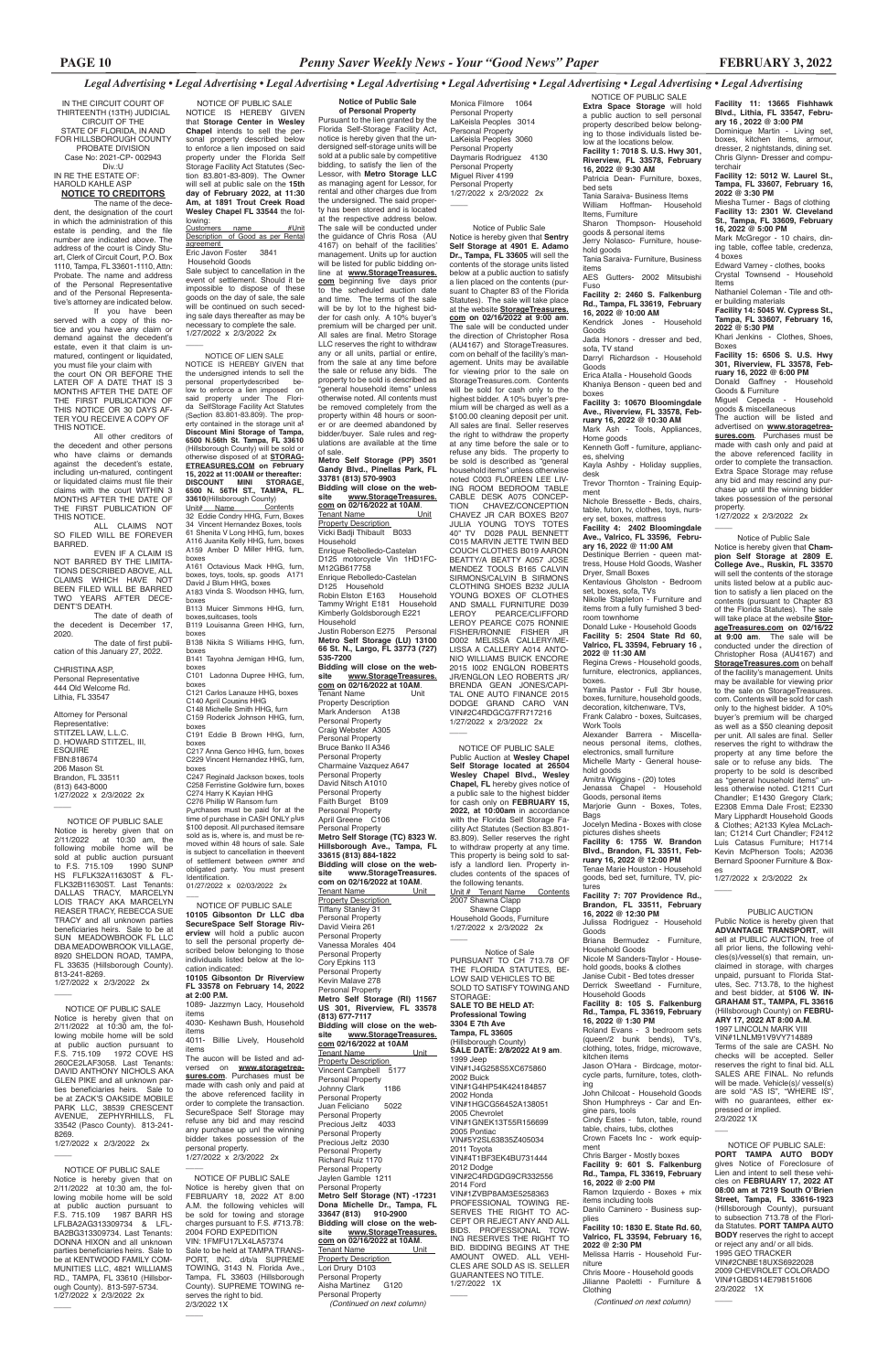**Facility 11: 13665 Fishhawk** 

**Blvd., Lithia, FL 33547, February 16 , 2022 @ 3:00 PM** Dominique Martin - Living set, boxes, kitchen items, armour, dresser, 2 nightstands, dining set. Chris Glynn- Dresser and computerchair **Facility 12: 5012 W. Laurel St., Tampa, FL 33607, February 16,** 

**2022 @ 3:30 PM** Miesha Turner - Bags of clothing **Facility 13: 2301 W. Cleveland St., Tampa, FL 33609, February 16, 2022 @ 5:00 PM**

Mark McGregor - 10 chairs, dining table, coffee table, credenza, 4 boxes

Edward Varney - clothes, books Crystal Townsend - Household Items

Nathaniel Coleman - Tile and oth-

er building materials **Facility 14: 5045 W. Cypress St., Tampa, FL 33607, February 16, 2022 @ 5:30 PM**

Khari Jenkins - Clothes, Shoes, Boxes

**Facility 15: 6506 S. U.S. Hwy 301, Riverview, FL 33578, February 16, 2022 @ 6:00 PM**

Donald Gaffney - Household Goods & Furniture

Kendrick Jones Goods Jada Honors - dresser and bed, sofa, TV stand

> Miguel Cepeda - Household goods & miscellaneous

The auction will be listed and advertised on **www.storagetreasures.com**. Purchases must be made with cash only and paid at the above referenced facility in order to complete the transaction. Extra Space Storage may refuse any bid and may rescind any purchase up until the winning bidder takes possession of the personal property.

1/27/2022 x 2/3/2022 2x

 $\overline{\phantom{a}}$ 

 NOTICE OF PUBLIC SALE **Extra Space Storage** will hold a public auction to sell personal property described below belong-

ing to those individuals listed below at the locations below. **Facility 1: 7018 S. U.S. Hwy 301, Riverview, FL 33578, February 16, 2022 @ 9:30 AM** Patricia Dean- Furniture, boxes, bed sets Tania Saraiva- Business Items William Hoffman- Household Items, Furniture Sharon Thompson- Household goods & personal items Jerry Nolasco- Furniture, household goods Tania Saraiva- Furniture, Business items AES Gutters- 2002 Mitsubishi Fuso **Facility 2: 2460 S. Falkenburg Rd., Tampa, FL 33619, February 16, 2022 @ 10:00 AM**

Darryl Richardson - Household Goods

Erica Atalla - Household Goods Khaniya Benson - queen bed and boxes

**Facility 3: 10670 Bloomingdale Ave., Riverview, FL 33578, February 16, 2022 @ 10:30 AM** Mark Ash - Tools, Appliances, Home goods

Kenneth Goff - furniture, appliances, shelving

Kayla Ashby - Holiday supplies, desk

Trevor Thornton - Training Equipment

Nichole Bressette - Beds, chairs, table, futon, tv, clothes, toys, nursery set, boxes, mattress

**Facility 4: 2402 Bloomingdale Ave., Valrico, FL 33596, February 16, 2022 @ 11:00 AM**

Destinique Berrien - queen mattress, House Hold Goods, Washer Dryer, Small Boxes

Kentavious Gholston - Bedroom set, boxes, sofa, TVs Nikolle Stapleton - Furniture and

items from a fully furnished 3 bedroom townhome Donald Luke - Household Goods

**Facility 5: 2504 State Rd 60, Valrico, FL 33594, February 16 , 2022 @ 11:30 AM**

Notice is hereby given that **Sentry Self Storage at 4901 E. Adamo**  Dr., Tampa, FL 33605 will sell the contents of the storage units listed below at a public auction to satisfy a lien placed on the contents (pursuant to Chapter 83 of the Florida Statutes). The sale will take place at the website **StorageTreasures. com on 02/16/2022 at 9:00 am**. The sale will be conducted under the direction of Christopher Rosa (AU4167) and StorageTreasures. com on behalf of the facility's management. Units may be available for viewing prior to the sale on StorageTreasures.com. Contents will be sold for cash only to the highest bidder. A 10% buyer's premium will be charged as well as a \$100.00 cleaning deposit per unit. All sales are final. Seller reserves the right to withdraw the property at any time before the sale or to refuse any bids. The property to be sold is described as "general household items" unless otherwise noted C003 FLOREEN LEE LIV-ING ROOM BEDROOM TABLE CABLE DESK A075 CONCEP-TION CHAVEZ/CONCEPTION CHAVEZ JR CAR BOXES B207 JULIA YOUNG TOYS TOTES 40" TV D028 PAUL BENNETT C015 MARVIN JETTE TWIN BED COUCH CLOTHES B019 AARON BEATTY/A BEATTY A057 JOSE MENDEZ TOOLS B165 CALVIN SIRMONS/CALVIN B SIRMONS CLOTHING SHOES B232 JULIA YOUNG BOXES OF CLOTHES AND SMALL FURNITURE D039<br>LEROY PEARCE/CLIFFORD LEROY PEARCE/CLIFFORD LEROY PEARCE C075 RONNIE FISHER/RONNIE FISHER JR D002 MELISSA CALLERY/ME-LISSA A CALLERY A014 ANTO-NIO WILLIAMS BUICK ENCORE 2015 I002 ENGLON ROBERTS JR/ENGLON LEO ROBERTS JR/ BRENDA GEAN JONES/CAPI-TAL ONE AUTO FINANCE 2015 DODGE GRAND CARO VAN VIN#2C4RDGCG7FR717216 1/27/2022 x 2/3/2022 2x  $\overline{\phantom{a}}$ 

Regina Crews - Household goods, furniture, electronics, appliances, boxes.

Yamila Pastor - Full 3br house, boxes, furniture, household goods, decoration, kitchenware, TVs, Frank Calabro - boxes, Suitcases,

Work Tools Alexander Barrera - Miscella-

neous personal items, clothes, electronics, small furniture Michelle Marty - General household goods

Amitra Wiggins - (20) totes Jenassa Chapel - Household Goods, personal items

Marjorie Gunn - Boxes, Totes, Bags

Jocelyn Medina - Boxes with close pictures dishes sheets

**Facility 6: 1755 W. Brandon Blvd., Brandon, FL 33511, February 16, 2022 @ 12:00 PM** Tenae Marie Houston - Household

goods, bed set, furniture, TV, pictures

**Facility 7: 707 Providence Rd., Brandon, FL 33511, February 16, 2022 @ 12:30 PM** Julissa Rodriguez - Household

Goods Briana Bermudez - Furniture,

Monica Filmore 1064 Personal Property LaKeisla Peoples 3014 Personal Property LaKeisla Peoples 3060 Personal Property Daymaris Rodriguez 4130 Personal Property Miguel River 4199 Personal Property 1/27/2022 x 2/3/2022 2x  $\overline{\phantom{a}}$ 

> Household Goods Nicole M Sanders-Taylor - House-

hold goods, books & clothes Janise Cubit - Bed totes dresser Derrick Sweetland - Furniture,

Household Goods

**Facility 8: 105 S. Falkenburg** 

**Rd., Tampa, FL 33619, February 16, 2022 @ 1:30 PM** Roland Evans - 3 bedroom sets (queen/2 bunk bends), TV's, clothing, totes, fridge, microwave, kitchen items Jason O'Hara - Birdcage, motorcycle parts, furniture, totes, clothing John Chilcoat - Household Goods Shon Humphreys - Car and Engine pars, tools Cindy Estes - futon, table, round table, chairs, tubs, clothes Crown Facets Inc - work equipment Chris Barger - Mostly boxes **Facility 9: 601 S. Falkenburg Rd., Tampa, FL 33619, February 16, 2022 @ 2:00 PM** Ramon Izquierdo - Boxes + mix items including tools Danilo Caminero - Business supplies **Facility 10: 1830 E. State Rd. 60, Valrico, FL 33594, February 16, 2022 @ 2:30 PM** Melissa Harris - Household Fur-

**Bidding will close on the web-**<br>site www.StorageTreasures. **site www.StorageTreasures. com on 02/16/2022 at 10AM**. Tenant Name Property Description Vicki Badji Thibault B033 Household Enrique Rebolledo-Castelan

niture

Chris Moore - Household goods Jilianne Paoletti - Furniture &

 $\overline{\phantom{a}}$ 

Clothing

*(Continued on next column)*

Notice of Public Sale

**Bidding will close on the web-**<br>site www.StorageTreasures **site www.StorageTreasures. com 02/16/2022 at 10AM**

Notice is hereby given that **Champion Self Storage at 2809 E. College Ave., Ruskin, FL 33570** will sell the contents of the storage units listed below at a public auction to satisfy a lien placed on the contents (pursuant to Chapter 83 of the Florida Statutes). The sale will take place at the website **StorageTreasures.com on 02/16/22 at 9:00 am**. The sale will be conducted under the direction of Christopher Rosa (AU4167) and **StorageTreasures.com** on behalf of the facility's management. Units may be available for viewing prior to the sale on StorageTreasures. com. Contents will be sold for cash only to the highest bidder. A 10% buyer's premium will be charged as well as a \$50 cleaning deposit per unit. All sales are final. Seller reserves the right to withdraw the property at any time before the sale or to refuse any bids. The property to be sold is described as "general household items" unless otherwise noted. C1211 Curt Chandler; E1430 Gregory Clark; E2308 Emma Dale Frost; E2330 Mary Lipphardt Household Goods & Clothes; A2133 Kylea McLachlan; C1214 Curt Chandler; F2412 Luis Catasus Furniture; H1714 Kevin McPherson Tools; A2036 Bernard Spooner Furniture & Box-

Tenant Name Unit Property Description Vincent Campbell 5177 Personal Property<br>Johnny Clark 1186 Johnny Clark Personal Property Juan Feliciano 5022 Personal Property Precious Jeltz 4033 Personal Property Precious Jeltz 2030 Personal Property Richard Ruiz 1170 Personal Property Jaylen Gamble 1211 Personal Property **Metro Self Storage (NT) -17231 Dona Michelle Dr., Tampa, FL 33647 (813) 910-2900 Bidding will close on the website www.StorageTreasures. <u>com</u>** on 02/16/2022 at 10AM.<br>Tenant Name Unit Tenant Name Property Description Lori Drury D103 Personal Property<br>Aisha Martinez G120 Aisha Martinez Personal Property *(Continued on next column)*

es

 $\overline{\phantom{a}}$ 

1/27/2022 x 2/3/2022 2x

Notice of Public Sale

 Shawne Clapp Household Goods, Furniture 1/27/2022 x 2/3/2022 2x  $\overline{\phantom{a}}$ 

**Notice of Public Sale** 

**of Personal Property** Pursuant to the lien granted by the Florida Self-Storage Facility Act, notice is hereby given that the undersigned self-storage units will be sold at a public sale by competitive bidding, to satisfy the lien of the Lessor, with **Metro Storage LLC**  as managing agent for Lessor, for rental and other charges due from the undersigned. The said property has been stored and is located at the respective address below. The sale will be conducted under the guidance of Chris Rosa (AU 4167) on behalf of the facilities' management. Units up for auction will be listed for public bidding online at **www.StorageTreasures. com** beginning five days prior to the scheduled auction date and time. The terms of the sale will be by lot to the highest bidder for cash only. A 10% buyer's premium will be charged per unit. All sales are final. Metro Storage LLC reserves the right to withdraw any or all units, partial or entire, from the sale at any time before the sale or refuse any bids. The property to be sold is described as "general household items" unless otherwise noted. All contents must be removed completely from the property within 48 hours or sooner or are deemed abandoned by bidder/buyer. Sale rules and regulations are available at the time of sale. **Metro Self Storage (PP) 3501 Gandy Blvd., Pinellas Park, FL 33781 (813) 570-9903**

D125 motorcycle Vin 1HD1FC-M12GB617758 Enrique Rebolledo-Castelan D125 Household Robin Elston E163 Household Tammy Wright E181 Household Kimberly Goldsborough E221 Household Justin Roberson E275 Personal **Metro Self Storage (LU) 13100 66 St. N., Largo, FL 33773 (727) 535-7200 Bidding will close on the website www.StorageTreasures. com on 02/16/2022 at 10AM.**<br>Tenant Name Unit Tenant Name Property Description Mark Anderson A138 Personal Property Craig Webster A305 Personal Property Bruce Banko II A346 Personal Property Charmaine Vazquez A647

 NOTICE OF PUBLIC SALE Notice is hereby given that on FEBRUARY 18, 2022 AT 8:00 A.M. the following vehicles will be sold for towing and storage charges pursuant to F.S. #713.78: 2004 FORD EXPEDITION VIN: 1FMFU17LX4LA57374 Sale to be held at TAMPA TRANS-PORT, INC. d/b/a SUPREME TOWING, 3143 N. Florida Ave., Tampa, FL 33603 (Hillsborough County). SUPREME TOWING reserves the right to bid. 2/3/2022 1X  $\overline{\phantom{a}}$ 

 $\overline{\phantom{a}}$ 

Personal Property David Nitsch A1010 Personal Property Faith Burget B109 Personal Property April Greene C106 Personal Property **Metro Self Storage (TC) 8323 W. Hillsborough Ave., Tampa, FL 33615 (813) 884-1822 Bidding will close on the web-**<br>site www.StorageTreasures **site www.StorageTreasures. com on 02/16/2022 at 10AM**. Tenant Name Unit Property Description Tiffany Stanley 31 Personal Property

David Vieira 261 Personal Property Vanessa Morales 404 Personal Property Cory Epkins 113 Personal Property Kevin Malave 278 Personal Property **Metro Self Storage (RI) 11567** 

**US 301, Riverview, FL 33578 (813) 677-7117**

 NOTICE OF PUBLIC SALE NOTICE IS HEREBY GIVEN that **Storage Center in Wesley Chapel** intends to sell the personal property described below to enforce a lien imposed on said property under the Florida Self Storage Facility Act Statutes (Section 83.801-83-809). The Owner will sell at public sale on the **15th day of February 2022, at 11:30 Am, at 1891 Trout Creek Road Wesley Chapel FL 33544** the fol-

lowing:<br>Customers Customers name #Unit Description of Good as per Rental <u>agreement</u><br>Eric Javon Foster 3841

 Household Goods Sale subject to cancellation in the event of settlement. Should it be impossible to dispose of these goods on the day of sale, the sale will be continued on such seceding sale days thereafter as may be necessary to complete the sale. 1/27/2022 x 2/3/2022 2x

IN THE CIRCUIT COURT OF THIRTEENTH (13TH) JUDICIAL CIRCUIT OF THE STATE OF FLORIDA, IN AND FOR HILLSBOROUGH COUNTY PROBATE DIVISION Case No: 2021-CP- 002943

Div.:U IN RE THE ESTATE OF: HAROLD KAHLE ASP **NOTICE TO CREDITORS**

The name of the decedent, the designation of the court in which the administration of this estate is pending, and the file number are indicated above. The address of the court is Cindy Stuart, Clerk of Circuit Court, P.O. Box 1110, Tampa, FL 33601-1110, Attn: Probate. The name and address of the Personal Representative and of the Personal Representative's attorney are indicated below.

If you have been served with a copy of this notice and you have any claim or demand against the decedent's estate, even it that claim is unmatured, contingent or liquidated, you must file your claim with

the court ON OR BEFORE THE LATER OF A DATE THAT IS 3 MONTHS AFTER THE DATE OF THE FIRST PUBLICATION OF THIS NOTICE OR 30 DAYS AF-TER YOU RECEIVE A COPY OF THIS NOTICE.

All other creditors of the decedent and other persons who have claims or demands against the decedent's estate, including un-matured, contingent or liquidated claims must file their claims with the court WITHIN 3 MONTHS AFTER THE DATE OF THE FIRST PUBLICATION OF THIS NOTICE.

ALL CLAIMS NOT SO FILED WILL BE FOREVER BARRED.

EVEN IF A CLAIM IS NOT BARRED BY THE LIMITA-TIONS DESCRIBED ABOVE, ALL CLAIMS WHICH HAVE NOT BEEN FILED WILL BE BARRED TWO YEARS AFTER DECE-DENT'S DEATH.

The date of death of the decedent is December 17, 2020.

The date of first publication of this January 27, 2022.

CHRISTINA ASP, Personal Representative 444 Old Welcome Rd. Lithia, FL 33547

Attorney for Personal Representative: STITZEL LAW, L.L.C. D. HOWARD STITZEL, III, ESQUIRE FBN:818674 206 Mason St. Brandon, FL 33511 (813) 643-8000 1/27/2022 x 2/3/2022 2x

 $\overline{\phantom{a}}$ 

 NOTICE OF PUBLIC SALE Notice is hereby given that on 2/11/2022 at 10:30 am, the following mobile home will be sold at public auction pursuant to F.S. 715.109 1990 SUNP HS FLFLK32A11630ST & FL-FLK32B11630ST. Last Tenants: DALLAS TRACY, MARCELYN LOIS TRACY AKA MARCELYN REASER TRACY, REBECCA SUE TRACY and all unknown parties beneficiaries heirs. Sale to be at SUN MEADOWBROOK FL LLC DBA MEADOWBROOK VILLAGE, 8920 SHELDON ROAD, TAMPA FL 33635 (Hillsborough County). 813-241-8269. 1/27/2022 x 2/3/2022 2x

 $\overline{\phantom{a}}$ 

 NOTICE OF PUBLIC SALE Notice is hereby given that on 2/11/2022 at 10:30 am, the following mobile home will be sold at public auction pursuant to F.S. 715.109 1972 COVE HS 260CE2LAF3058. Last Tenants: DAVID ANTHONY NICHOLS AKA GLEN PIKE and all unknown parties beneficiaries heirs. Sale to ties beneficiaries heirs. be at ZACK'S OAKSIDE MOBILE PARK LLC, 38539 CRESCENT AVENUE, ZEPHYRHILLS, FL 33542 (Pasco County). 813-241- 8269.

1/27/2022 x 2/3/2022 2x

 $\overline{\phantom{a}}$ 

 $\overline{\phantom{a}}$ 

 NOTICE OF PUBLIC SALE Notice is hereby given that on 2/11/2022 at 10:30 am, the following mobile home will be sold at public auction pursuant to F.S. 715.109 1987 BARR HS LFLBA2AG313309734 & LFL-BA2BG313309734. Last Tenants: DONNA HIXON and all unknown parties beneficiaries heirs. Sale to be at KENTWOOD FAMILY COM-MUNITIES LLC, 4821 WILLIAMS RD., TAMPA, FL 33610 (Hillsborough County). 813-597-5734. 1/27/2022 x 2/3/2022 2x

 NOTICE OF PUBLIC SALE Public Auction at **Wesley Chapel Self Storage located at 26504 Wesley Chapel Blvd., Wesley Chapel, FL** hereby gives notice of a public sale to the highest bidder for cash only on **FEBRUARY 15, 2022, at 10:00am** in accordance with the Florida Self Storage Facility Act Statutes (Section 83.801- 83.809). Seller reserves the right to withdraw property at any time. This property is being sold to satisfy a landlord lien. Property includes contents of the spaces of the following tenants. Unit # Tenant Name Contents 2007 Shawna Clapp

**SecureSpace Self Storage Riverview** will hold a public aucon to sell the personal property described below belonging to those individuals listed below at the location indicated: **10105 Gibsonton Dr Riverview** 

**FL 33578 on February 14, 2022 at 2:00 P.M.** 1089- Jazzmyn Lacy, Household

items 4030- Keshawn Bush, Household items 4011- Billie Lively, Household

items The aucon will be listed and adversed on **www.storagetreasures.com**. Purchases must be made with cash only and paid at the above referenced facility in order to complete the transaction. SecureSpace Self Storage may refuse any bid and may rescind any purchase up unl the winning bidder takes possession of the personal property. 1/27/2022 x 2/3/2022 2x

NOTICE OF LIEN SALE

 $\overline{\phantom{a}}$ 

NOTICE IS HEREBY GIVEN that the undersigned intends to sell the personal propertydescribed below to enforce a lien imposed said property under The Flori-da SelfStorage Facility Act Statutes (Section 83.801-83.809). The property contained in the storage unit at **Discount Mini Storage of Tampa, 6500 N.56th St. Tampa, FL 33610** (Hillsborough County) will be sold or otherwise disposed of at **STORAG-ETREASURES.COM on February 15, 2022 at 11:00AM or thereafter: DISCOUNT MINI STORAGE, 6500 N. 56TH ST., TAMPA, FL.** 

 NOTICE OF PUBLIC SALE **10105 Gibsonton Dr LLC dba 33610**(Hillsborough County) <u>Unit# Name Contents</u><br>32 Eddie Condry HHG, Furn, Boxes 34 Vincent Hernandez Boxes, tools 61 Shenita V Long HHG, furn, boxes A116 Juanita Kelly HHG, furn, boxes A159 Amber D Miller HHG, furn, boxes A161 Octavious Mack HHG, furn, boxes, toys, tools, sp. goods A171 David J Blum HHG, boxes A183 Vinda S. Woodson HHG, furn, boxes B113 Muicer Simmons HHG, furn, boxes,suitcases, tools B119 Louisanna Green HHG, furn, boxes B138 Nikita S Williams HHG, furn, boxes B141 Tayohna Jernigan HHG, furn, boxes C101 Ladonna Dupree HHG, furn, boxes C121 Carlos Lanauze HHG, boxes C140 April Cousins HHG C148 Michelle Smith HHG, furn C159 Roderick Johnson HHG, furn, boxes C191 Eddie B Brown HHG, furn, boxes C217 Anna Genco HHG, furn, boxes C229 Vincent Hernandez HHG, furn, boxes C247 Reginald Jackson boxes, tools C258 Ferristine Goldwire furn, boxes C274 Harry K Kayian HHG C276 Phillip W Ransom furn Purchases must be paid for at the time of purchase in CASH ONLY plus \$100 deposit. All purchased itemsare sold as is, where is, and must be removed within 48 hours of sale. Sale is subject to cancellation in theevent of settlement between owner and obligated party. You must present Identification. 01/27/2022 x 02/03/2022 2x

> Notice of Sale PURSUANT TO CH 713.78 OF THE FLORIDA STATUTES, BE-LOW SAID VEHICLES TO BE SOLD TO SATISFY TOWING AND STORAGE: **SALE TO BE HELD AT:**

**Professional Towing 3304 E 7th Ave Tampa, FL 33605** (Hillsborough County) **SALE DATE: 2/8/2022 At 9 am**. 1999 Jeep VIN#1J4G258S5XC675860 2002 Buick VIN#1G4HP54K424184857 2002 Honda VIN#1HGCG56452A138051 2005 Chevrolet VIN#1GNEK13T55R156699 2005 Pontiac VIN#5Y2SL63835Z405034 2011 Toyota VIN#4T1BF3EK4BU731444 2012 Dodge VIN#2C4RDGDG9CR332556 2014 Ford VIN#1ZVBP8AM3E5258363 PROFESSIONAL TOWING RE-SERVES THE RIGHT TO AC-CEPT OR REJECT ANY AND ALL BIDS. PROFESSIONAL TOW-ING RESERVES THE RIGHT TO BID. BIDDING BEGINS AT THE AMOUNT OWED. ALL VEHI-CLES ARE SOLD AS IS. SELLER GUARANTEES NO TITLE. 1/27/2022 1X

 $\overline{\phantom{a}}$ 

PUBLIC AUCTION

Public Notice is hereby given that **ADVANTAGE TRANSPORT**, will sell at PUBLIC AUCTION, free of all prior liens, the following vehicles(s)/vessel(s) that remain, unclaimed in storage, with charges unpaid, pursuant to Florida Statutes, Sec. 713.78, to the highest and best bidder, at **5106 W. IN-GRAHAM ST., TAMPA, FL 33616** 

### (Hillsborough County) on **FEBRU-ARY 17, 2022 AT 8:00 A.M**. 1997 LINCOLN MARK VIII VIN#1LNLM91V9VY714889 Terms of the sale are CASH. No

 $\overline{\phantom{a}}$ 

checks will be accepted. Seller reserves the right to final bid. ALL SALES ARE FINAL. No refunds will be made. Vehicle(s)/ vessel(s) are sold "AS IS", "WHERE IS", with no guarantees, either expressed or implied. 2/3/2022 1X

 NOTICE OF PUBLIC SALE: **PORT TAMPA AUTO BODY** gives Notice of Foreclosure of Lien and intent to sell these vehi-cles on **FEBRUARY 17, 2022 AT 08:00 am at 7219 South O'Brien Street, Tampa, FL 33616-1923** (Hillsborough County), pursuant to subsection 713.78 of the Florida Statutes. **PORT TAMPA AUTO BODY** reserves the right to accept or reject any and/ or all bids. 1995 GEO TRACKER VIN#2CNBE18UXS6922028 2009 CHEVROLET COLORADO VIN#1GBDS14E798151606 2/3/2022 1X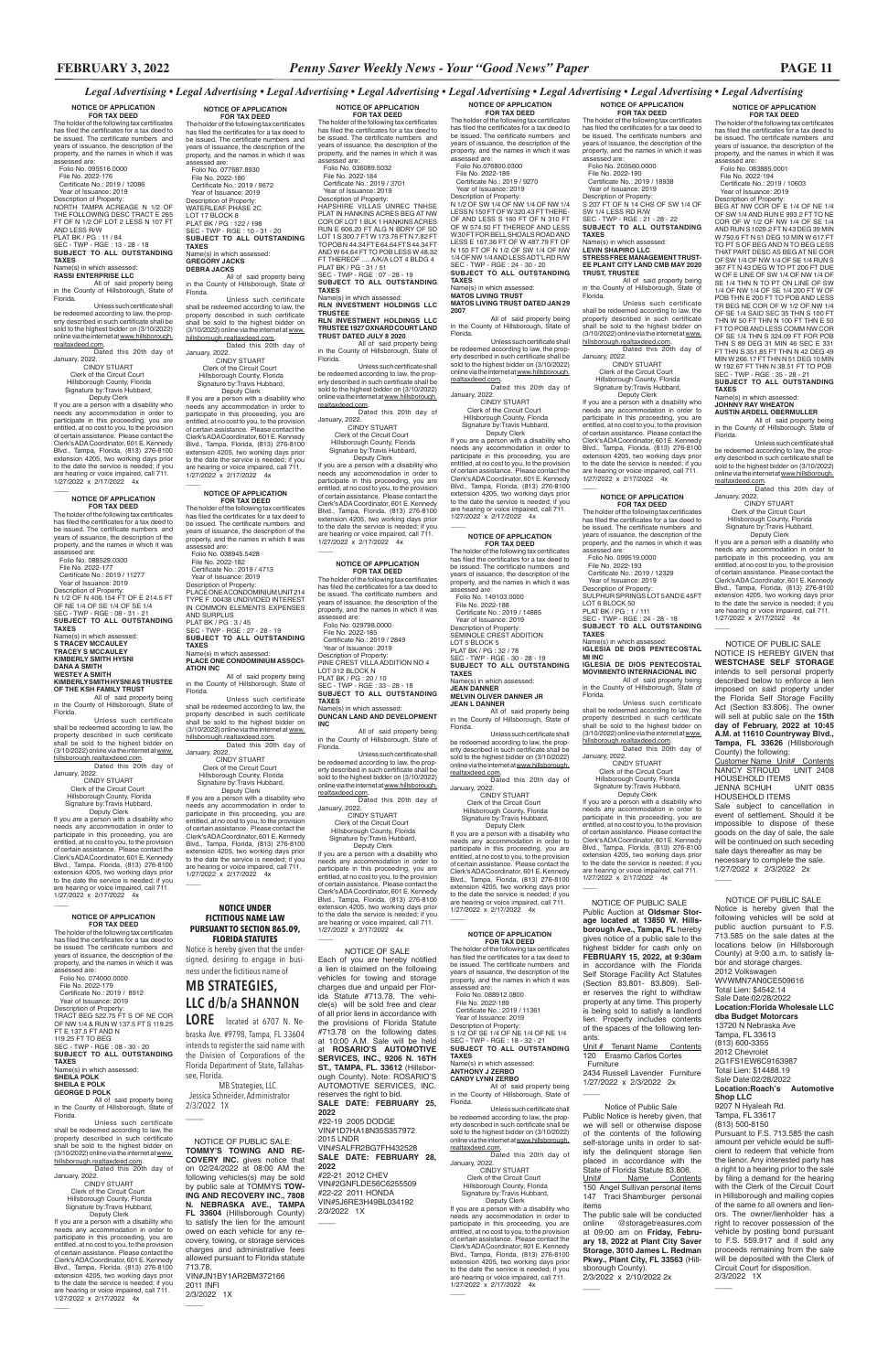**NOTICE OF APPLICATION FOR TAX DEED** The holder of the following tax certificates has filed the certificates for a tax deed to be issued. The certificate numbers and years of issuance, the description of the property, and the names in which it was

assessed are: Folio No. 083885.0001 File No. 2022-194 Certificate No.: 2019 / 10603 Year of Issuance: 2019

Description of Property: BEG AT NW COR OF E 1/4 OF NE 1/4 OF SW 1/4 AND RUN E 993.2 FT TO NE COR OF W 1/2 OF NW 1/4 OF SE 1/4 AND RUN S 1029.2 FT N 43 DEG 39 MIN W 750.6 FT N 51 DEG 10 MIN W 617 FT TO PT S OF BEG AND N TO BEG LESS THAT PART DESC AS BEG AT NE COR OF SW 1/4 OF NW 1/4 OF SE 1/4 RUN S

367 FT N 43 DEG W TO PT 200 FT DUE W OF E LINE OF SW 1/4 OF NW 1/4 OF SE 1/4 THN N TO PT ON LINE OF SW 1/4 OF NW 1/4 OF SE 1/4 200 FT W OF POB THN E 200 FT TO POB AND LESS TR BEG NE COR OF W 1/2 OF NW 1/4 OF SE 1/4 SAID SEC 35 THN S 100 FT THN W 50 FT THN N 100 FT THN E 50

FT TO POB AND LESS COMM NW COR OF SE 1/4 THN S 324.09 FT FOR POB THN S 89 DEG 31 MIN 46 SEC E 331 FT THN S 351.85 FT THN N 42 DEG 49 MIN W 266.17 FT THN N 51 DEG 10 MIN W 192.67 FT THN N 38.51 FT TO POB SEC - TWP - RGE : 35 - 28 - 21 **SUBJECT TO ALL OUTSTANDING TAXES** Name(s) in which assessed: **JOHNNY RAY WHEATON**

**AUSTIN ARDELL OBERMULLER** All of said property being in the County of Hillsborough, State of

Florida.

Unless such certificate shall be redeemed according to law, the property described in such certificate shall be sold to the highest bidder on (3/10/2022) online via the internet at www.hillsborough. realtaxdeed.com. Dated this 20th day of

January, 2022.

 $\overline{\phantom{a}}$ 

CINDY STUART Clerk of the Circuit Court Hillsborough County, Florida Signature by:Travis Hubbard, Deputy Clerk

**NOTICE OF APPLICATION FOR TAX DEED** The holder of the following tax certificates has filed the certificates for a tax deed to be issued. The certificate numbers and years of issuance, the description of the property, and the names in which it was assessed are: Folio No. 203560.0000 File No. 2022-190 Certificate No.: 2019 / 18938 Year of Issuance: 2019 Description of Property:<br>S 207 FT OF N 14 CHS OF SW 1/4 OF<br>SW 1/4 LESS RD R/W<br>SEC - TWP - RGE : 21 - 28 - 22

> If you are a person with a disability who needs any accommodation in order to participate in this proceeding, you are entitled, at no cost to you, to the provision of certain assistance. Please contact the<br>Clerk's ADA Coordinator 601 E. Kennedy Clerk's ADA Coordinator, 601 E. Kennedy Blvd., Tampa, Florida, (813) 276-8100 extension 4205, two working days prior to the date the service is needed; if you are hearing or voice impaired, call 711. 1/27/2022 x 2/17/2022 4x

 Deputy Clerk If you are a person with a disability who needs any accommodation in order to participate in this proceeding, you are entitled, at no cost to you, to the provision of certain assistance. Please contact the Clerk's ADA Coordinator, 601 E. Kennedy Blvd., Tampa, Florida, (813) 276-8100 extension 4205, two working days prior to the date the service is needed; if you are hearing or voice impaired, call 711. 1/27/2022 x 2/17/2022 4x  $\overline{\phantom{a}}$ 

**NOTICE OF APPLICATION FOR TAX DEED** The holder of the following tax certificates has filed the certificates for a tax deed to be issued. The certificate numbers and years of issuance, the description of the property, and the names in which it was assessed are: Folio No. 099519.0000 File No. 2022-193 Certificate No.: 2019 / 12329 Year of Issuance: 2019 Description of Property: SULPHUR SPRINGS LOT 5 AND E 45FT LOT 6 BLOCK 50 PLAT BK / PG : 1 / 111 SEC - TWP - RGE : 24 - 28 - 18 **SUBJECT TO ALL OUTSTANDING TAXES** Name(s) in which assessed: **IGLESIA DE DIOS PENTECOSTAL** 

Certificate No.: 2019 / 11361 Year of Issuance: 2019 Description of Property: S 1/2 OF SE 1/4 OF NE 1/4 OF NE 1/4 SEC - TWP - RGE : 18 - 32 - 21 **SUBJECT TO ALL OUTSTANDING TAXES** Name(s) in which assessed:

**MI INC IGLESIA DE DIOS PENTECOSTAL MOVIMIENTO INTERNACIONAL INC**

Unless such certificate shall be redeemed according to law, the property described in such certificate shall be sold to the highest bidder on (3/10/2022)<br>online via the internet at <u>www.hillsborough.</u> realtaxdeed.com. **Comm**<br>Dated this 20th day of

All of said property being in the County of Hillsborough, State of Florida. Unless such certificate

shall be redeemed according to law, the property described in such certificate<br>shall be sold to the highest bidder on<br>(3/10/2022) online via the internet at <u>www.</u> hillsborough.realtaxdeed.com.

Dated this 20th day of

**FOR TAX DEED**<br>The holder of the following tax certificates<br>has filed the certificates for a tax deed to be issued. The certificate numbers and years of issuance, the description of the property, and the names in which it was assessed are:

> January, 2022. CINDY STUART Clerk of the Circuit Court Hillsborough County, Florida Signature by:Travis Hubbard, Deputy Clerk If you are a person with a disability who needs any accommodation in order to participate in this proceeding, you are entitled, at no cost to you, to the provision of certain assistance. Please contact the<br>Clerk's ADA Coordinator, 601 E. Kennedy Clerk's ADA Coordinator, 601 E. Kennedy Blvd., Tampa, Florida, (813) 276-8100 extension 4205, two working days prior

to the date the service is needed; if you are hearing or voice impaired, call 711. 1/27/2022 x 2/17/2022 4x \_\_\_\_

 Year of Issuance: 2019 Description of Property:<br>N 1/2 OF SW 1/4 OF NW 1/4 OF NW 1/4<br>LESS N 150 FT OF W 320.43 FT THERE-<br>OF AND LESS S 160 FT OF N 310 FT

**SUBJECT TO ALL OUTSTANDING TAXES** Name(s) in which assessed:

**LEVIN SHAPIRO LLC STRESS FREE MANAGEMENT TRUST-EE PLANT CITY LAND CMB MAY 2020 TRUST, TRUSTEE**

OF W 574.50 FT THEREOF AND LESS<br>W30 FT FOR BELL SHOALS ROAD AND W 30 FT FOR BELL SHOALS ROAD AND LESS E 167.36 FT OF W 487.79 FT OF N 150 FT OF N 1/2 OF SW 1/4 OF NW 1/4 OF NW 1/4 AND LESS ADT'L RD R/W SEC - TWP - RGE : 24 - 30 - 20 **SUBJECT TO ALL OUTSTANDING TAXES** Name(s) in which assessed:

All of said property being in the County of Hillsborough, State of Florida.

Unless such certificate shall be redeemed according to law, the property described in such certificate shall be sold to the highest bidder on (3/10/2022) online via the internet at www. hillsborough.realtaxdeed.com. Dated this 20th day of

January, 2022. CINDY STUART

Clerk of the Circuit Court Hillsborough County, Florida Signature by:Travis Hubbard,

**NOTICE OF APPLICATION FOR TAX DEED** The holder of the following tax certificates has filed the certificates for a tax deed to

 $\overline{\phantom{a}}$ 

be issued. The certificate numbers and years of issuance, the description of the property, and the names in which it was assessed are: Folio No. 088912.0800

File No. 2022-189

**ANTHONY J ZERBO CANDY LYNN ZERBO** All of said property being

in the County of Hillsborough, State of Florida.

TO POBN 44.34 FT E 64.64 FT S 44.34 FT<br>AND W 64.64 FT TO POB LESS W 48.32<br>FT THEREOF .....A/K/A LOT 4 BLDG 4<br>PLAT BK / PG : 31 / 51 SEC - TWP - RGE : 07 - 28 - 19 **SUBJECT TO ALL OUTSTANDING** 

All of said property being in the County of Hillsborough, State of Florida.

> January, 2022. CINDY STUART Clerk of the Circuit Court Hillsborough County, Florida Signature by:Travis Hubbard, Deputy Clerk

<u>sem</u>.<br>Dated this 20th day of January, 2022. CINDY STUART

> If you are a person with a disability who needs any accommodation in order to participate in this proceeding, you are entitled, at no cost to you, to the provision of certain assistance. Please contact the Clerk's ADA Coordinator, 601 E. Kennedy Blvd., Tampa, Florida, (813) 276-8100 extension 4205, two working days prior to the date the service is needed; if you are hearing or voice impaired, call 711. 1/27/2022 x 2/17/2022 4x

 $\overline{\phantom{a}}$ 

### **NOTICE OF APPLICATION**

 $\overline{\phantom{a}}$ 

 Folio No. 149103.0000 File No. 2022-188 Certificate No.: 2019 / 14885 Year of Issuance: 2019

Description of Property: SEMINOLE CREST ADDITION LOT 5 BLOCK 5 PLAT BK / PG : 32 / 78 SEC - TWP - RGE - 30 - 28 - 19 **SUBJECT TO ALL OUTSTANDING** 

**TAXES** Name(s) in which assessed:<br>JEAN DANNER **JEAN DANNER MELVIN OLIVER DANNER JR JEAN L DANNER**

All of said property being in the County of Hillsborough, State of Florida.

Unless such certificate shall be redeemed according to law, the prop-erty described in such certificate shall be sold to the highest bidder on (3/10/2022)

online via the internet at www.hillsborough. realtaxdeed.com. Dated this 20th day of January, 2022.

 CINDY STUART Clerk of the Circuit Court Hillsborough County, Florida Signature by:Travis Hubbard,

 Hillsborough County, Florida Signature by:Travis Hubbard, Deputy Clerk If you are a person with a disability who

needs any accommodation in order to participate in this proceeding, you are entitled, at no cost to you, to the provision of certain assistance. Please contact the Clerk's ADA Coordinator, 601 E. Kennedy Blvd., Tampa, Florida, (813) 276-8100 extension 4205, two working days prior<br>to the date the service is needed; if you<br>are hearing or voice impaired, call 711.<br>1/27/2022 x 2/17/2022 4x

> Deputy Clerk If you are a person with a disability who needs any accommodation in order to participate in this proceeding, you are entitled, at no cost to you, to the provision of certain assistance. Please contact the Clerk's ADA Coordinator, 601 E. Kennedy Blvd., Tampa, Florida, (813) 276-8100 extension 4205, two working days prior to the date the service is needed; if you

The holder of the following tax certificates has filed the certificates for a tax deed to be issued. The certificate numbers and years of issuance, the description of the property, and the names in which it was<br>assessed are:

are hearing or voice impaired, call 711. 1/27/2022 x 2/17/2022 4x

**NOTICE OF APPLICATION FOR TAX DEED** The holder of the following tax certificates has filed the certificates for a tax deed to

Unless such certificate shall be redeemed according to law, the property described in such certificate<br>shall be sold to the highest bidder on<br>(3/10/2022)onlineviatheinternetat<u>www.</u> be issued. The certificate numbers and years of issuance, the description of the property, and the names in which it was assessed are: Folio No.076800.0300 File No. 2022-186 Certificate No.: 2019 / 9270

Deputy Clerk<br>If you are a person with a disability who If you are a person with a disability who needs any accommodation in order to participate in this proceeding, you are entitled, at no cost to you, to the provision of certain assistance. Please contact the Clerk's ADA Coordinator, 601 E. Kennedy Blvd., Tampa, Florida, (813) 276-8100 extension 4205, two working days prior to the date the service is needed; if you are hearing or voice impaired, call 711. 1/27/2022 x 2/17/2022 4x

 $\overline{\phantom{a}}$ 

**NOTICE OF APPLICATION<br>
<b>FOR TAX DEED**<br>The holder of the following tax certificates<br>has filed the certificates for a tax deed to be issued. The certificate numbers and years of issuance, the description of the property, and the names in which it was assessed are: Folio No. 088529.0300

**MATOS LIVING TRUST MATOS LIVING TRUST DATED JAN 29 2007**

All of said property being in the County of Hillsborough, State of Florida.

Unless such certificate shall be redeemed according to law, the prop-erty described in such certificate shall be sold to the highest bidder on (3/10/2022) online via the internet at www.hillsborough. realtaxdeed.com. Dated this 20th day of

January, 2022. CINDY STUART Clerk of the Circuit Court Hillsborough County, Florida

Signature by:Travis Hubbard, Deputy Clerk If you are a person with a disability who

needs any accommodation in order to participate in this proceeding, you are entitled, at no cost to you, to the provision of certain assistance. Please contact the Clerk's ADA Coordinator, 601 E. Kennedy Blvd., Tampa, Florida, (813) 276-8100 extension 4205, two working days prior to the date the service is needed; if you are hearing or voice impaired, call 711. 1/27/2022 x 2/17/2022 4x

Dated this 20th day of January, 2022.

If you are a person with a disability who needs any accommodation in order to participate in this proceeding, you are entitled, at no cost to you, to the provision of certain assistance. Please contact the Clerk's ADA Coordinator, 601 E. Kennedy Blvd., Tampa, Florida, (813) 276-8100 extension 4205, two working days prior<br>to the date the service is needed; if you<br>are hearing or voice impaired, call 711.<br>1/27/2022 x 2/17/2022 4x  $\overline{\phantom{a}}$ 

**NOTICE OF APPLICATION FOR TAX DEED** The holder of the following tax certificates has filed the certificates for a tax deed to be issued. The certificate numbers and years of issuance, the description of the property, and the names in which it was assessed are: Folio No. 029798.0000 File No. 2022-185 Certificate No.: 2019 / 2849 Year of Issuance: 2019 Description of Property: PINE CREST VILLA ADDITION NO 4 LOT 312 BLOCK N PLAT BK / PG : 20 / 10 SEC - TWP - RGE : 33 - 28 - 18 **SUBJECT TO ALL OUTSTANDING** 

**TAXES** Name(s) in which assessed: **DUNCAN LAND AND DEVELOPMENT INC**

All of said property being in the County of Hillsborough, State of Florida.

> Unit # Tenant Name Contents 120 Erasmo Carlos Cortes Furniture 2434 Russell Lavender Furniture 1/27/2022 x 2/3/2022 2x

Unless such certificate shall be redeemed according to law, the prop-erty described in such certificate shall be sold to the highest bidder on (3/10/2022) online via the internet at www.hillsborough.

realtaxdeed.com. Dated this 20th day of January, 2022. CINDY STUART

**JENNA SCHUH** HOUSEHOLD ITEMS

 $\overline{\phantom{a}}$ 

Customer Name Unit# Contents<br>NANCY STROUD UNIT 2408

HOUSEHOLD ITEMS<br>JENNA SCHUH UNIT 0835

Clerk of the Circuit Court Hillsborough County, Florida Signature by:Travis Hubbard,

Deputy Clerk

If you are a person with a disability who needs any accommodation in order to<br>participate in this proceeding, you are<br>entitled, at no cost to you, to the provision<br>of certain assistance. Please contact the<br>Clerk's ADA Coordinator, 601 E. Kennedy Blvd., Tampa, Florida, (813) 276-8100 extension 4205, two working days prior to the date the service is needed; if you are hearing or voice impaired, call 711. 1/27/2022 x 2/17/2022 4x

#### **NOTICE OF APPLICATION FOR TAX DEED**

The holder of the following tax certificates has filed the certificates for a tax deed to be issued. The certificate numbers and years of issuance, the description of the property, and the names in which it was assessed are: Folio No. 036089.5032 File No. 2022-184 Certificate No.: 2019 / 3701

 Year of Issuance: 2019 Description of Property: HAPSHIRE VILLAS UNREC TNHSE PLAT IN HANKINS ACRES BEG AT NW COR OF LOT 1 BLK 1 HANKINS ACRES RUN E 606.20 FT ALG N BDRY OF SD LOT 1 S 300.7 FT W 173.76 FT N 7.82 FT

**TAXES** Name(s) in which assessed:

**RLN INVESTMENT HOLDINGS LLC** 

 $\overline{\phantom{a}}$ NOTICE OF SALE Each of you are hereby notified a lien is claimed on the following vehicles for towing and storage charges due and unpaid per Florida Statute #713.78. The vehicle(s) will be sold free and clear of all prior liens in accordance with the provisions of Florida Statute #713.78 on the following dates at 10:00 A.M. Sale will be held at **ROSARIO'S AUTOMOTIVE SERVICES, INC., 9206 N. 16TH ST., TAMPA, FL. 33612** (Hillsborough County). Note: ROSARIO'S AUTOMOTIVE SERVICES, INC. reserves the right to bid. **SALE DATE: FEBRUARY 25, 2022** #22-19 2005 DODGE VIN#1D7HA18N35S357972 2015 LNDR VIN#SALFR2BG7FH432528 **SALE DATE: FEBRUARY 28, 2022** #22-21 2012 CHEV VIN#2GNFLDE56C6255509 #22-22 2011 HONDA VIN#5J6RE3H49BL034192 2/3/2022 1X

 $\overline{\phantom{a}}$ 

**TRUSTEE RLN INVESTMENT HOLDINGS LLC TRUSTEE 1927 OXNARD COURT LAND TRUST DATED JULY 8 2020**

Unless such certificate shall be redeemed according to law, the property described in such certificate shall be sold to the highest bidder on (3/10/2022)<br>online via the internet at <u>www.hillsborough.</u> realtaxdeed.com.

Clerk of the Circuit Court

 Hillsborough County, Florida Signature by:Travis Hubbard, Deputy Clerk If you are a person with a disability who

2/3/2022 1X  $\overline{\phantom{a}}$ 

needs any accommodation in order to participate in this proceeding, you are entitled, at no cost to you, to the provision of certain assistance. Please contact the<br>Clerk's ADA Coordinator, 601 E. Kennedy Clerk's ADA Coordinator, 601 E. Kennedy Blvd., Tampa, Florida, (813) 276-8100 extension 4205, two working days prior to the date the service is needed; if you are hearing or voice impaired, call 711. 1/27/2022 x 2/17/2022 4x

 $\overline{\phantom{a}}$ 

## **NOTICE OF APPLICATION FOR TAX DEED**

 $\overline{\phantom{a}}$ 

The holder of the following tax certificates has filed the certificates for a tax deed to be issued. The certificate numbers and years of issuance, the description of the property, and the names in which it was assessed are:

 Folio No. 038945.5428 File No. 2022-182 Certificate No.: 2019 / 4713 Year of Issuance: 2019 Description of Property: PLACE ONE A CONDOMINIUM UNIT 214 TYPE F .00438 UNDIVIDED INTEREST IN COMMON ELEMENTS EXPENSES AND SURPLUS PLAT BK / PG : 3 / 45 SEC - TWP - RGE : 27 - 28 - 19 **SUBJECT TO ALL OUTSTANDING TAXES** Name(s) in which assessed: **PLACE ONE CONDOMINIUM ASSOCI-**

**ATION INC**

All of said property being in the County of Hillsborough, State of Florida.

Unless such certificate shall be redeemed according to law, the property described in such certificate<br>shall be sold to the highest bidder on<br>(3/10/2022) onlineviatheinternet at www. hillsborough.realtaxdeed.com. Dated this 20th day of

January, 2022. CINDY STUART Clerk of the Circuit Court Hillsborough County, Florida Signature by:Travis Hubbard, Deputy Clerk

If you are a person with a disability who needs any accommodation in order to participate in this proceeding, you are entitled, at no cost to you, to the provision of certain assistance. Please contact the Clerk's ADA Coordinator, 601 E. Kennedy Blvd., Tampa, Florida, (813) 276-8100 extension 4205, two working days prior to the date the service is needed; if you

are hearing or voice impaired, call 711. 1/27/2022 x 2/17/2022 4x

 $\overline{\phantom{a}}$ 

 $\overline{\phantom{a}}$ 

**NOTICE OF APPLICATION FOR TAX DEED**<br>The holder of the following tax certificates<br>has filed the certificates for a tax deed to be issued. The certificate numbers and years of issuance, the description of the property, and the names in which it was assessed are: Folio No. 077687.8930 File No. 2022-180 Certificate No.: 2019 / 9672 Year of Issuance: 2019 Description of Property: WATERLEAF PHASE 2C LOT 17 BLOCK 8 PLAT BK / PG : 122 / 198 SEC - TWP - RGE : 10 - 31 - 20 **SUBJECT TO ALL OUTSTANDING TAXES** Name(s) in which assessed:

## **GREGORY JACKS DEBRA JACKS** All of said property being

in the County of Hillsborough, State of Florida. Unless such certificate

shall be redeemed according to law, the property described in such certificate shall be sold to the highest bidder on (3/10/2022) online via the internet at www. hillsborough.realtaxdeed.com. Dated this 20th day of

January, 2022. CINDY STUART Clerk of the Circuit Court

#### **NOTICE OF APPLICATION FOR TAX DEED**

assessed are: Folio No. 074000.0000 File No. 2022-179 Certificate No.: 2019 / 8912

 $\overline{\phantom{a}}$ 

Year of Issuance: 2019

Description of Property: TRACT BEG 522.75 FT S OF NE COR OF NW 1/4 & RUN W 137.5 FT S 119.25 FT E 137.5 FT AND N 119.25 FT TO BEG SEC - TWP - RGE : 08 - 30 - 20 **SUBJECT TO ALL OUTSTANDING TAXES** Name(s) in which assessed: **SHEILA POLK**

## **SHEILA E POLK GEORGE D POLK**

All of said property being in the County of Hillsborough, State of Florida.

hillsborough.realtaxdeed.com. Dated this 20th day of January, 2022.

 CINDY STUART Clerk of the Circuit Court Hillsborough County, Florida Signature by:Travis Hubbard,

 File No. 2022-177 Certificate No.: 2019 / 11277 Year of Issuance: 2019 Description of Property:<br>N 1/2 OF N 406.154 FT OF E 214.5 FT<br>OF NE 1/4 OF SE 1/4 OF SE 1/4<br>SEC - TWP - RGE : 08 - 31 - 21 **SUBJECT TO ALL OUTSTANDING TAXES** Name(s) in which assessed: **S TRACEY MCCAULEY TRACEY S MCCAULEY KIMBERLY SMITH HYSNI DANA A SMITH WESTEY A SMITH**

**KIMBERLY SMITH HYSNI AS TRUSTEE OF THE KSH FAMILY TRUST** All of said property being

in the County of Hillsborough, State of Florida. Unless such certificate

shall be redeemed according to law, the property described in such certificate shall be sold to the highest bidder on (3/10/2022) online via the internet at www. hillsborough.realtaxdeed.com. Dated this 20th day of

January, 2022. CINDY STUART Clerk of the Circuit Court Hillsborough County, Florida Signature by:Travis Hubbard,

 Deputy Clerk If you are a person with a disability who needs any accommodation in order to participate in this proceeding, you are entitled, at no cost to you, to the provision of certain assistance. Please contact the Clerk's ADA Coordinator, 601 E. Kennedy Blvd., Tampa, Florida, (813) 276-8100 extension 4205, two working days prior to the date the service is needed; if you are hearing or voice impaired, call 711. 1/27/2022 x 2/17/2022 4x

#### **NOTICE OF APPLICATION FOR TAX DEED**

The holder of the following tax certificates has filed the certificates for a tax deed to be issued. The certificate numbers and years of issuance, the description of the roperty, and the names in which it was assessed are: Folio No. 095516.0000 File No. 2022-176 Certificate No.: 2019 / 12086 Year of Issuance: 2019 Description of Property: NORTH TAMPA ACREAGE N 1/2 OF THE FOLLOWING DESC TRACT E 265 FT OF N 1/2 OF LOT 2 LESS N 107 FT AND LESS R/W<br>PLAT BK / PG : 11 / 84<br>SEC - TWP - RGE : 13 - 28 - 18<br>**SUBJECT TO ALL OUTSTANDING TAXES** Name(s) in which assessed: **RASSI ENTERPRISE LLC** 

All of said property being in the County of Hillsborough, State of Florida.

Unless such certificate shall be redeemed according to law, the property described in such certificate shall be sold to the highest bidder on (3/10/2022) online via the internet at www.hillsborough. realtaxdeed.com.

 CINDY STUART Clerk of the Circuit Court Hillsborough County, Florida Signature by:Travis Hubbard, Deputy Clerk

> NOTICE OF PUBLIC SALE Public Auction at **Oldsmar Storage located at 13850 W. Hillsborough Ave., Tampa, FL** hereby gives notice of a public sale to the highest bidder for cash only on **FEBRUARY 15, 2022, at 9:30am** in accordance with the Florida Self Storage Facility Act Statutes (Section 83.801- 83.809). Seller reserves the right to withdraw

property at any time. This property is being sold to satisfy a landlord lien. Property includes contents of the spaces of the following tenants.

 NOTICE OF PUBLIC SALE NOTICE IS HEREBY GIVEN that **WESTCHASE SELF STORAGE** intends to sell personal property described below to enforce a lien imposed on said property under the Florida Self Storage Facility Act (Section 83.806). The owner will sell at public sale on the **15th day of February, 2022 at 10:45 A.M. at 11610 Countryway Blvd., Tampa, FL 33626** (Hillsborough

County) the following:

NANCY STROUD

Sale subject to cancellation in event of settlement. Should it be impossible to dispose of these goods on the day of sale, the sale will be continued on such seceding sale days thereafter as may be necessary to complete the sale. 1/27/2022 x 2/3/2022 2x

 NOTICE OF PUBLIC SALE Notice is hereby given that the following vehicles will be sold at public auction pursuant to F.S. 713.585 on the sale dates at the locations below (in Hillsborough County) at 9:00 a.m. to satisfy labor and storage charges. 2012 Volkswagen WVWMN7AN0CE509616 Total Lien: \$4542.14 Sale Date:02/28/2022

**Location:Florida Wholesale LLC dba Budget Motorcars**

13720 N Nebraska Ave Tampa, FL 33613 (813) 600-3355 2012 Chevrolet 2G1FS1EW6C9163987 Total Lien: \$14488.19 Sale Date:02/28/2022 **Location:Roach's Automotive Shop LLC** 9207 N Hyaleah Rd. Tampa, FL 33617 (813) 500-8150 Pursuant to F.S. 713.585 the cash amount per vehicle would be sufficient to redeem that vehicle from the lienor. Any interested party has a right to a hearing prior to the sale by filing a demand for the hearing with the Clerk of the Circuit Court in Hillsborough and mailing copies of the same to all owners and lienors. The owner/lienholder has a right to recover possession of the vehicle by posting bond pursuant to F.S. 559.917 and if sold any proceeds remaining from the sale will be deposited with the Clerk of Circuit Court for disposition. 2/3/2022 1X

 $\overline{\phantom{a}}$ 

### **NOTICE UNDER FICTITIOUS NAME LAW PURSUANT TO SECTION 865.09, FLORIDA STATUTES**

Notice is hereby given that the undersigned, desiring to engage in business under the fictitious name of

**MB STRATEGIES, LLC d/b/a SHANNON LORE** located at 6707 N. Nebraska Ave. #9798, Tampa, FL 33604 intends to register the said name with the Division of Corporations of the Florida Department of State, Tallahassee, Florida.

 MB Strategies, LLC Jessica Schneider, Administrator 2/3/2022 1X

 Notice of Public Sale Public Notice is hereby given, that we will sell or otherwise dispose of the contents of the following

 $\overline{\phantom{a}}$ 

 $\overline{\phantom{a}}$ 

self-storage units in order to satisfy the delinquent storage lien placed in accordance with the State of Florida Statute 83.806.

Unit# Name Contents 150 Angel Sullivan personal items 147 Traci Shamburger personal items

The public sale will be conducted online @storagetreasures.com at 09:00 am on **Friday, Febru-ary 18, 2022 at Plant City Saver Storage, 3010 James L. Redman Pkwy., Plant City, FL 33563** (Hillsborough County). 2/3/2022 x 2/10/2022 2x

 NOTICE OF PUBLIC SALE: **TOMMY'S TOWING AND RE-COVERY INC.** gives notice that on 02/24/2022 at 08:00 AM the following vehicles(s) may be sold by public sale at TOMMYS **TOW-ING AND RECOVERY INC., 7808 N. NEBRASKA AVE., TAMPA FL 33604** (Hillsborough County) to satisfy the lien for the amount owed on each vehicle for any recovery, towing, or storage services charges and administrative fees allowed pursuant to Florida statute 713.78. VIN#JN1BY1AR2BM372166 2011 INFI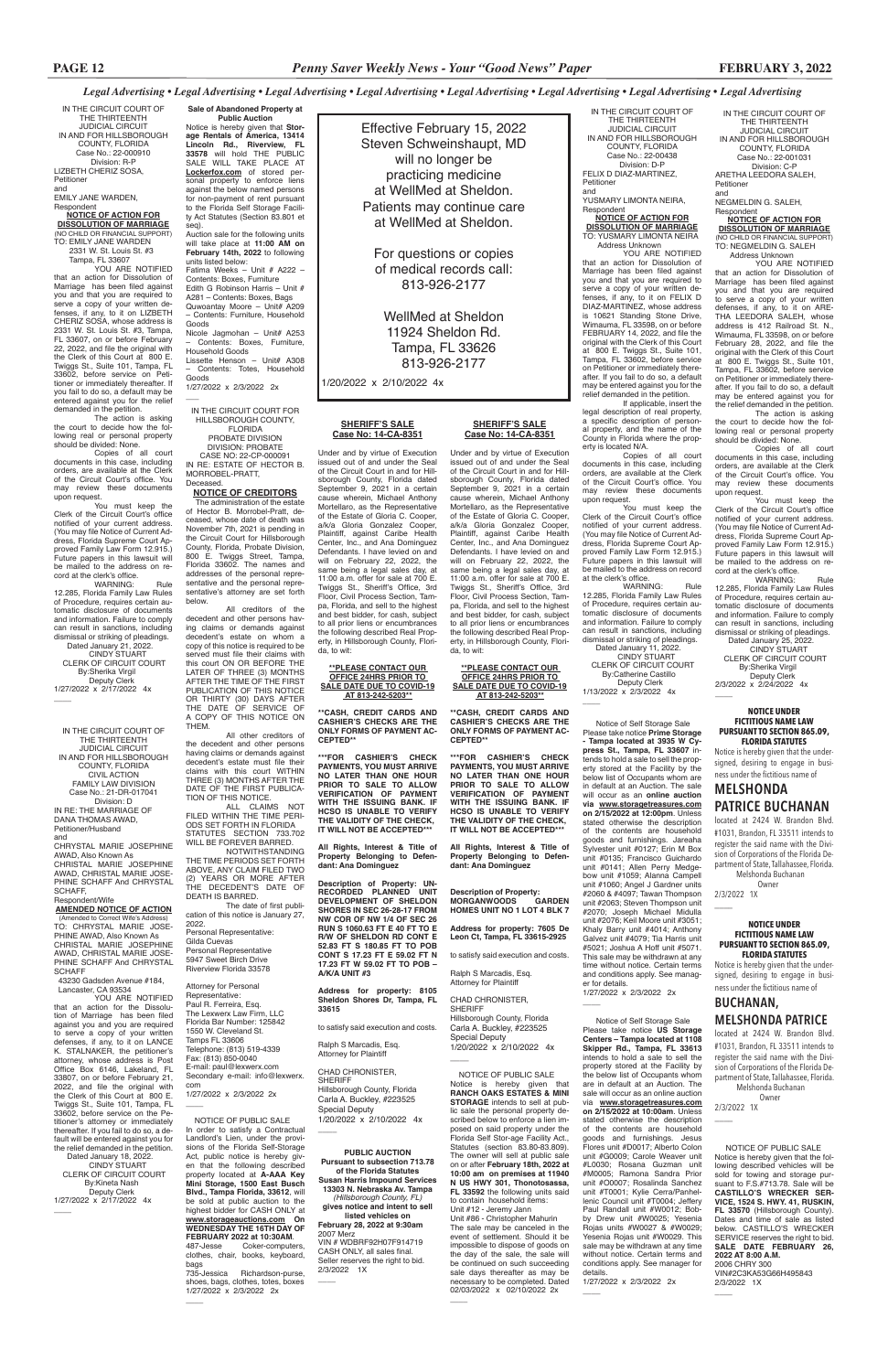In order to satisfy a Contractual Landlord's Lien, under the provisions of the Florida Self-Storage Act, public notice is hereby given that the following described property located at **A-AAA Key Mini Storage, 1500 East Busch Blvd., Tampa Florida, 33612**, will be sold at public auction to the highest bidder for CASH ONLY at **www.storageauctions.com On WEDNESDAY THE 16TH DAY OF FEBRUARY 2022 at 10:30AM.**<br>487-Jesse Coker-compute Coker-computers, clothes, chair, books, keyboard, bags<br>735-Jessica

*Legal Advertising • Legal Advertising • Legal Advertising • Legal Advertising • Legal Advertising • Legal Advertising • Legal Advertising • Legal Advertising*

## NOTICE OF PUBLIC SALE

Richardson-purse, shoes, bags, clothes, totes, boxes 1/27/2022 x 2/3/2022 2x

IN THE CIRCUIT COURT OF THE THIRTEENTH JUDICIAL CIRCUIT IN AND FOR HILLSBOROUGH COUNTY, FLORIDA Case No.: 22-00438 Division: D-P FELIX D DIAZ-MARTINEZ, Petitioner

and YUSMARY LIMONTA NEIRA, Respondent

**NOTICE OF ACTION FOR DISSOLUTION OF MARRIAGE** TO: YUSMARY LIMONTA NEIRA

WARNING: Rule 12.285, Florida Family Law Rules of Procedure, requires certain automatic disclosure of documents and information. Failure to comply can result in sanctions, including dismissal or striking of pleadings. Dated January 11, 2022. CINDY STUART

 Address Unknown YOU ARE NOTIFIED that an action for Dissolution of Marriage has been filed against you and that you are required to serve a copy of your written defenses, if any, to it on FELIX D DIAZ-MARTINEZ, whose address is 10621 Standing Stone Drive, Wimauma, FL 33598, on or before FEBRUARY 14, 2022, and file the original with the Clerk of this Court at 800 E. Twiggs St., Suite 101, Tampa, FL 33602, before service on Petitioner or immediately thereafter. If you fail to do so, a default may be entered against you for the relief demanded in the petition.

If applicable, insert the legal description of real property, a specific description of personal property, and the name of the County in Florida where the property is located N/A.

Copies of all court documents in this case, including orders, are available at the Clerk of the Circuit Court's office. You may review these documents upon request.

You must keep the Clerk of the Circuit Court's office notified of your current address. (You may file Notice of Current Address, Florida Supreme Court Ap-proved Family Law Form 12.915.) Future papers in this lawsuit will be mailed to the address on record at the clerk's office.

CHAD CHRONISTER,  $\overline{\phantom{a}}$ 

 CLERK OF CIRCUIT COURT By:Catherine Castillo Deputy Clerk 1/13/2022 x 2/3/2022 4x

 $\overline{\phantom{a}}$ 

Effective February 15, 2022 Steven Schweinshaupt, MD will no longer be practicing medicine at WellMed at Sheldon. Patients may continue care at WellMed at Sheldon.

For questions or copies of medical records call: 813-926-2177

WellMed at Sheldon 11924 Sheldon Rd. Tampa, FL 33626 813-926-2177

1/20/2022 x 2/10/2022 4x

**SHERIFF'S SALE Case No: 14-CA-8351**

Under and by virtue of Execution issued out of and under the Seal of the Circuit Court in and for Hillsborough County, Florida dated September 9, 2021 in a certain cause wherein, Michael Anthony Mortellaro, as the Representative of the Estate of Gloria C. Cooper, a/k/a Gloria Gonzalez Cooper, Plaintiff, against Caribe Health Center, Inc., and Ana Dominguez Defendants. I have levied on and will on February 22, 2022, the same being a legal sales day, at 11:00 a.m. offer for sale at 700 E. Twiggs St., Sheriff's Office, 3rd Floor, Civil Process Section, Tampa, Florida, and sell to the highest and best bidder, for cash, subject to all prior liens or encumbrances the following described Real Property, in Hillsborough County, Florida, to wit:

**\*\*PLEASE CONTACT OUR OFFICE 24HRS PRIOR TO SALE DATE DUE TO COVID-19 AT 813-242-5203\*\***

**\*\*CASH, CREDIT CARDS AND CASHIER'S CHECKS ARE THE ONLY FORMS OF PAYMENT AC-CEPTED\*\***

**\*\*\*FOR CASHIER'S CHECK PAYMENTS, YOU MUST ARRIVE NO LATER THAN ONE HOUR PRIOR TO SALE TO ALLOW VERIFICATION OF PAYMENT WITH THE ISSUING BANK. IF HCSO IS UNABLE TO VERIFY THE VALIDITY OF THE CHECK, IT WILL NOT BE ACCEPTED\*\*\***

**All Rights, Interest & Title of Property Belonging to Defendant: Ana Dominguez**

**Description of Property: MORGANWOODS GARDEN HOMES UNIT NO 1 LOT 4 BLK 7**

**Address for property: 7605 De Leon Ct, Tampa, FL 33615-2925**

to satisfy said execution and costs.

Ralph S Marcadis, Esq. Attorney for Plaintiff

#### SHERIFF Hillsborough County, Florida Carla A. Buckley, #223525 Special Deputy

 $\overline{\phantom{a}}$ 

 $\overline{\phantom{a}}$ 

1/20/2022 x 2/10/2022 4x

### **SHERIFF'S SALE Case No: 14-CA-8351**

Under and by virtue of Execution issued out of and under the Seal of the Circuit Court in and for Hillsborough County, Florida dated September 9, 2021 in a certain cause wherein, Michael Anthony Mortellaro, as the Representative of the Estate of Gloria C. Cooper, a/k/a Gloria Gonzalez Cooper, Plaintiff, against Caribe Health Center, Inc., and Ana Dominguez Defendants. I have levied on and will on February 22, 2022, the same being a legal sales day, at 11:00 a.m. offer for sale at 700 E. Twiggs St., Sheriff's Office, 3rd Floor, Civil Process Section, Tampa, Florida, and sell to the highest and best bidder, for cash, subject to all prior liens or encumbrances the following described Real Property, in Hillsborough County, Florida, to wit:

#### **\*\*PLEASE CONTACT OUR OFFICE 24HRS PRIOR TO SALE DATE DUE TO COVID-19 AT 813-242-5203\*\***

**\*\*CASH, CREDIT CARDS AND CASHIER'S CHECKS ARE THE ONLY FORMS OF PAYMENT AC-CEPTED\*\***

**\*\*\*FOR CASHIER'S CHECK PAYMENTS, YOU MUST ARRIVE NO LATER THAN ONE HOUR PRIOR TO SALE TO ALLOW VERIFICATION OF PAYMENT WITH THE ISSUING BANK. IF HCSO IS UNABLE TO VERIFY THE VALIDITY OF THE CHECK, IT WILL NOT BE ACCEPTED\*\*\***

**All Rights, Interest & Title of Property Belonging to Defendant: Ana Dominguez**

**Description of Property: UN-RECORDED PLANNED UNIT DEVELOPMENT OF SHELDON SHORES IN SEC 26-28-17 FROM NW COR OF NW 1/4 OF SEC 26 RUN S 1060.63 FT E 40 FT TO E R/W OF SHELDON RD CONT E 52.83 FT S 180.85 FT TO POB CONT S 17.23 FT E 59.02 FT N 17.23 FT W 59.02 FT TO POB – A/K/A UNIT #3**

**Address for property: 8105 Sheldon Shores Dr, Tampa, FL** 

#### **33615**

 $\overline{\phantom{a}}$ 

to satisfy said execution and costs.

Ralph S Marcadis, Esq. Attorney for Plaintiff

CHAD CHRONISTER, SHERIFF Hillsborough County, Florida Carla A. Buckley, #223525 Special Deputy 1/20/2022 x 2/10/2022 4x

WARNING: Rule 12.285, Florida Family Law Rules of Procedure, requires certain automatic disclosure of documents and information. Failure to comply can result in sanctions, including dismissal or striking of pleadings. Dated January 21, 2022. CINDY STUART CLERK OF CIRCUIT COURT By:Sherika Virgil

 Deputy Clerk 1/27/2022 x 2/17/2022 4x  $\overline{\phantom{a}}$ 

TO: CHRYSTAL MARIE JOSE-PHINE AWAD, Also Known As CHRISTAL MARIE JOSEPHINE AWAD, CHRISTAL MARIE JOSE-PHINE SCHAFF And CHRYSTAL **SCHAFF** 

YOU ARE NOTIFIED action for the Dissolu-

> unit #T0001; Kylie Cerra/Panhellenic Council unit #T0004; Jeffery Paul Randall unit #W0012; Bobby Drew unit #W0025; Yesenia Rojas units #W0027 & #W0029; Yesenia Rojas unit #W0029. This sale may be withdrawn at any time without notice. Certain terms and conditions apply. See manager for

Respondent<br>**NOTICE OF ACTION FOR<br>DISSOLUTION OF MARRIAGE** (NO CHILD OR FINANCIAL SUPPORT) TO: NEGMELDIN G. SALEH

details.

 $\overline{\phantom{a}}$ 

1/27/2022 x 2/3/2022 2x

YOU ARE NOTIFIED<br>that an action for Dissolution of Marriage has been filed against you and that you are required to serve a copy of your written defenses, if any, to it on ARE-THA LEEDORA SALEH, whose address is 412 Railroad St. N., Wimauma, FL 33598, on or before February 28, 2022, and file the original with the Clerk of this Court at 800 E. Twiggs St., Suite 101, Tampa, FL 33602, before service on Petitioner or immediately there-after. If you fail to do so, a default may be entered against you for the relief demanded in the petition.

You must keep the Clerk of the Circuit Court's office notified of your current address. (You may file Notice of Current Address, Florida Supreme Court Approved Family Law Form 12.915.) Future papers in this lawsuit will be mailed to the address on record at the clerk's office.<br>WARNING:

 Notice of Self Storage Sale Please take notice **Prime Storage - Tampa located at 3935 W Cypress St., Tampa, FL 33607** intends to hold a sale to sell the property stored at the Facility by the below list of Occupants whom are in default at an Auction. The sale will occur as an **online auction via www.storagetreasures.com on 2/15/2022 at 12:00pm**. Unless stated otherwise the description of the contents are household goods and furnishings. Jareaha Sylvester unit #0127; Erin M Box unit #0135; Francisco Guichardo unit #0141; Allen Perry Medgebow unit #1059; Alanna Campell unit #1060; Angel J Gardner units #2060 & #4097; Tawan Thompson unit #2063; Steven Thompson unit #2070; Joseph Michael Midulla unit #2076; Keil Moore unit #3051; Khaly Barry unit #4014; Anthony Galvez unit #4079; Tia Harris unit #5021; Joshua A Hoff unit #5071. This sale may be withdrawn at any time without notice. Certain terms and conditions apply. See manager for details. 1/27/2022 x 2/3/2022 2x

### $\overline{\phantom{a}}$ **NOTICE UNDER FICTITIOUS NAME LAW PURSUANT TO SECTION 865.09,**

**Sale of Abandoned Property at Public Auction** Notice is hereby given that **Stor-age Rentals of America, 13414 Lincoln Rd., Riverview, FL 33578** will hold THE PUBLIC SALE WILL TAKE PLACE AT **Lockerfox.com** of stored personal property to enforce liens against the below named persons for non-payment of rent pursuant to the Florida Self Storage Facility Act Statutes (Section 83.801 et seq). Auction sale for the following units

> **PUBLIC AUCTION Pursuant to subsection 713.78 of the Florida Statutes Susan Harris Impound Services 13303 N. Nebraska Av. Tampa** *(Hillsborough County, FL)* **gives notice and intent to sell listed vehicles on February 28, 2022 at 9:30am** 2007 Merz VIN # WDBRF92H07F914719 CASH ONLY, all sales final. Seller reserves the right to bid. 2/3/2022 1X  $\overline{\phantom{a}}$

will take place at **11:00 AM on February 14th, 2022** to following units listed below: Fatima Weeks – Unit # A222 – Contents: Boxes, Furniture Edith G Robinson Harris – Unit # A281 – Contents: Boxes, Bags Quwoantay Moore – Unit# A209 – Contents: Furniture, Household Goods Nicole Jagmohan – Unit# A253 – Contents: Boxes, Furniture,

Household Goods Lissette Henson – Unit# A308 – Contents: Totes, Household Goods

1/27/2022 x 2/3/2022 2x

 $\overline{\phantom{0}}$ 

IN THE CIRCUIT COURT FOR HILLSBOROUGH COUNTY, FLORIDA PROBATE DIVISION DIVISION: PROBATE

CASE NO: 22-CP-000091 IN RE: ESTATE OF HECTOR B. MORROBEL-PRATT, Deceased.

### **NOTICE OF CREDITORS**

 The administration of the estate of Hector B. Morrobel-Pratt, deceased, whose date of death was November 7th, 2021 is pending in the Circuit Court for Hillsborough County, Florida, Probate Division, 800 E. Twiggs Street, Tampa, Florida 33602. The names and addresses of the personal representative and the personal representative's attorney are set forth below.

All creditors of the decedent and other persons having claims or demands against decedent's estate on whom a copy of this notice is required to be served must file their claims with this court ON OR BEFORE THE LATER OF THREE (3) MONTHS AFTER THE TIME OF THE FIRST PUBLICATION OF THIS NOTICE OR THIRTY (30) DAYS AFTER THE DATE OF SERVICE OF A COPY OF THIS NOTICE ON THEM.

All other creditors of the decedent and other persons having claims or demands against decedent's estate must file their claims with this court WITHIN THREE (3) MONTHS AFTER THE<br>DATE OF THE FIRST PUBLICA-DATE OF THE FIRST PUBLICA-TION OF THIS NOTICE.

ALL CLAIMS NOT FILED WITHIN THE TIME PERI-ODS SET FORTH IN FLORIDA STATUTES SECTION 733.702 WILL BE FOREVER BARRED.

NOTWITHSTANDING THE TIME PERIODS SET FORTH ABOVE, ANY CLAIM FILED TWO (2) YEARS OR MORE AFTER THE DECEDENT'S DATE OF DEATH IS BARRED.

The date of first publication of this notice is January 27, 2022. Personal Representative: Gilda Cuevas Personal Representative

5947 Sweet Birch Drive Riverview Florida 33578

Attorney for Personal Representative: Paul R. Ferreira, Esq.

The Lexwerx Law Firm, LLC Florida Bar Number: 125842 1550 W. Cleveland St. Tamps FL 33606 Telephone: (813) 519-4339 Fax: (813) 850-0040 E-mail: paul@lexwerx.com Secondary e-mail: info@lexwerx. com 1/27/2022 x 2/3/2022 2x

 $\overline{\phantom{a}}$ 

 $\overline{\phantom{a}}$ 

IN THE CIRCUIT COURT OF THE THIRTEENTH JUDICIAL CIRCUIT IN AND FOR HILLSBOROUGH COUNTY, FLORIDA Case No.: 22-000910 Division: R-P LIZBETH CHERIZ SOSA, Petitioner and EMILY JANE WARDEN,

Respondent

### **NOTICE OF ACTION FOR DISSOLUTION OF MARRIAGE**

(NO CHILD OR FINANCIAL SUPPORT) TO: EMILY JANE WARDEN 2331 W. St. Louis St. #3 Tampa, FL 33607

#### Notice of Self Storage Sale Please take notice **US Storage Centers – Tampa located at 1108 Skipper Rd., Tampa, FL 33613** intends to hold a sale to sell the property stored at the Facility by the below list of Occupants whom are in default at an Auction. The sale will occur as an online auction via **www.storagetreasures.com on 2/15/2022 at 10:00am**. Unless stated otherwise the description of the contents are household goods and furnishings. Jesus Flores unit #D0017; Alberto Colon unit #G0009; Carole Weaver unit #L0030; Rosana Guzman unit #M0005; Ramona Sandra Prior unit #O0007; Rosalinda Sanchez 2/3/2022 1X \_\_\_\_

YOU ARE NOTIFIED that an action for Dissolution of Marriage has been filed against you and that you are required to serve a copy of your written defenses, if any, to it on LIZBETH CHERIZ SOSA, whose address is 2331 W. St. Louis St. #3, Tampa, FL 33607, on or before February 22, 2022, and file the original with the Clerk of this Court at 800 E. Twiggs St., Suite 101, Tampa, FL 33602, before service on Petitioner or immediately thereafter. If you fail to do so, a default may be entered against you for the relief demanded in the petition.

The action is asking the court to decide how the following real or personal property should be divided: None.

Copies of all court documents in this case, including orders, are available at the Clerk of the Circuit Court's office. You may review these documents upon request.

You must keep the Clerk of the Circuit Court's office notified of your current address. (You may file Notice of Current Address, Florida Supreme Court Approved Family Law Form 12.915.) Future papers in this lawsuit will be mailed to the address on re-cord at the clerk's office.

#### IN THE CIRCUIT COURT OF THE THIRTEENTH JUDICIAL CIRCUIT IN AND FOR HILLSBOROUGH COUNTY, FLORIDA CIVIL ACTION FAMILY LAW DIVISION Case No.: 21-DR-017041 Division: D IN RE: THE MARRIAGE OF DANA THOMAS AWAD, Petitioner/Husband and CHRYSTAL MARIE JOSEPHINE

AWAD, Also Known As CHRISTAL MARIE JOSEPHINE AWAD, CHRISTAL MARIE JOSE-PHINE SCHAFF And CHRYSTAL SCHAFF, Respondent/Wife

# **AMENDED NOTICE OF ACTION** (Amended to Correct Wife's Address)

 43230 Gadsden Avenue #184, Lancaster, CA 93534

tion of Marriage has been filed against you and you are required to serve a copy of your written defenses, if any, to it on LANCE K. STALNAKER, the petitioner's attorney, whose address is Post  $S$ ox 6146, Lakeland, FL 33807, on or before February 21, 2022, and file the original with the Clerk of this Court at 800 E. Twiggs St., Suite 101, Tampa, FL 33602, before service on the Petitioner's attorney or immediately thereafter. If you fail to do so, a default will be entered against you for the relief demanded in the petition.

 Dated January 18, 2022. CINDY STUART CLERK OF CIRCUIT COURT By:Kineta Nash Deputy Clerk 1/27/2022 x 2/17/2022 4x

 $\overline{\phantom{a}}$ 

IN THE CIRCUIT COURT OF THE THIRTEENTH JUDICIAL CIRCUIT IN AND FOR HILLSBOROUGH COUNTY, FLORIDA Case No.: 22-001031 Division: C-P ARETHA LEEDORA SALEH, Petitioner and NEGMELDIN G. SALEH,

Address Unknown

The action is asking the court to decide how the fol-lowing real or personal property should be divided: None.

Copies of all court documents in this case, including orders, are available at the Clerk of the Circuit Court's office. You may review these documents upon request.

WARNING: Rule 12.285, Florida Family Law Rules of Procedure, requires certain au-tomatic disclosure of documents and information. Failure to comply can result in sanctions, including dismissal or striking of pleadings.

 Dated January 25, 2022. CINDY STUART CLERK OF CIRCUIT COURT By:Sherika Virgil Deputy Clerk 2/3/2022 x 2/24/2022 4x

**FLORIDA STATUTES** Notice is hereby given that the undersigned, desiring to engage in business under the fictitious name of

## **MELSHONDA PATRICE BUCHANAN**

located at 2424 W. Brandon Blvd. #1031, Brandon, FL 33511 intends to register the said name with the Division of Corporations of the Florida Department of State, Tallahassee, Florida. Melshonda Buchanan Owner

2/3/2022 1X

\_\_\_\_

### **NOTICE UNDER FICTITIOUS NAME LAW PURSUANT TO SECTION 865.09, FLORIDA STATUTES**

Notice is hereby given that the undersigned, desiring to engage in business under the fictitious name of

## **MELSHONDA PATRICE**

located at 2424 W. Brandon Blvd. #1031, Brandon, FL 33511 intends to register the said name with the Division of Corporations of the Florida Department of State, Tallahassee, Florida.

 Melshonda Buchanan Owner

 NOTICE OF PUBLIC SALE Notice is hereby given that **RANCH OAKS ESTATES & MINI STORAGE** intends to sell at public sale the personal property described below to enforce a lien imposed on said property under the Florida Self Stor-age Facility Act., Statutes (section 83.80-83.809). The owner will sell at public sale on or after **February 18th, 2022 at 10:00 am on premises at 11940 N US HWY 301, Thonotosassa, FL 33592** the following units said to contain household items:

Unit #12 - Jeremy Jann Unit #86 - Christopher Mahurin

The sale may be canceled in the event of settlement. Should it be impossible to dispose of goods on the day of the sale, the sale will be continued on such succeeding sale days thereafter as may be necessary to be completed. Dated 02/03/2022 x 02/10/2022 2x

 NOTICE OF PUBLIC SALE Notice is hereby given that the following described vehicles will be sold for towing and storage pursuant to F.S.#713.78. Sale will be **CASTILLO'S WRECKER SER-VICE, 1524 S. HWY. 41, RUSKIN, FL 33570** (Hillsborough County). Dates and time of sale as listed below. CASTILLO'S WRECKER SERVICE reserves the right to bid. **SALE DATE FEBRUARY 26, 2022 AT 8:00 A.M.** 2006 CHRY 300 VIN#2C3KA53G66H495843 2/3/2022 1X

 $\overline{\phantom{a}}$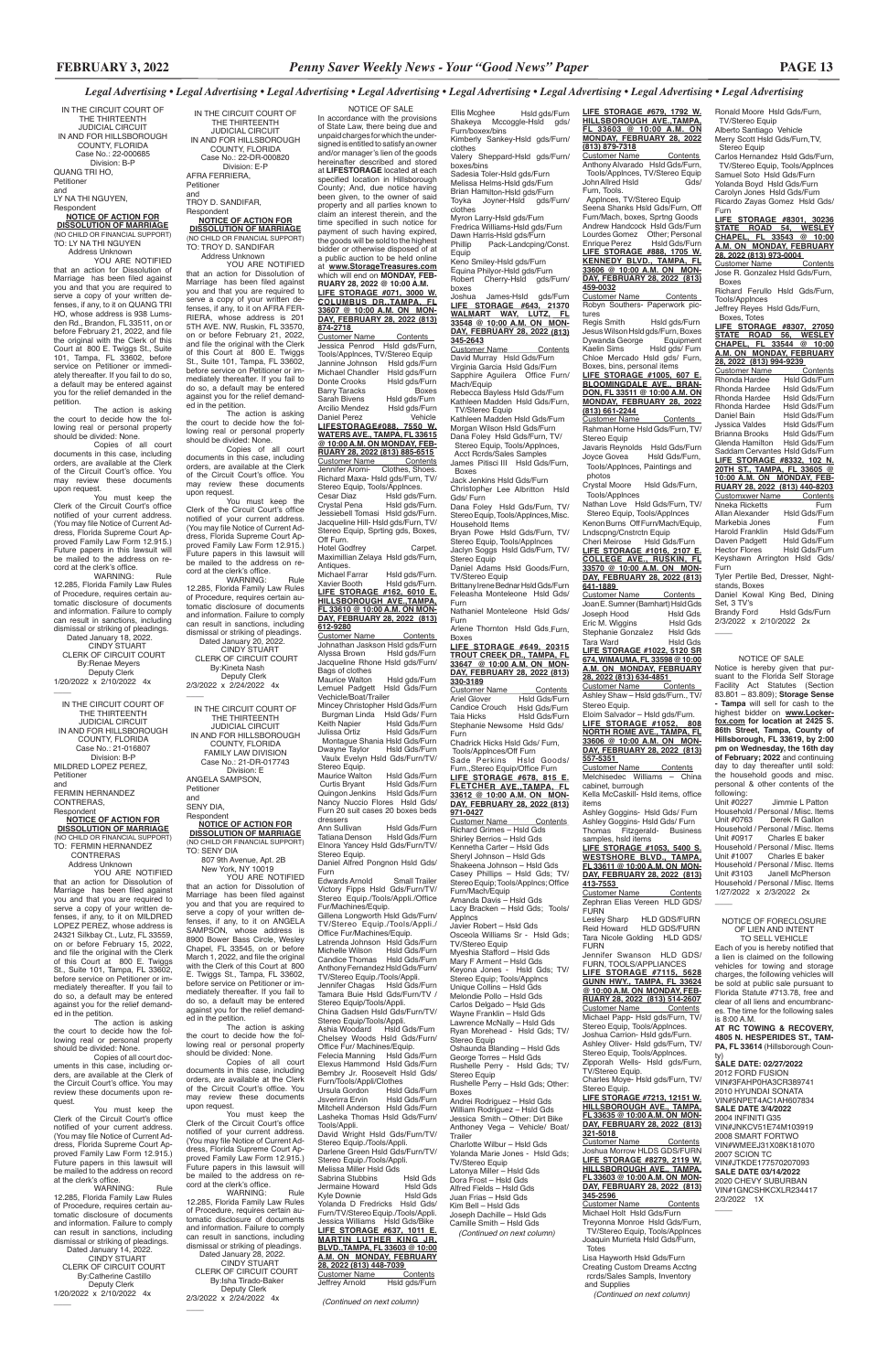TO: LY NA THI NGUYEN Address Unknown YOU ARE NOTIFIED

IN THE CIRCUIT COURT OF THE THIRTEENTH JUDICIAL CIRCUIT IN AND FOR HILLSBOROUGH COUNTY, FLORIDA Case No.: 22-000685 Division: B-P QUANG TRI HO, Petitioner and LY NA THI NGUYEN,

Respondent **NOTICE OF ACTION FOR DISSOLUTION OF MARRIAGE** (NO CHILD OR FINANCIAL SUPPORT)

You must keep the Clerk of the Circuit Court's office notified of your current address. (You may file Notice of Current Address, Florida Supreme Court Approved Family Law Form 12.915.) Future papers in this lawsuit will be mailed to the address on record at the clerk's office.<br>WARNING:

that an action for Dissolution of Marriage has been filed against you and that you are required to serve a copy of your written defenses, if any, to it on QUANG TRI HO, whose address is 938 Lumsden Rd., Brandon, FL 33511, on or before February 21, 2022, and file the original with the Clerk of this Court at 800 E. Twiggs St., Suite 101, Tampa, FL 33602, before service on Petitioner or immediately thereafter. If you fail to do so, a default may be entered against you for the relief demanded in the petition.

 Dated January 18, 2022. CINDY STUART CLERK OF CIRCUIT COURT By:Renae Meyers Deputy Clerk

1/20/2022 x 2/10/2022 4x  $\overline{\phantom{a}}$ 

The action is asking the court to decide how the following real or personal property

should be divided: None. Copies of all court documents in this case, including orders, are available at the Clerk of the Circuit Court's office. You may review these documents upon request.

12.285, Florida Family Law Rules of Procedure, requires certain automatic disclosure of documents and information. Failure to comply can result in sanctions, including dismissal or striking of pleadings. Dated January 14, 2022. CINDY STUART CLERK OF CIRCUIT COURT By:Catherine Castillo Deputy Clerk 1/20/2022 x 2/10/2022 4x  $\overline{\phantom{a}}$ 

WARNING: Rule 12.285, Florida Family Law Rules of Procedure, requires certain automatic disclosure of documents and information. Failure to comply can result in sanctions, including dismissal or striking of pleadings.

 Address Unknown YOU ARE NOTIFIED that an action for Dissolution of Marriage has been filed against you and that you are required to serve a copy of your written defenses, if any, to it on AFRA FER-RIERA, whose address is 201 5TH AVE. NW, Ruskin, FL 33570, on or before February 21, 2022, and file the original with the Clerk of this Court at 800 E. Twiggs St., Suite 101, Tampa, FL 33602, before service on Petitioner or immediately thereafter. If you fail to do so, a default may be entered against you for the relief demanded in the petition.

IN THE CIRCUIT COURT OF THE THIRTEENTH JUDICIAL CIRCUIT IN AND FOR HILLSBOROUGH COUNTY, FLORIDA Case No.: 21-016807 Division: B-P MILDRED LOPEZ PEREZ, Petitioner and FERMIN HERNANDEZ

CONTRERAS, Respondent **NOTICE OF ACTION FOR**

**DISSOLUTION OF MARRIAGE** (NO CHILD OR FINANCIAL SUPPORT)

TO: FERMIN HERNANDEZ CONTRERAS

You must keep the Clerk of the Circuit Court's office notified of your current address. (You may file Notice of Current Address, Florida Supreme Court Ap-proved Family Law Form 12.915.) Future papers in this lawsuit will be mailed to the address on record at the clerk's office.<br>WARNING

 Address Unknown YOU ARE NOTIFIED that an action for Dissolution of Marriage has been filed against you and that you are required to serve a copy of your written defenses, if any, to it on MILDRED LOPEZ PEREZ, whose address is 24321 Silkbay Ct., Lutz, FL 33559, on or before February 15, 2022, and file the original with the Clerk of this Court at 800 E. Twiggs St., Suite 101, Tampa, FL 33602, before service on Petitioner or immediately thereafter. If you fail to do so, a default may be entered against you for the relief demand2/3/2022 x 2/24/2022 4x  $\overline{\phantom{a}}$ 

ed in the petition.

The action is asking the court to decide how the following real or personal property should be divided: None.

Copies of all court documents in this case, including orders, are available at the Clerk of the Circuit Court's office. You may review these documents upon request.

You must keep the Clerk of the Circuit Court's office notified of your current address. (You may file Notice of Current Address, Florida Supreme Court Approved Family Law Form 12.915.) Future papers in this lawsuit will be mailed to the address on record at the clerk's office. WARNING: Rule

YOU ARE NOTIFIED that an action for Dissolution of Marriage has been filed against you and that you are required to serve a copy of your written defenses, if any, to it on ANGELA SAMPSON, whose address is 8900 Bower Bass Circle, Wesley Chapel, FL 33545, on or before March 1, 2022, and file the original with the Clerk of this Court at 800 E. Twiggs St., Tampa, FL 33602, before service on Petitioner or immediately thereafter. If you fail to do so, a default may be entered against you for the relief demanded in the petition. The action is asking the court to decide how the following real or personal property should be divided: None. Copies of all court documents in this case, including orders, are available at the Clerk of the Circuit Court's office. You may review these documents upon request. You must keep the Clerk of the Circuit Court's office notified of your current address. (You may file Notice of Current Address, Florida Supreme Court Approved Family Law Form 12.915.) Future papers in this lawsuit will be mailed to the address on record at the clerk's office.<br>WARNING: WARNING: Rule 12.285, Florida Family Law Rules of Procedure, requires certain automatic disclosure of documents and information. Failure to comply can result in sanctions, including dismissal or striking of pleadings. Dated January 28, 2022. CINDY STUART CLERK OF CIRCUIT COURT By:Isha Tirado-Baker Deputy Clerk 2/3/2022 x 2/24/2022 4x

 $\overline{\phantom{a}}$ 

Ellis Mcghee Hsld gds/Furn Shakeya Mccoggle-Hsld gds/

IN THE CIRCUIT COURT OF THE THIRTEENTH JUDICIAL CIRCUIT IN AND FOR HILLSBOROUGH COUNTY, FLORIDA Case No.: 22-DR-000820 Division: E-P AFRA FERRIERA, Petitioner and TROY D. SANDIFAR, Respondent

# **NOTICE OF ACTION FOR DISSOLUTION OF MARRIAGE**

(NO CHILD OR FINANCIAL SUPPORT) TO: TROY D. SANDIFAR

Dawn Harris-Hsld gds/Furn<br>Phillip Pack-Landcping/ Pack-Landcping/Const. Equip Keno Smiley-Hsld gds/Furn Equina Philyor-Hsld gds/Furn Robert Cherry-Hsld gds/Furn/ boxes Joshua James-Hsld gds/Furn<br><u>**LIFE STORAGE #643, 21370**<br>WALMART WAY, LUTZ, FL<br>33548 @ 10:00 A.M. ON MON-</u> **DAY, FEBRUARY 28, 2022 (813) 345-2643** Customer Name Contents David Murray Hsld Gds/Furn Virginia Garcia Hsld Gds/Furn Sapphire Aguilera Office Furn/ Mach/Equip Rebecca Bayless Hsld Gds/Furn Kathleen Madden Hsld Gds/Furn, TV/Stereo Equip Kathleen Madden Hsld Gds/Furn Morgan Wilson Hsld Gds/Furn Dana Foley Hsld Gds/Furn, TV/ Stereo Equip, Tools/Applnces, Acct Rcrds/Sales Samples James Pitisci III Hsld Gds/Furn, Boxes Jack Jenkins Hsld Gds/Furn Christopher Lee Albritton Hsld Gds/ Furn Dana Foley Hsld Gds/Furn, TV/ Stereo Equip, Tools/Applnces, Misc. Household Items Bryan Powe Hsld Gds/Furn, TV/ Stereo Equip, Tools/Applnces Jaclyn Soggs Hsld Gds/Furn, TV/ Stereo Equip Daniel Adams Hsld Goods/Furn, TV/Stereo Equip Brittany Irene Bednar Hsld Gds/Furn Feleasha Monteleone Hsld Gds/ Furn Nathaniel Monteleone Hsld Gds/ Furn Arlene Thornton Hsld Gds.Furn, Boxes **LIFE STORAGE #649, 20315 TROUT CREEK DR., TAMPA, FL 33647 @ 10:00 A.M. ON MON-DAY, FEBRUARY 28, 2022 (813) 330-3189** Customer Name Contents Ariel Glover Hsld Gds/Furn Candice Crouch Hsld Gds/Furn Taia Hicks Hsld Gds/Furn Stephanie Newsome Hsld Gds/ Furn Chadrick Hicks Hsld Gds/ Furn, Tools/Applnces/Off Furn Sade Perkins Hsld Goods/ Furn.,Stereo Equip/Office Furn **LIFE STORAGE #678, 815 E. FLETCHER AVE.,TAMPA, FL 33612 @ 10:00 A.M. ON MON-DAY, FEBRUARY 28, 2022 (813) 971-0427** Customer Name Contents Richard Grimes – Hsld Gds Shirley Berrios – Hsld Gds

The action is asking the court to decide how the following real or personal property should be divided: None.

Copies of all court documents in this case, including orders, are available at the Clerk of the Circuit Court's office. You may review these documents upon request.

> Andrei Rodriguez – Hsld Gds William Rodriguez – Hsld Gds Jessica Smith – Other: Dirt Bike Anthoney Vega – Vehicle/ Boat/ **Trailer**

In accordance with the provisions of State Law, there being due and unpaid charges for which the undersigned is entitled to satisfy an owner and/or manager's lien of the goods hereinafter described and stored at **LIFESTORAGE** located at each specified location in Hillsborough County; And, due notice having been given, to the owner of said property and all parties known to claim an interest therein, and the time specified in such notice for payment of such having expired, the goods will be sold to the highest bidder or otherwise disposed of at a public auction to be held online at **www.StorageTreasures.com**  which will end on **MONDAY, FEB-RUARY 28, 2022 @ 10:00 A.M. LIFE STORAGE #071, 3000 W. COLUMBUS DR.,TAMPA, FL 33607 @ 10:00 A.M. ON MON-DAY, FEBRUARY 28, 2022 (813) 874-2718**  Customer Name Contents

WARNING: Rule 12.285, Florida Family Law Rules of Procedure, requires certain automatic disclosure of documents and information. Failure to comply can result in sanctions, including dismissal or striking of pleadings.

 Dated January 20, 2022. CINDY STUART CLERK OF CIRCUIT COURT By:Kineta Nash Deputy Clerk

| IN THE CIRCUIT COURT OF<br>THE THIRTFFNTH |  |  |  |
|-------------------------------------------|--|--|--|
|                                           |  |  |  |
| <b>JUDICIAL CIRCUIT</b>                   |  |  |  |
| IN AND FOR HILLSBOROUGH                   |  |  |  |
| COUNTY, FLORIDA                           |  |  |  |
| <b>FAMILY LAW DIVISION</b>                |  |  |  |
| Case No.: 21-DR-017743                    |  |  |  |
| Division: F                               |  |  |  |
| ANGELA SAMPSON.                           |  |  |  |
| Petitioner                                |  |  |  |
| and                                       |  |  |  |
| SENY DIA,                                 |  |  |  |
| Respondent                                |  |  |  |
| ΝΩΤΙΓΕ ΩΕ ΛΓΤΙΩΝ ΕΩ                       |  |  |  |

### **NOTICE OF ACTION FOR DISSOLUTION OF MARRIAGE** (NO CHILD OR FINANCIAL SUPPORT)

TO: SENY DIA 807 9th Avenue, Apt. 2B New York, NY 10019

Ann Sullivan Hsld Gds/Furn Hsld Gds/Furn Elnora Yancey Hsld Gds/Furn/TV/ Stereo Equip. Daniel Alfred Pongnon Hsld Gds/

Furn<br>Edwards Arnold

Edwards Arnold Small Trailer<br>Victory Fipps Hsld Gds/Furn/TV/<br>Stereo Equip./Tools/Appli./Office Fur/Machines/Equip. Gillena Longworth Hsld Gds/Furn/ TV/Stereo Equip./Tools/Appli./ Office Fur/Machines/Equip. Latrenda Johnson Hsld Gds/Furn Michelle Wilson Hsld Gds/Furn Candice Thomas Hsld Gds/Furn Anthony Fernandez Hsld Gds/Furn/ TV/Stereo Equip./Tools/Appli. Jennifer Chagas Hsld Gds/Furn Tamara Buie Hsld Gds/Furn/TV /

Stereo Equip/Tools/Appli.<br>Ashia Woodard Hsld Gds/Furn Ashia Woodard Hsld Gds/Furn Chelsey Woods Hsld Gds/Furn/ Office Fur/ Machines/Equip.<br>Felecia Manning Hsld Gds/Furn Felecia Manning Elexus Hammond Hsld Gds/Furn Bembry Jr. Roosevelt Hsld Gds/ Furn/Tools/Appli/Clothes<br>Ursula Gordon Hsld Ursula Gordon Hsld Gds/Furn<br>Jsverirra Ervin Hsld Gds/Furn Hsld Gds/Furn Mitchell Anderson Hsld Gds/Furn Lasheka Thomas Hsld Gds/Furn/ Tools/Appli. David Wright Hsld Gds/Furn/TV/

Stereo Equip./Tools/Appli. Darlene Green Hsld Gds/Furn/TV/ Stereo Equip./Tools/Appli. Melissa Miller Hsld Gds<br>Sabrina Stubbins Hsld Gds Sabrina Stubbins Hsld Gds<br>Jermaine Howard Hsld Gds Jermaine Howard Hsld Gds Kyle Downie Yolanda D Fredricks Hsld Gds/ Furn/TV/Stereo Equip./Tools/Appli. Jessica Williams Hsld Gds/Bike **LIFE STORAGE #637, 1011 E. MARTIN LUTHER KING JR. BLVD.,TAMPA, FL 33603 @ 10:00 A.M. ON MONDAY, FEBRUARY 28, 2022 (813) 448-7039**  Customer Name<br>Jeffrey Arnold

Hsld gds/Furn

**LIFE STORAGE #8301, 30236 STATE ROAD 54, WESLEY CHAPEL, FL 33543 @ 10:00 A.M. ON MONDAY, FEBRUARY 28, 2022 (813) 973-0004**  Customer Name

Furn/boxex/bins

Jose R. Gonzalez Hsld Gds/Furn, Boxes

Richard Ferullo Hsld Gds/Furn, Tools/Applnces Jeffrey Reyes Hsld Gds/Furn,

Kimberly Sankey-Hsld gds/Furn/

clothes

Valery Sheppard-Hsld gds/Furn/

boxes/bins

Sadesia Toler-Hsld gds/Furn Melissa Helms-Hsld gds/Furn Brian Hamilton-Hsld gds/Furn Toyka Joyner-Hsld gds/Furn/

clothes

Myron Larry-Hsld gds/Furn Fredrica Williams-Hsld gds/Furn

> Customer Name \_\_\_\_\_\_Contents<br>Rhonda Hardee \_\_\_\_Hsld Gds/Furn **Rhonda Hardee** Hsld Gds/Furn<br>Rhonda Hardee Hsld Gds/Furn Rhonda Hardee Hsld Gds/Furn<br>Rhonda Hardee Hsld Gds/Furn Rhonda Hardee Hsld Gds/Furn Rhonda Hardee<br>Daniel Bain Hsld Gds/Furn Jyssica Valdes Hsld Gds/Furn<br>Brianna Brooks Hsld Gds/Furn Frianna Brooks Hsld Gds/Furn<br>Glenda Hamilton Hsld Gds/Furn Glenda Hamilton Saddam Cervantes Hsld Gds/Furn **LIFE STORAGE #8332, 102 N. 20TH ST., TAMPA, FL 33605 @ 10:00 A.M. ON MONDAY, FEB-RUARY 28, 2022 (813) 440-8203**  Customxwer Name Contents Nneka Ricketts<br>Allan Alexander Hsld Gds/Furr Hsld Gds/Furn<br>Furn Markebia Jones<br>Harold Franklin Hsld Gds/Furn Harold Franklin Hsld Gds/Furn<br>Daven Padgett Hsld Gds/Furn Daven Padgett<br>Hector Flores Hsld Gds/Furn Keyshawn Arrington Hsld Gds/ Furn Tyler Pertile Bed, Dresser, Night-

Daniel Kowal King Bed, Dining Set, 3 TV's Hsld Gds/Furn

2/3/2022 x 2/10/2022 2x  $\overline{\phantom{a}}$ 

Anthony Alvarado Hsld Gds/Furn, Tools/AppInces, TV/Stereo Equip<br>/John Allred Hsld Furn, Tools. Applnces, TV/Stereo Equip

eena Shanks Hsld Gds/Furn, Off Furn/Mach, boxes, Sprtng Goods Andrew Handcock Hsld Gds/Furn Lourdes Gomez Other; Personal<br>Enrique Perez Hsld Gds/Furn Enrique Perez Hsld Gds/Furn **LIFE STORAGE #888, 1705 W. KENNEDY BLVD., TAMPA, FL 33606 @ 10:00 A.M. ON MON-DAY, FEBRUARY 28, 2022 (813) 459-0032**

<u>Customer Name Contents </u><br>Robyn Southers- Paperwork pic-

tures<br>Regis Smith Regis Smith Hsld gds/Furn<br>Jesus Wilson Hsld gds/Furn, Boxes Dywanda George Equipment Kaelin Sims Hsld gds/ Furn Chloe Mercado Hsld gds/ Furn, Boxes, bins, personal items

**LIFE STORAGE #1005, 607 E. BLOOMINGDALE AVE., BRAN-DON, FL 33511 @ 10:00 A.M. ON MONDAY, FEBRUARY 28, 2022 (813) 661-2244**  Customer Name Contents

Rahman Horne Hsld Gds/Furn, TV/ Stereo Fauin

Javaris Reynolds Hsld Gds/Furn<br>Jovce Govea Hsld Gds/Furn. Hsld Gds/Furn, Tools/Applnces, Paintings and photos

Customer Name Ashley Shaw – Hsld gds/Furn., TV/ Stereo Equip. Eloim Salvador – Hsld gds/Furn.

Melchisedec Williams - China cabinet, burrough Kella McCaskill- Hsld items, office

samples, hsld items **LIFE STORAGE #1053, 5400 S. WESTSHORE BLVD., TAMPA, FL 33611 @ 10:00 A.M. ON MON-DAY, FEBRUARY 28, 2022 (813) 413-7553** 

Customer Name Contents Zephran Elias Vereen HLD GDS/ **FURN** 

Customer Name Contents Michael Papp- Hsld gds/Furn, TV/ Stereo Equip, Tools/Applnces. Joshua Carrion- Hsld gds/Furn. Ashley Oliver- Hsld gds/Furn, TV/ Stereo Equip, Tools/Applnces. Zipporah Wells- Hsld gds/Furn, TV/Stereo Equip. Charles Moye- Hsld gds/Furn, TV/ Stereo Equip. **LIFE STORAGE #7213, 12151 W. HILLSBOROUGH AVE., TAMPA, FL 33635 @ 10:00 A.M. ON MON-DAY, FEBRUARY 28, 2022 (813) 321-5018**  Customer Name Contents Joshua Morrow HLDS GDS/FURN **LIFE STORAGE #8279, 2119 W. HILLSBOROUGH AVE., TAMPA, FL 33603 @ 10:00 A.M. ON MON-DAY, FEBRUARY 28, 2022 (813) 345-2596**  Customer Name Contents Michael Holt Hsld Gds/Furn

Notice is hereby given that pursuant to the Florida Self Storage Facility Act Statutes (Section 83.801 – 83.809); **Storage Sense - Tampa** will sell for cash to the highest bidder on **www.Lockerfox.com for location at 2425 S. 86th Street, Tampa, County of Hillsborough, FL 33619, by 2:00 pm on Wednesday, the 16th day of February; 2022** and continuing day to day thereafter until sold: the household goods and misc. personal & other contents of the following:<br>Unit #0227

Kennetha Carter – Hsld Gds Sheryl Johnson – Hsld Gds Shakeena Johnson – Hsld Gds Casey Phillips – Hsld Gds; TV/ Stereo Equip; Tools/Applncs; Office Furn/Mach/Equip Amanda Davis – Hsld Gds Lacy Bracken – Hsld Gds; Tools/ Applncs Javier Robert – Hsld Gds Osceola Williams Sr - Hsld Gds; TV/Stereo Equip Myeshia Stafford – Hsld Gds Mary F Arment – Hsld Gds Keyona Jones - Hsld Gds; TV/ Stereo Equip; Tools/Applncs Unique Collins – Hsld Gds Melondie Pollo – Hsld Gds

Carlos Delgado – Hsld Gds Wayne Franklin – Hsld Gds Lawrence McNally – Hsld Gds Ryan Morehead - Hsld Gds; TV/ Stereo Equip Oshaunda Blanding – Hsld Gds George Torres – Hsld Gds Rushelle Perry - Hsld Gds; TV/ Stereo Equip Rushelle Perry – Hsld Gds; Other: Boxes

Jimmie L Patton Household / Personal / Misc. Items<br>Unit #0763 Derek R Gallon Derek R Gallon Household / Personal / Misc. Items<br>Unit #0917 Charles E baker Charles E baker Household / Personal / Misc. Items Unit #1007 Charles E baker Household / Personal / Misc. Items Unit #3103 Janell McPherson Household / Personal / Misc. Items 1/27/2022 x 2/3/2022 2x

**AT RC TOWING & RECOVERY, 4805 N. HESPERIDES ST., TAM-**PA, FL 33614 (Hillsborough Coun-

Charlotte Wilbur – Hsld Gds Yolanda Marie Jones - Hsld Gds; TV/Stereo Equip Latonya Miller – Hsld Gds Dora Frost – Hsld Gds Alfred Fields – Hsld Gds Juan Frias – Hsld Gds Kim Bell – Hsld Gds Joseph Dachille – Hsld Gds Camille Smith – Hsld Gds  *(Continued on next column)*

### NOTICE OF SALE

Jessica Penrod Hsld gds/Furn, Tools/Applnces, TV/Stereo Equin Jannine Johnson Hsld gds/Furn<br>Michael Chandler Hsld gds/Furn Michael Chandler<br>Donte Crooks Hsld gds/Furn<br>Boxes Barry Taracks<br>Sarah Bivens Sarah Bivens Hsld gds/Furn<br>Arcilio Mendez Hsld ads/Furn Hsld gds/Furn<br>Vehicle Daniel Perez **LIFESTORAGE#088, 7550 W. WATERS AVE., TAMPA, FL 33615 @ 10:00 A.M. ON MONDAY, FEB-RUARY 28, 2022 (813) 885-6515** Customer Name Contents Jennifer Aromi- Clothes, Shoes. Richard Maxa- Hsld gds/Furn, TV/ Stereo Equip, Tools/Applnces.<br>Cesar Diaz Hsld qds/F Cesar Diaz Hsld gds/Furn.<br>Crystal Pena Hsld gds/Furn. Crystal Pena Hsld gds/Furn. Jessiebell Tomasi Hsld gds/Furn. Jacqueline Hill- Hsld gds/Furn, TV/ Stereo Equip, Sprting gds, Boxes, Off Furn. Hotel Godfrey Carpet. Maximillian Zelaya Hsld gds/Furn, Antiques.<br>Michael Farrar Michael Farrar Hsld gds/Furn.<br>Xavier Booth Hsld gds/Furn. Hsld gds/Furn. **LIFE STORAGE #162, 6010 E. HILLSBOROUGH AVE.,TAMPA, FL 33610 @ 10:00 A.M. ON MON-DAY, FEBRUARY 28, 2022 (813) 612-9280** Customer Name Contents Johnathan Jaskson Hsld gds/Furn Alyssa Brown Hsld gds/Furn Jacqueline Rhone Hsld gds/Furn/ Bags of clothes Maurice Walton Hsld gds/Furn Lemuel Padgett Hsld Gds/Furn Vechicle/Boat/Trailer Mincey Christopher Hsld Gds/Furn Burgman Linda<br>Keith Napier Hsld Gds/Furn Keith Napier Hsld Gds/Furn<br>Julissa Ortiz Hsld Gds/Furn Held Gds/Furn Montague Shania Hsld Gds/Furn<br>Dwayne Taylor Hsld Gds/Furn Hsld Gds/Furn Vaulx Evelyn Hsld Gds/Furn/TV/ Stereo Equip.

Maurice Walton Hsld Gds/Furn<br>Curtis Bryant Hsld Gds/Furn Hsld Gds/Furn<br>Hsld Gds/Furn Quingon Jenkins Nancy Nuccio Flores Hsld Gds/ Furn 20 suit cases 20 boxes beds dressers<br>Ann Sullivan

Stereo Equip/Tools/Appli.

China Gadsen Hsld Gds/Furn/TV/

*(Continued on next column)*

Ronald Moore Hsld Gds/Furn, TV/Stereo Equip Alberto Santiago Vehicle Merry Scott Hsld Gds/Furn,TV, Stereo Equip

Carlos Hernandez Hsld Gds/Furn, TV/Stereo Equip, Tools/Applnces Samuel Soto Hsld Gds/Furn Yolanda Boyd Hsld Gds/Furn Carolyn Jones Hsld Gds/Furn Ricardo Zayas Gomez Hsld Gds/

Furn

Boxes, Totes

**LIFE STORAGE #8307, 27050 STATE ROAD 56, WESLEY CHAPEL, FL 33544 @ 10:00 A.M. ON MONDAY, FEBRUARY 28, 2022 (813) 994-9239** 

stands, Boxes

**LIFE STORAGE #679, 1792 W. HILLSBOROUGH AVE.,TAMPA, FL 33603 @ 10:00 A.M. ON MONDAY, FEBRUARY 28, 2022 (813) 879-7318** Customer Name Contents

Crystal Moore Hsld Gds/Furn, Tools/Applnces

Nathan Love Hsld Gds/Furn, TV/ Stereo Equip, Tools/Applnces Kenon Burns Off Furn/Mach/Equip, Lndscpng/Cnstrctn Equip

Cheri Meirose Hsld Gds/Furn **LIFE STORAGE #1016, 2107 E. COLLEGE AVE., RUSKIN, FL 33570 @ 10:00 A.M. ON MON-DAY, FEBRUARY 28, 2022 (813)** 

**641-1889**  Customer Name Contents Joan E. Sumner (Barnhart) Hsld Gds Joseph Hood Eric M. Wiggins Hsld Gds<br>Stephanie Gonzalez Hsld Gds Stephanie Gonzalez Hsld Gds<br>Tara Ward Hsld Gds Tara Ward Hsld Gds **LIFE STORAGE #1022, 5120 SR 674, WIMAUMA, FL 33598 @ 10:00 A.M. ON MONDAY, FEBRUARY 28, 2022 (813) 634-4851** 

**LIFE STORAGE #1052, 808 NORTH ROME AVE., TAMPA, FL 33606 @ 10:00 A.M. ON MON-DAY, FEBRUARY 28, 2022 (813) 557-5351**  Customer Name Contents

items Ashley Goggins- Hsld Gds/ Furn Ashley Goggins- Hsld Gds/ Furn Thomas Fitzgerald- Business

Lesley Sharp HLD GDS/FURN Reid Howard HLD GDS/FURN Tara Nicole Golding HLD GDS/ FURN

Jennifer Swanson HLD GDS/ FURN, TOOLS/APPLIANCES **LIFE STORAGE #7115, 5628** 

**GUNN HWY., TAMPA, FL 33624 @ 10:00 A.M. ON MONDAY, FEB-RUARY 28, 2022 (813) 514-2607** 

Treyonna Monroe Hsld Gds/Furn, TV/Stereo Equip, Tools/Applnces Joaquin Murrieta Hsld Gds/Furn, Totes Lisa Hayworth Hsld Gds/Furn Creating Custom Dreams Acctng rcrds/Sales Sampls, Inventory and Supplies *(Continued on next column)*

### NOTICE OF SALE

### NOTICE OF FORECLOSURE OF LIEN AND INTENT TO SELL VEHICLE

 $\overline{\phantom{a}}$ 

Each of you is hereby notified that a lien is claimed on the following vehicles for towing and storage charges, the following vehicles will be sold at public sale pursuant to Florida Statute #713.78, free and clear of all liens and encumbranc-

es. The time for the following sales is 8:00 A.M.

ty) **SALE DATE: 02/27/2022** 2012 FORD FUSION VIN#3FAHP0HA3CR389741 2010 HYUNDAI SONATA VIN#5NPET4AC1AH607834 **SALE DATE 3/4/2022** 2004 INFINITI G35 VIN#JNKCV51E74M103919 2008 SMART FORTWO VIN#WMEEJ31X08K181070 2007 SCION TC VIN#JTKDE177570207093

**SALE DATE 03/14/2022** 2020 CHEVY SUBURBAN VIN#1GNCSHKCXLR234417 2/3/2022 1X

 $\overline{\phantom{a}}$